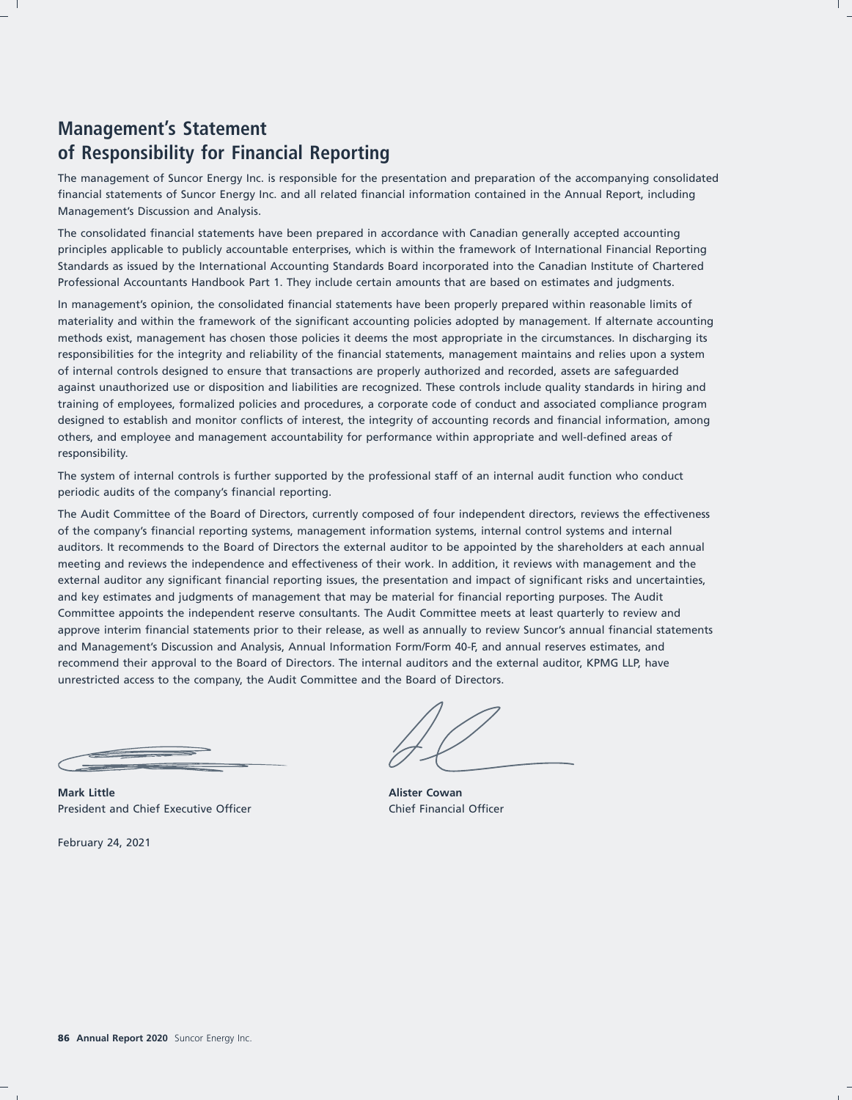# **Management's Statement of Responsibility for Financial Reporting**

The management of Suncor Energy Inc. is responsible for the presentation and preparation of the accompanying consolidated financial statements of Suncor Energy Inc. and all related financial information contained in the Annual Report, including Management's Discussion and Analysis.

The consolidated financial statements have been prepared in accordance with Canadian generally accepted accounting principles applicable to publicly accountable enterprises, which is within the framework of International Financial Reporting Standards as issued by the International Accounting Standards Board incorporated into the Canadian Institute of Chartered Professional Accountants Handbook Part 1. They include certain amounts that are based on estimates and judgments.

In management's opinion, the consolidated financial statements have been properly prepared within reasonable limits of materiality and within the framework of the significant accounting policies adopted by management. If alternate accounting methods exist, management has chosen those policies it deems the most appropriate in the circumstances. In discharging its responsibilities for the integrity and reliability of the financial statements, management maintains and relies upon a system of internal controls designed to ensure that transactions are properly authorized and recorded, assets are safeguarded against unauthorized use or disposition and liabilities are recognized. These controls include quality standards in hiring and training of employees, formalized policies and procedures, a corporate code of conduct and associated compliance program designed to establish and monitor conflicts of interest, the integrity of accounting records and financial information, among others, and employee and management accountability for performance within appropriate and well-defined areas of responsibility.

The system of internal controls is further supported by the professional staff of an internal audit function who conduct periodic audits of the company's financial reporting.

The Audit Committee of the Board of Directors, currently composed of four independent directors, reviews the effectiveness of the company's financial reporting systems, management information systems, internal control systems and internal auditors. It recommends to the Board of Directors the external auditor to be appointed by the shareholders at each annual meeting and reviews the independence and effectiveness of their work. In addition, it reviews with management and the external auditor any significant financial reporting issues, the presentation and impact of significant risks and uncertainties, and key estimates and judgments of management that may be material for financial reporting purposes. The Audit Committee appoints the independent reserve consultants. The Audit Committee meets at least quarterly to review and approve interim financial statements prior to their release, as well as annually to review Suncor's annual financial statements and Management's Discussion and Analysis, Annual Information Form/Form 40-F, and annual reserves estimates, and recommend their approval to the Board of Directors. The internal auditors and the external auditor, KPMG LLP, have unrestricted access to the company, the Audit Committee and the Board of Directors.

**Mark Little Alister Cowan** President and Chief Executive Officer Chief Financial Officer

February 24, 2021

 $\frac{1}{2}$  and  $\frac{1}{2}$  and  $\frac{1}{2}$  and  $\frac{1}{2}$  and  $\frac{1}{2}$  and  $\frac{1}{2}$  and  $\frac{1}{2}$  and  $\frac{1}{2}$  and  $\frac{1}{2}$  and  $\frac{1}{2}$  and  $\frac{1}{2}$  and  $\frac{1}{2}$  and  $\frac{1}{2}$  and  $\frac{1}{2}$  and  $\frac{1}{2}$  and  $\frac{1}{2}$  a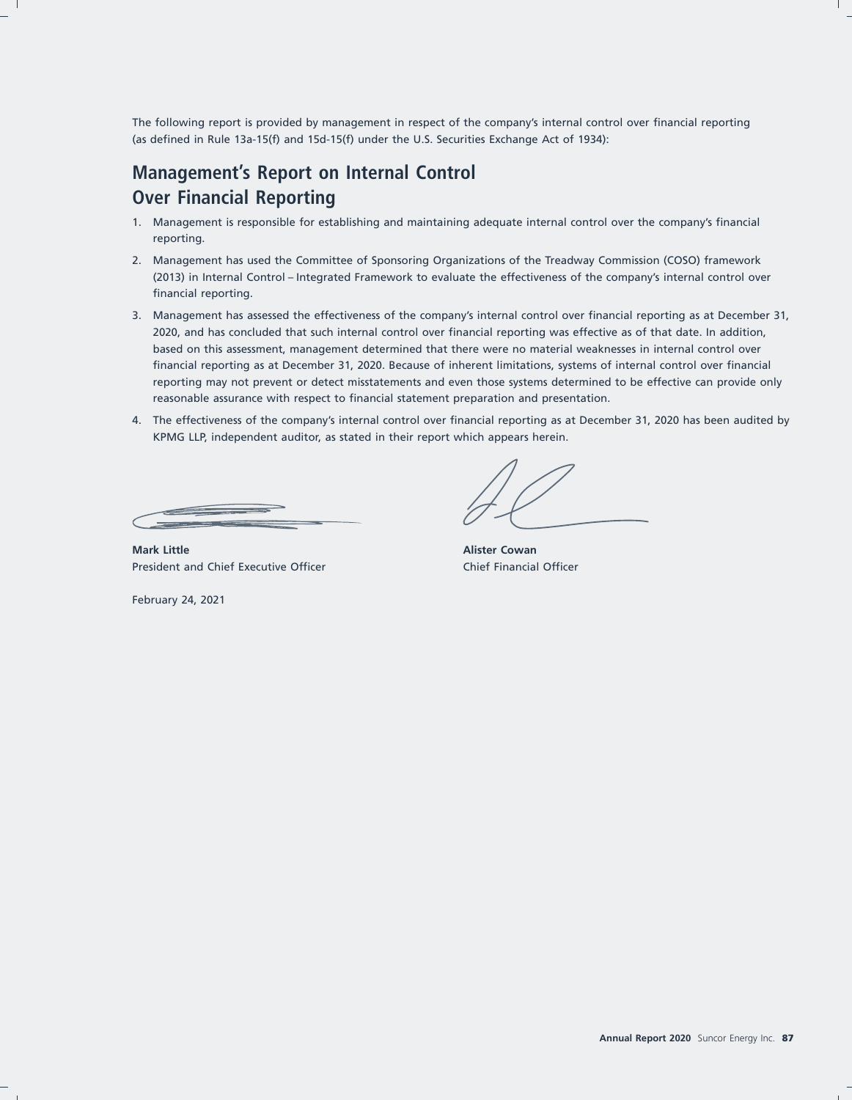The following report is provided by management in respect of the company's internal control over financial reporting (as defined in Rule 13a-15(f) and 15d-15(f) under the U.S. Securities Exchange Act of 1934):

# **Management's Report on Internal Control Over Financial Reporting**

- 1. Management is responsible for establishing and maintaining adequate internal control over the company's financial reporting.
- 2. Management has used the Committee of Sponsoring Organizations of the Treadway Commission (COSO) framework (2013) in Internal Control – Integrated Framework to evaluate the effectiveness of the company's internal control over financial reporting.
- 3. Management has assessed the effectiveness of the company's internal control over financial reporting as at December 31, 2020, and has concluded that such internal control over financial reporting was effective as of that date. In addition, based on this assessment, management determined that there were no material weaknesses in internal control over financial reporting as at December 31, 2020. Because of inherent limitations, systems of internal control over financial reporting may not prevent or detect misstatements and even those systems determined to be effective can provide only reasonable assurance with respect to financial statement preparation and presentation.
- 4. The effectiveness of the company's internal control over financial reporting as at December 31, 2020 has been audited by KPMG LLP, independent auditor, as stated in their report which appears herein.

**Mark Little Alister Cowan** President and Chief Executive Officer Chief Financial Officer

February 24, 2021

17FEB202109082263 17FEB202109081179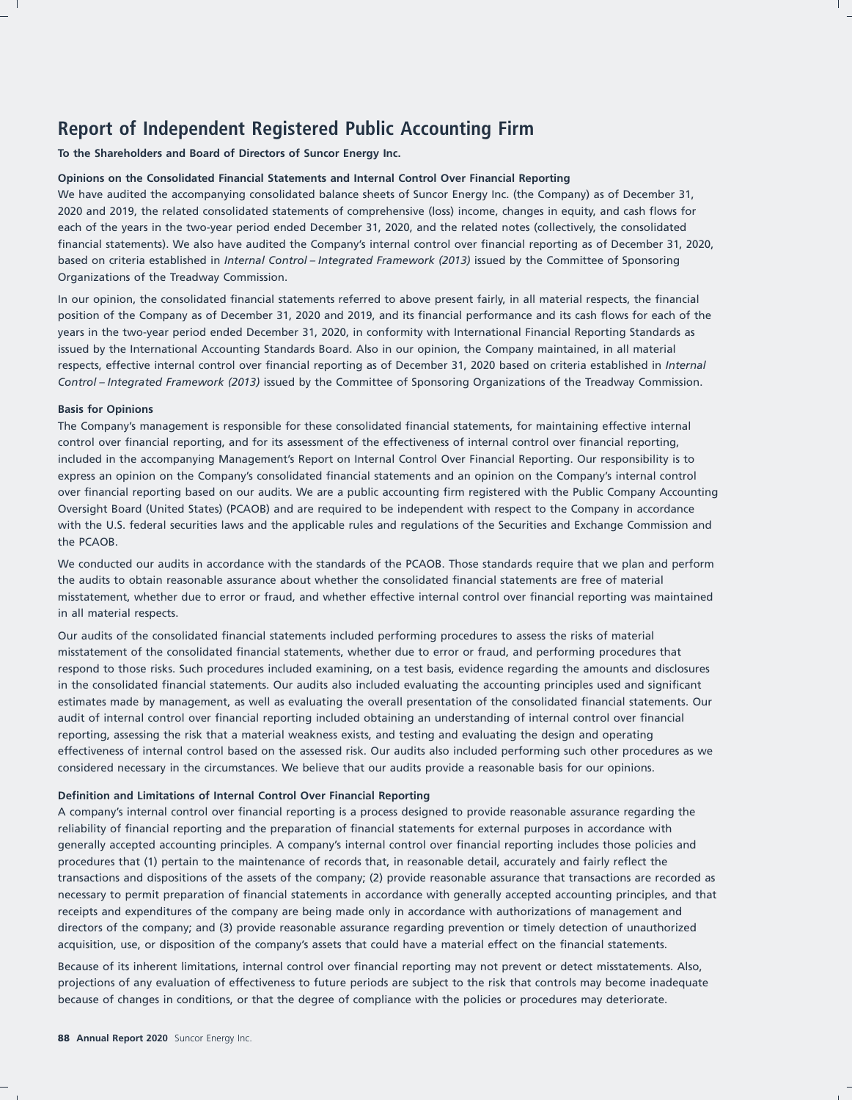# **Report of Independent Registered Public Accounting Firm**

**To the Shareholders and Board of Directors of Suncor Energy Inc.**

#### **Opinions on the Consolidated Financial Statements and Internal Control Over Financial Reporting**

We have audited the accompanying consolidated balance sheets of Suncor Energy Inc. (the Company) as of December 31, 2020 and 2019, the related consolidated statements of comprehensive (loss) income, changes in equity, and cash flows for each of the years in the two-year period ended December 31, 2020, and the related notes (collectively, the consolidated financial statements). We also have audited the Company's internal control over financial reporting as of December 31, 2020, based on criteria established in *Internal Control – Integrated Framework (2013)* issued by the Committee of Sponsoring Organizations of the Treadway Commission.

In our opinion, the consolidated financial statements referred to above present fairly, in all material respects, the financial position of the Company as of December 31, 2020 and 2019, and its financial performance and its cash flows for each of the years in the two-year period ended December 31, 2020, in conformity with International Financial Reporting Standards as issued by the International Accounting Standards Board. Also in our opinion, the Company maintained, in all material respects, effective internal control over financial reporting as of December 31, 2020 based on criteria established in *Internal Control – Integrated Framework (2013)* issued by the Committee of Sponsoring Organizations of the Treadway Commission.

#### **Basis for Opinions**

The Company's management is responsible for these consolidated financial statements, for maintaining effective internal control over financial reporting, and for its assessment of the effectiveness of internal control over financial reporting, included in the accompanying Management's Report on Internal Control Over Financial Reporting. Our responsibility is to express an opinion on the Company's consolidated financial statements and an opinion on the Company's internal control over financial reporting based on our audits. We are a public accounting firm registered with the Public Company Accounting Oversight Board (United States) (PCAOB) and are required to be independent with respect to the Company in accordance with the U.S. federal securities laws and the applicable rules and regulations of the Securities and Exchange Commission and the PCAOB.

We conducted our audits in accordance with the standards of the PCAOB. Those standards require that we plan and perform the audits to obtain reasonable assurance about whether the consolidated financial statements are free of material misstatement, whether due to error or fraud, and whether effective internal control over financial reporting was maintained in all material respects.

Our audits of the consolidated financial statements included performing procedures to assess the risks of material misstatement of the consolidated financial statements, whether due to error or fraud, and performing procedures that respond to those risks. Such procedures included examining, on a test basis, evidence regarding the amounts and disclosures in the consolidated financial statements. Our audits also included evaluating the accounting principles used and significant estimates made by management, as well as evaluating the overall presentation of the consolidated financial statements. Our audit of internal control over financial reporting included obtaining an understanding of internal control over financial reporting, assessing the risk that a material weakness exists, and testing and evaluating the design and operating effectiveness of internal control based on the assessed risk. Our audits also included performing such other procedures as we considered necessary in the circumstances. We believe that our audits provide a reasonable basis for our opinions.

#### **Definition and Limitations of Internal Control Over Financial Reporting**

A company's internal control over financial reporting is a process designed to provide reasonable assurance regarding the reliability of financial reporting and the preparation of financial statements for external purposes in accordance with generally accepted accounting principles. A company's internal control over financial reporting includes those policies and procedures that (1) pertain to the maintenance of records that, in reasonable detail, accurately and fairly reflect the transactions and dispositions of the assets of the company; (2) provide reasonable assurance that transactions are recorded as necessary to permit preparation of financial statements in accordance with generally accepted accounting principles, and that receipts and expenditures of the company are being made only in accordance with authorizations of management and directors of the company; and (3) provide reasonable assurance regarding prevention or timely detection of unauthorized acquisition, use, or disposition of the company's assets that could have a material effect on the financial statements.

Because of its inherent limitations, internal control over financial reporting may not prevent or detect misstatements. Also, projections of any evaluation of effectiveness to future periods are subject to the risk that controls may become inadequate because of changes in conditions, or that the degree of compliance with the policies or procedures may deteriorate.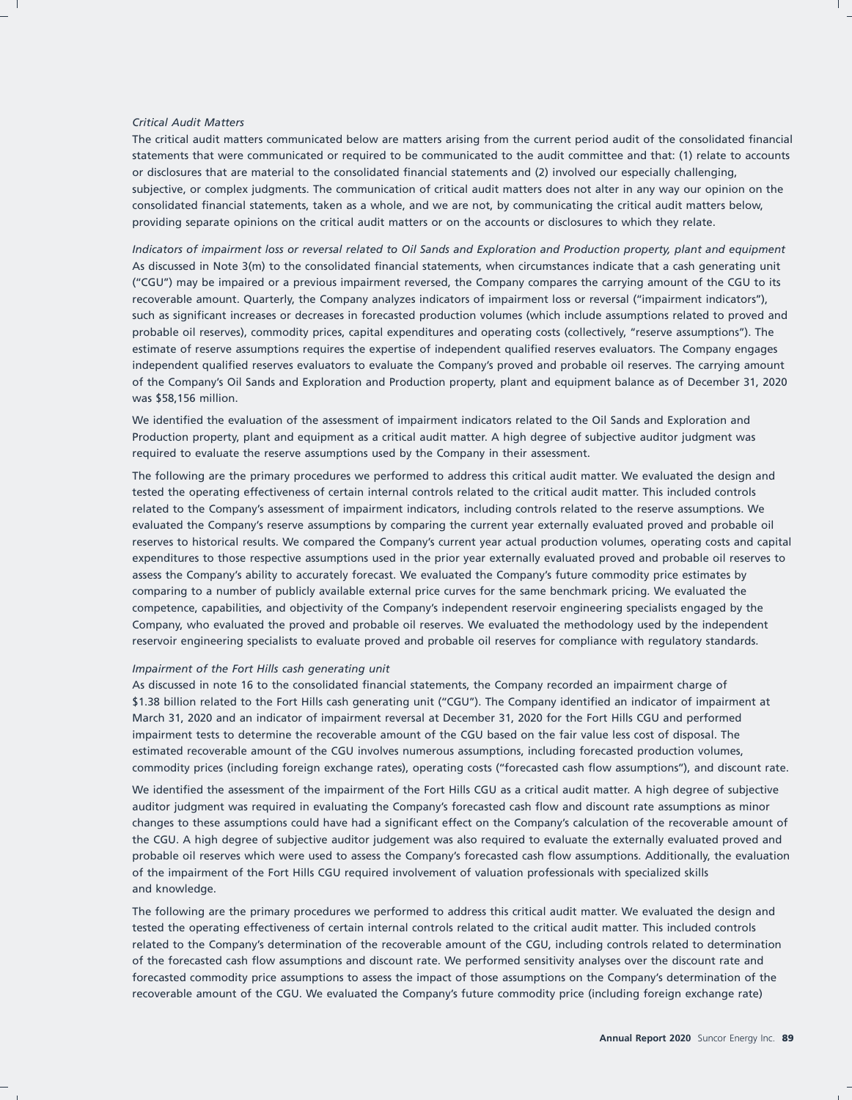#### *Critical Audit Matters*

The critical audit matters communicated below are matters arising from the current period audit of the consolidated financial statements that were communicated or required to be communicated to the audit committee and that: (1) relate to accounts or disclosures that are material to the consolidated financial statements and (2) involved our especially challenging, subjective, or complex judgments. The communication of critical audit matters does not alter in any way our opinion on the consolidated financial statements, taken as a whole, and we are not, by communicating the critical audit matters below, providing separate opinions on the critical audit matters or on the accounts or disclosures to which they relate.

*Indicators of impairment loss or reversal related to Oil Sands and Exploration and Production property, plant and equipment* As discussed in Note 3(m) to the consolidated financial statements, when circumstances indicate that a cash generating unit (''CGU'') may be impaired or a previous impairment reversed, the Company compares the carrying amount of the CGU to its recoverable amount. Quarterly, the Company analyzes indicators of impairment loss or reversal (''impairment indicators''), such as significant increases or decreases in forecasted production volumes (which include assumptions related to proved and probable oil reserves), commodity prices, capital expenditures and operating costs (collectively, ''reserve assumptions''). The estimate of reserve assumptions requires the expertise of independent qualified reserves evaluators. The Company engages independent qualified reserves evaluators to evaluate the Company's proved and probable oil reserves. The carrying amount of the Company's Oil Sands and Exploration and Production property, plant and equipment balance as of December 31, 2020 was \$58,156 million.

We identified the evaluation of the assessment of impairment indicators related to the Oil Sands and Exploration and Production property, plant and equipment as a critical audit matter. A high degree of subjective auditor judgment was required to evaluate the reserve assumptions used by the Company in their assessment.

The following are the primary procedures we performed to address this critical audit matter. We evaluated the design and tested the operating effectiveness of certain internal controls related to the critical audit matter. This included controls related to the Company's assessment of impairment indicators, including controls related to the reserve assumptions. We evaluated the Company's reserve assumptions by comparing the current year externally evaluated proved and probable oil reserves to historical results. We compared the Company's current year actual production volumes, operating costs and capital expenditures to those respective assumptions used in the prior year externally evaluated proved and probable oil reserves to assess the Company's ability to accurately forecast. We evaluated the Company's future commodity price estimates by comparing to a number of publicly available external price curves for the same benchmark pricing. We evaluated the competence, capabilities, and objectivity of the Company's independent reservoir engineering specialists engaged by the Company, who evaluated the proved and probable oil reserves. We evaluated the methodology used by the independent reservoir engineering specialists to evaluate proved and probable oil reserves for compliance with regulatory standards.

#### *Impairment of the Fort Hills cash generating unit*

As discussed in note 16 to the consolidated financial statements, the Company recorded an impairment charge of \$1.38 billion related to the Fort Hills cash generating unit ("CGU"). The Company identified an indicator of impairment at March 31, 2020 and an indicator of impairment reversal at December 31, 2020 for the Fort Hills CGU and performed impairment tests to determine the recoverable amount of the CGU based on the fair value less cost of disposal. The estimated recoverable amount of the CGU involves numerous assumptions, including forecasted production volumes, commodity prices (including foreign exchange rates), operating costs (''forecasted cash flow assumptions''), and discount rate.

We identified the assessment of the impairment of the Fort Hills CGU as a critical audit matter. A high degree of subjective auditor judgment was required in evaluating the Company's forecasted cash flow and discount rate assumptions as minor changes to these assumptions could have had a significant effect on the Company's calculation of the recoverable amount of the CGU. A high degree of subjective auditor judgement was also required to evaluate the externally evaluated proved and probable oil reserves which were used to assess the Company's forecasted cash flow assumptions. Additionally, the evaluation of the impairment of the Fort Hills CGU required involvement of valuation professionals with specialized skills and knowledge.

The following are the primary procedures we performed to address this critical audit matter. We evaluated the design and tested the operating effectiveness of certain internal controls related to the critical audit matter. This included controls related to the Company's determination of the recoverable amount of the CGU, including controls related to determination of the forecasted cash flow assumptions and discount rate. We performed sensitivity analyses over the discount rate and forecasted commodity price assumptions to assess the impact of those assumptions on the Company's determination of the recoverable amount of the CGU. We evaluated the Company's future commodity price (including foreign exchange rate)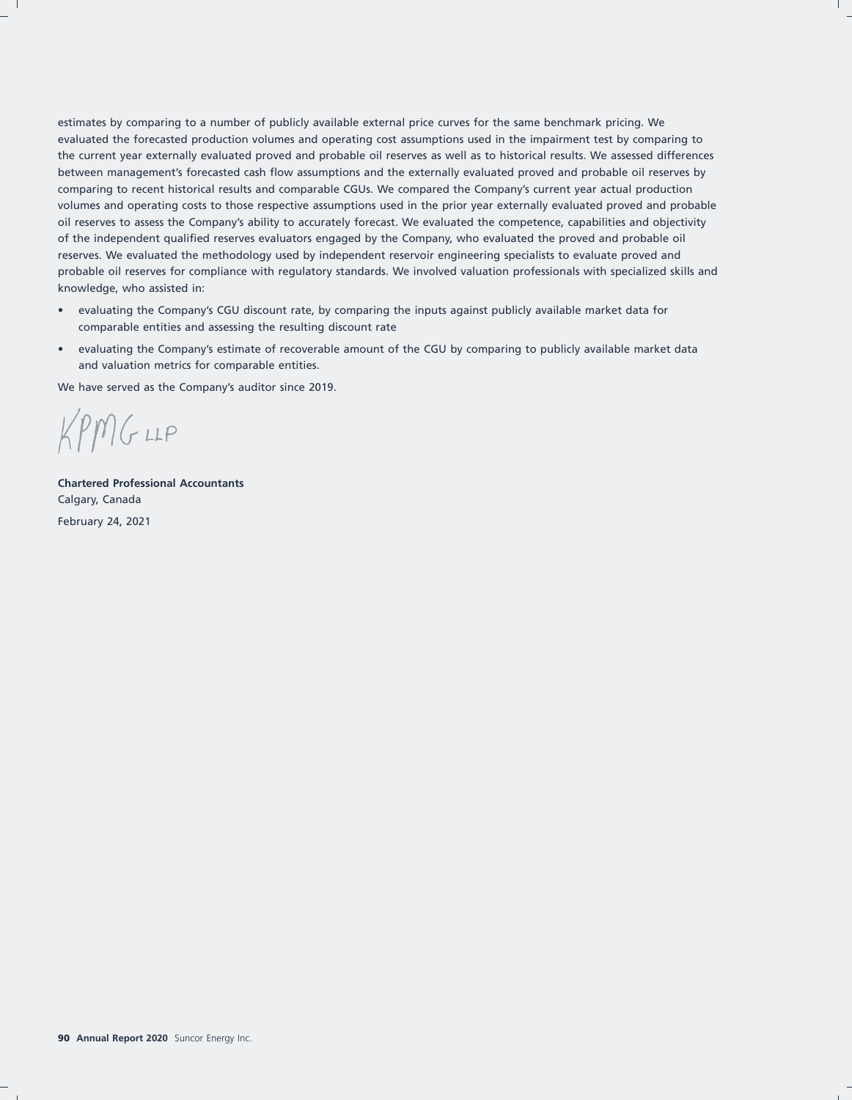estimates by comparing to a number of publicly available external price curves for the same benchmark pricing. We evaluated the forecasted production volumes and operating cost assumptions used in the impairment test by comparing to the current year externally evaluated proved and probable oil reserves as well as to historical results. We assessed differences between management's forecasted cash flow assumptions and the externally evaluated proved and probable oil reserves by comparing to recent historical results and comparable CGUs. We compared the Company's current year actual production volumes and operating costs to those respective assumptions used in the prior year externally evaluated proved and probable oil reserves to assess the Company's ability to accurately forecast. We evaluated the competence, capabilities and objectivity of the independent qualified reserves evaluators engaged by the Company, who evaluated the proved and probable oil reserves. We evaluated the methodology used by independent reservoir engineering specialists to evaluate proved and probable oil reserves for compliance with regulatory standards. We involved valuation professionals with specialized skills and knowledge, who assisted in:

- evaluating the Company's CGU discount rate, by comparing the inputs against publicly available market data for comparable entities and assessing the resulting discount rate
- evaluating the Company's estimate of recoverable amount of the CGU by comparing to publicly available market data and valuation metrics for comparable entities.

We have served as the Company's auditor since 2019.

 $KPMG$ LLP

**Chartered Professional Accountants** Calgary, Canada February 24, 2021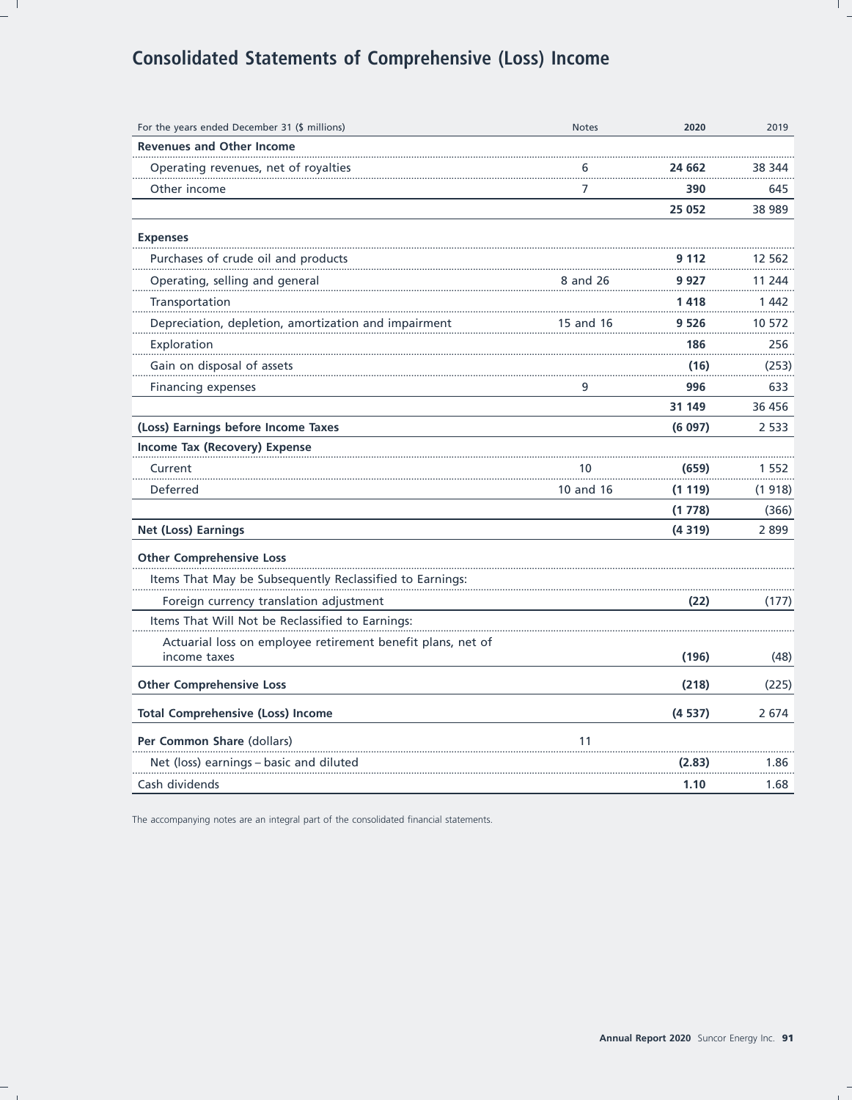# **Consolidated Statements of Comprehensive (Loss) Income**

| For the years ended December 31 (\$ millions)                               | <b>Notes</b> | 2020   | 2019    |
|-----------------------------------------------------------------------------|--------------|--------|---------|
| <b>Revenues and Other Income</b>                                            |              |        |         |
| Operating revenues, net of royalties                                        | 6            | 24 662 | 38 344  |
| Other income                                                                | 7            | 390    | 645     |
|                                                                             |              | 25 052 | 38 989  |
| <b>Expenses</b>                                                             |              |        |         |
| Purchases of crude oil and products                                         |              | 9 112  | 12 562  |
| Operating, selling and general                                              | 8 and 26     | 9 927  | 11 244  |
| Transportation                                                              |              | 1418   | 1 4 4 2 |
| Depreciation, depletion, amortization and impairment                        | 15 and 16    | 9 526  | 10 572  |
| Exploration                                                                 |              | 186    | 256     |
| Gain on disposal of assets                                                  |              | (16)   | (253)   |
| Financing expenses                                                          | 9            | 996    | 633     |
|                                                                             |              | 31 149 | 36 456  |
| (Loss) Earnings before Income Taxes                                         |              | (6097) | 2 5 3 3 |
| Income Tax (Recovery) Expense                                               |              |        |         |
| Current                                                                     | 10           | (659)  | 1 552   |
| Deferred                                                                    | 10 and 16    | (1119) | (1 918) |
|                                                                             |              | (1778) | (366)   |
| Net (Loss) Earnings                                                         |              | (4319) | 2899    |
| <b>Other Comprehensive Loss</b>                                             |              |        |         |
| Items That May be Subsequently Reclassified to Earnings:                    |              |        |         |
| Foreign currency translation adjustment                                     |              | (22)   | (177)   |
| Items That Will Not be Reclassified to Earnings:                            |              |        |         |
| Actuarial loss on employee retirement benefit plans, net of<br>income taxes |              | (196)  | (48)    |
| <b>Other Comprehensive Loss</b>                                             |              | (218)  | (225)   |
| <b>Total Comprehensive (Loss) Income</b>                                    |              | (4537) | 2 6 7 4 |
| Per Common Share (dollars)                                                  | 11           |        |         |
| Net (loss) earnings - basic and diluted                                     |              | (2.83) | 1.86    |
| Cash dividends                                                              |              | 1.10   | 1.68    |

The accompanying notes are an integral part of the consolidated financial statements.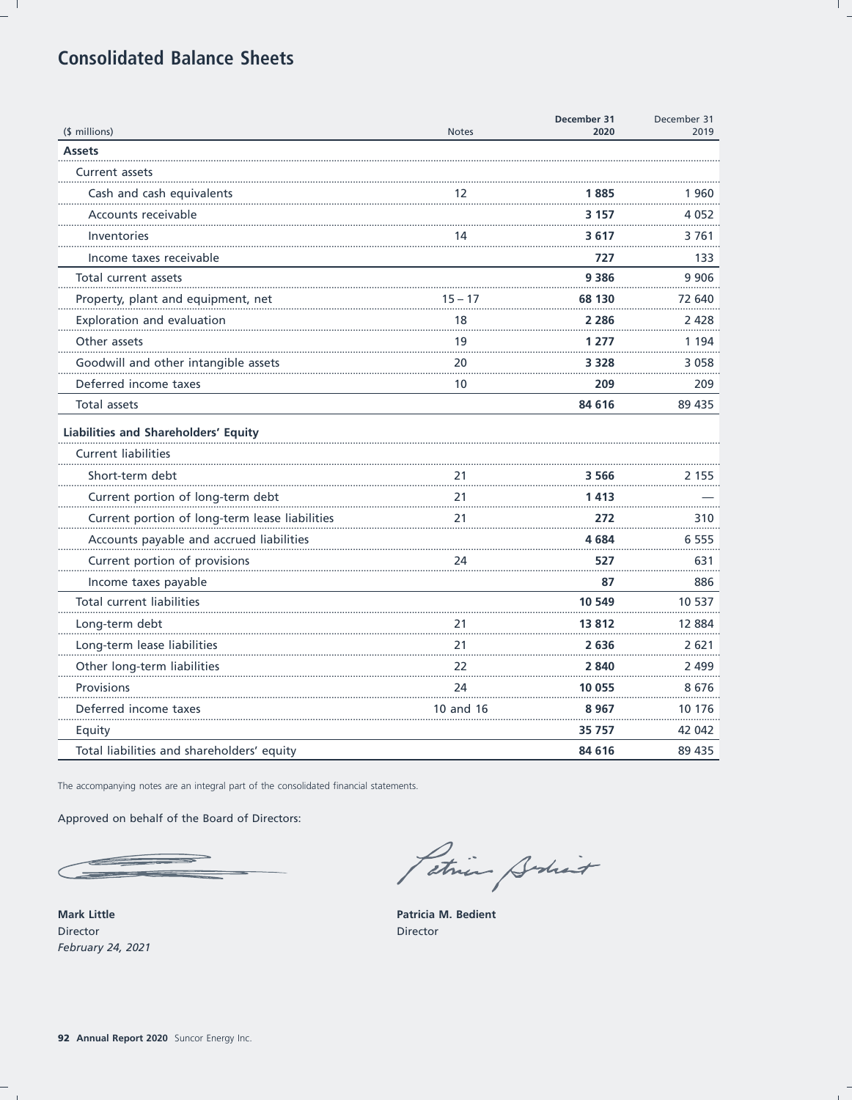# **Consolidated Balance Sheets**

| (\$ millions)                                  | <b>Notes</b> | December 31<br>2020 | December 31<br>2019 |
|------------------------------------------------|--------------|---------------------|---------------------|
| <b>Assets</b>                                  |              |                     |                     |
| <b>Current assets</b>                          |              |                     |                     |
| Cash and cash equivalents                      | 12           | 1 885               | 1960                |
| Accounts receivable                            |              | 3 157               | 4 0 5 2             |
| Inventories                                    | 14           | 3617                | 3761                |
| Income taxes receivable                        |              | 727                 | 133                 |
| Total current assets                           |              | 9 3 8 6             | 9 9 0 6             |
| Property, plant and equipment, net             | 15 – 17      | 68 130              | 72 640              |
| Exploration and evaluation                     | 18           | 2 2 8 6             | 2428                |
| Other assets                                   | 19           | 1 277               | 1 1 9 4             |
| Goodwill and other intangible assets           | 20           | 3 3 2 8             | 3 0 5 8             |
| Deferred income taxes                          | 10           | 209                 | 209                 |
| <b>Total assets</b>                            |              | 84 616              | 89 435              |
| Liabilities and Shareholders' Equity           |              |                     |                     |
| <b>Current liabilities</b>                     |              |                     |                     |
| Short-term debt                                | 21           | 3 566               | 2 1 5 5             |
| Current portion of long-term debt              | 21           | 1413                |                     |
| Current portion of long-term lease liabilities | 21           | 272                 | 310                 |
| Accounts payable and accrued liabilities       |              | 4 684               | 6 5 5 5             |
| Current portion of provisions                  | 24           | 527                 | 631                 |
| Income taxes payable                           |              | 87                  | 886                 |
| <b>Total current liabilities</b>               |              | 10 549              | 10 537              |
| Long-term debt                                 | 21           | 13812               | 12 884              |
| Long-term lease liabilities                    | 21           | 2636                | 2 6 2 1             |
| Other long-term liabilities                    | 22           | 2 840               | 2 499               |
| Provisions                                     | 24           | 10 055              | 8676                |
| Deferred income taxes                          | 10 and 16    | 8967                | 10 176              |
| Equity                                         |              | 35 757              | 42 042              |
| Total liabilities and shareholders' equity     |              | 84 616              | 89 435              |

The accompanying notes are an integral part of the consolidated financial statements.

Approved on behalf of the Board of Directors:

 $\sim$ 

**Mark Little** Director February 24, 2021

Petrie Schiet

Patricia M. Bedient Director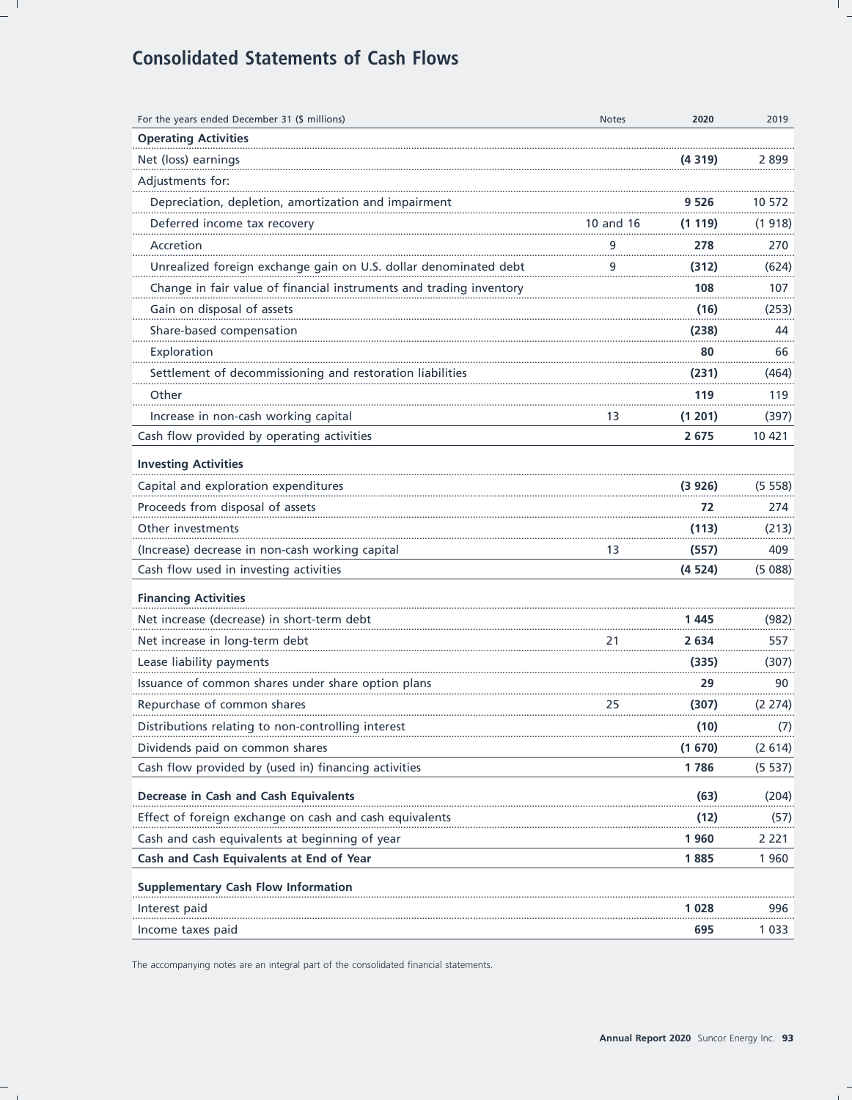# **Consolidated Statements of Cash Flows**

| For the years ended December 31 (\$ millions)                       | <b>Notes</b> | 2020    | 2019    |
|---------------------------------------------------------------------|--------------|---------|---------|
| <b>Operating Activities</b>                                         |              |         |         |
| Net (loss) earnings                                                 |              | (4319)  | 2899    |
| Adjustments for:                                                    |              |         |         |
| Depreciation, depletion, amortization and impairment                |              | 9 526   | 10 572  |
| Deferred income tax recovery                                        | 10 and 16    | (1119)  | (1918)  |
| Accretion                                                           | 9            | 278     | 270     |
| Unrealized foreign exchange gain on U.S. dollar denominated debt    | 9            | (312)   | (624)   |
| Change in fair value of financial instruments and trading inventory |              | 108     | 107     |
| Gain on disposal of assets                                          |              | (16)    | (253)   |
| Share-based compensation                                            |              | (238)   | 44      |
| Exploration                                                         |              | 80      | 66      |
| Settlement of decommissioning and restoration liabilities           |              | (231)   | (464)   |
| Other                                                               |              | 119     | 119     |
| Increase in non-cash working capital                                | 13           | (1 201) | (397)   |
| Cash flow provided by operating activities                          |              | 2675    | 10 421  |
| <b>Investing Activities</b>                                         |              |         |         |
| Capital and exploration expenditures                                |              | (3926)  | (5 558) |
| Proceeds from disposal of assets                                    |              | 72      | 274     |
| Other investments                                                   |              | (113)   | (213)   |
| (Increase) decrease in non-cash working capital                     | 13           | (557)   | 409     |
| Cash flow used in investing activities                              |              | (4524)  | (5088)  |
| <b>Financing Activities</b>                                         |              |         |         |
| Net increase (decrease) in short-term debt                          |              | 1445    | (982)   |
| Net increase in long-term debt                                      | 21           | 2 634   | 557     |
| Lease liability payments                                            |              | (335)   | (307)   |
| Issuance of common shares under share option plans                  |              | 29      | 90      |
| Repurchase of common shares                                         | 25           | (307)   | (2274)  |
| Distributions relating to non-controlling interest                  |              | (10)    | (7)     |
| Dividends paid on common shares                                     |              | (1670)  | (2614)  |
| Cash flow provided by (used in) financing activities                |              | 1786    | (5537)  |
| Decrease in Cash and Cash Equivalents                               |              | (63)    | (204)   |
| Effect of foreign exchange on cash and cash equivalents             |              | (12)    | (57)    |
| Cash and cash equivalents at beginning of year                      |              | 1960    | 2 2 2 1 |
| Cash and Cash Equivalents at End of Year                            |              | 1885    | 1960    |
|                                                                     |              |         |         |
| <b>Supplementary Cash Flow Information</b>                          |              |         |         |
| Interest paid                                                       |              | 1 028   | 996     |
| Income taxes paid                                                   |              | 695     | 1 0 3 3 |

The accompanying notes are an integral part of the consolidated financial statements.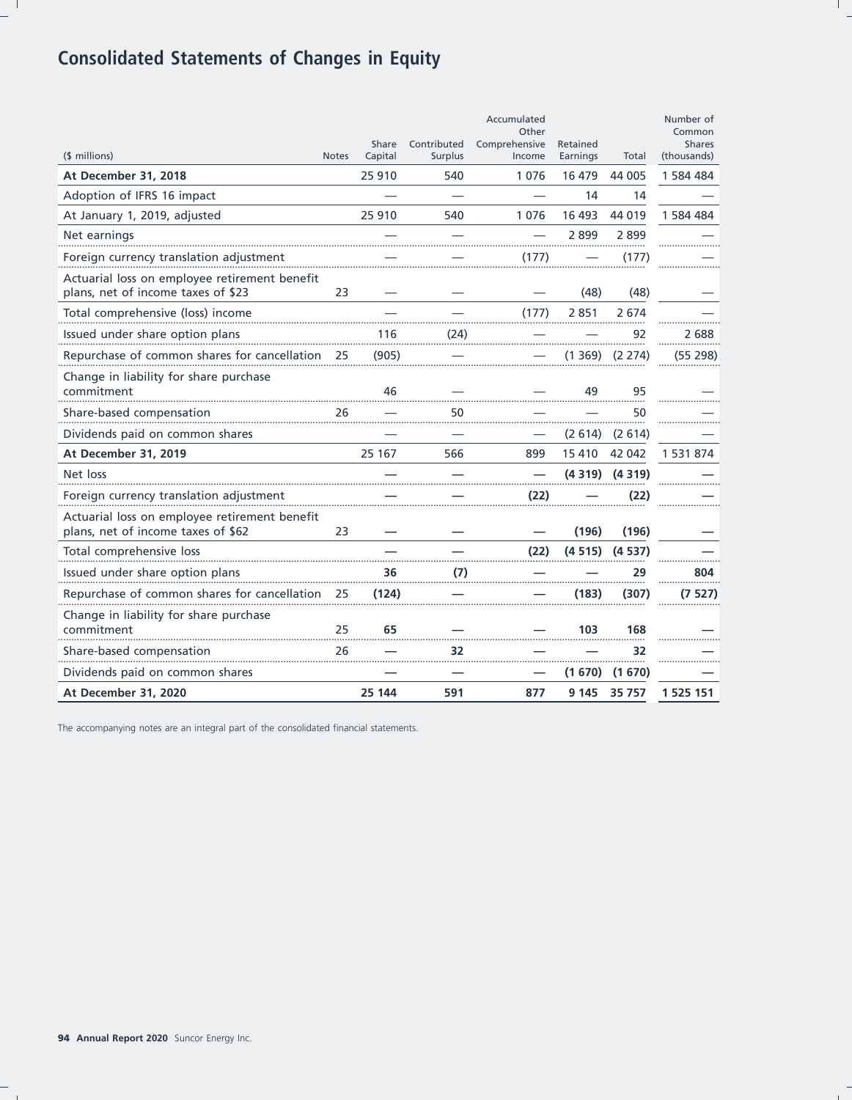# **Consolidated Statements of Changes in Equity**

| (\$ millions)                                                                       | <b>Notes</b> | Share<br>Capital | Contributed<br><b>Surplus</b> | Accumulated<br>Other<br>Comprehensive<br>Income | Retained<br>Earnings | Total  | Number of<br>Common<br><b>Shares</b><br>(thousands) |
|-------------------------------------------------------------------------------------|--------------|------------------|-------------------------------|-------------------------------------------------|----------------------|--------|-----------------------------------------------------|
| At December 31, 2018                                                                |              | 25 910           | 540                           | 1076                                            | 16 479               | 44 005 | 1 584 484                                           |
| Adoption of IFRS 16 impact                                                          |              |                  |                               |                                                 | 14                   | 14     |                                                     |
| At January 1, 2019, adjusted                                                        |              | 25 910           | 540                           | 1076                                            | 16 493               | 44 019 | 1 584 484                                           |
| Net earnings                                                                        |              |                  |                               |                                                 | 2899                 | 2 899  |                                                     |
| Foreign currency translation adjustment                                             |              |                  |                               | (177)                                           |                      | (177)  |                                                     |
| Actuarial loss on employee retirement benefit<br>plans, net of income taxes of \$23 | 23           |                  |                               |                                                 | (48)                 | (48)   |                                                     |
| Total comprehensive (loss) income                                                   |              |                  |                               | (177)                                           | 2851                 | 2 674  |                                                     |
| Issued under share option plans                                                     |              | 116              | (24)                          |                                                 |                      | 92     | 2 688                                               |
| Repurchase of common shares for cancellation                                        | 25           | (905)            |                               |                                                 | (1 369)              | (2274) | (55 298)                                            |
| Change in liability for share purchase<br>commitment                                |              | 46               |                               |                                                 | 49                   | 95     |                                                     |
| Share-based compensation                                                            | 26           |                  | 50                            |                                                 |                      | 50     |                                                     |
| Dividends paid on common shares                                                     |              |                  |                               |                                                 | (2614)               | (2614) |                                                     |
| At December 31, 2019                                                                |              | 25 167           | 566                           | 899                                             | 15410                | 42 042 | 1 531 874                                           |
| Net loss                                                                            |              |                  |                               |                                                 | (4319)               | (4319) |                                                     |
| Foreign currency translation adjustment                                             |              |                  |                               | (22)                                            |                      | (22)   |                                                     |
| Actuarial loss on employee retirement benefit<br>plans, net of income taxes of \$62 | 23           |                  |                               |                                                 | (196)                | (196)  |                                                     |
| Total comprehensive loss                                                            |              |                  |                               | (22)                                            | (4515)               | (4537) |                                                     |
| Issued under share option plans                                                     |              | 36               | (7)                           |                                                 |                      | 29     | 804                                                 |
| Repurchase of common shares for cancellation                                        | 25           | (124)            |                               |                                                 | (183)                | (307)  | (7527)                                              |
| Change in liability for share purchase<br>commitment                                | 25           | 65               |                               |                                                 | 103                  | 168    |                                                     |
| Share-based compensation                                                            | 26           |                  | 32                            |                                                 |                      | 32     |                                                     |
| Dividends paid on common shares                                                     |              |                  |                               |                                                 | (1670)               | (1670) |                                                     |
| At December 31, 2020                                                                |              | 25 144           | 591                           | 877                                             | 9 1 4 5              | 35 757 | 1 525 151                                           |

The accompanying notes are an integral part of the consolidated financial statements.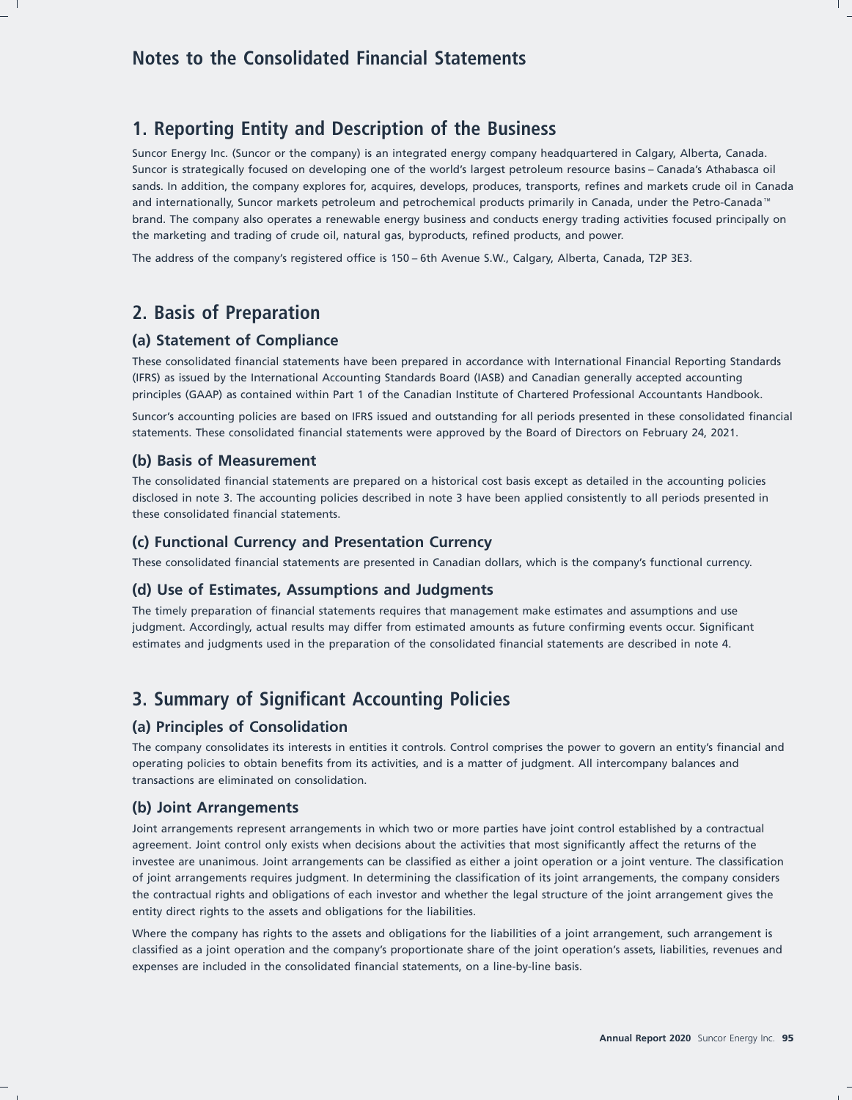## **1. Reporting Entity and Description of the Business**

Suncor Energy Inc. (Suncor or the company) is an integrated energy company headquartered in Calgary, Alberta, Canada. Suncor is strategically focused on developing one of the world's largest petroleum resource basins – Canada's Athabasca oil sands. In addition, the company explores for, acquires, develops, produces, transports, refines and markets crude oil in Canada and internationally, Suncor markets petroleum and petrochemical products primarily in Canada, under the Petro-Canada brand. The company also operates a renewable energy business and conducts energy trading activities focused principally on the marketing and trading of crude oil, natural gas, byproducts, refined products, and power.

The address of the company's registered office is 150 – 6th Avenue S.W., Calgary, Alberta, Canada, T2P 3E3.

## **2. Basis of Preparation**

## **(a) Statement of Compliance**

These consolidated financial statements have been prepared in accordance with International Financial Reporting Standards (IFRS) as issued by the International Accounting Standards Board (IASB) and Canadian generally accepted accounting principles (GAAP) as contained within Part 1 of the Canadian Institute of Chartered Professional Accountants Handbook.

Suncor's accounting policies are based on IFRS issued and outstanding for all periods presented in these consolidated financial statements. These consolidated financial statements were approved by the Board of Directors on February 24, 2021.

### **(b) Basis of Measurement**

The consolidated financial statements are prepared on a historical cost basis except as detailed in the accounting policies disclosed in note 3. The accounting policies described in note 3 have been applied consistently to all periods presented in these consolidated financial statements.

## **(c) Functional Currency and Presentation Currency**

These consolidated financial statements are presented in Canadian dollars, which is the company's functional currency.

#### **(d) Use of Estimates, Assumptions and Judgments**

The timely preparation of financial statements requires that management make estimates and assumptions and use judgment. Accordingly, actual results may differ from estimated amounts as future confirming events occur. Significant estimates and judgments used in the preparation of the consolidated financial statements are described in note 4.

## **3. Summary of Significant Accounting Policies**

### **(a) Principles of Consolidation**

The company consolidates its interests in entities it controls. Control comprises the power to govern an entity's financial and operating policies to obtain benefits from its activities, and is a matter of judgment. All intercompany balances and transactions are eliminated on consolidation.

### **(b) Joint Arrangements**

Joint arrangements represent arrangements in which two or more parties have joint control established by a contractual agreement. Joint control only exists when decisions about the activities that most significantly affect the returns of the investee are unanimous. Joint arrangements can be classified as either a joint operation or a joint venture. The classification of joint arrangements requires judgment. In determining the classification of its joint arrangements, the company considers the contractual rights and obligations of each investor and whether the legal structure of the joint arrangement gives the entity direct rights to the assets and obligations for the liabilities.

Where the company has rights to the assets and obligations for the liabilities of a joint arrangement, such arrangement is classified as a joint operation and the company's proportionate share of the joint operation's assets, liabilities, revenues and expenses are included in the consolidated financial statements, on a line-by-line basis.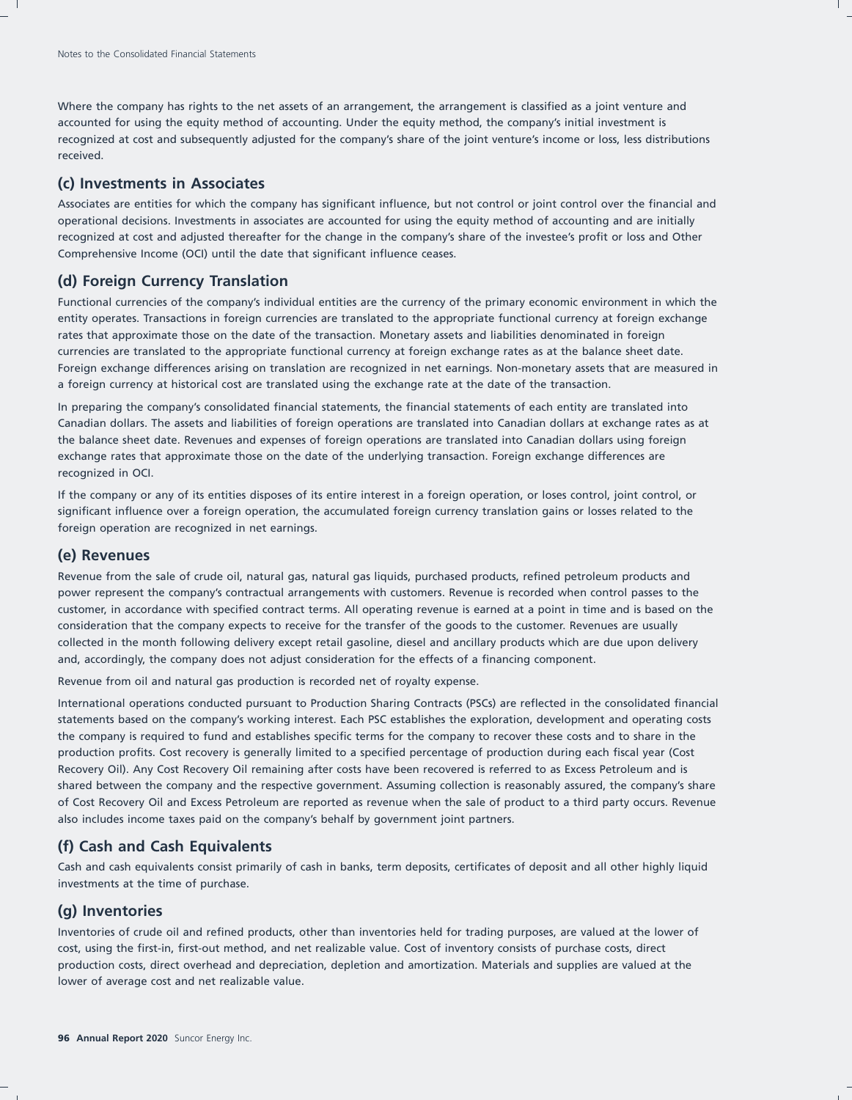Where the company has rights to the net assets of an arrangement, the arrangement is classified as a joint venture and accounted for using the equity method of accounting. Under the equity method, the company's initial investment is recognized at cost and subsequently adjusted for the company's share of the joint venture's income or loss, less distributions received.

## **(c) Investments in Associates**

Associates are entities for which the company has significant influence, but not control or joint control over the financial and operational decisions. Investments in associates are accounted for using the equity method of accounting and are initially recognized at cost and adjusted thereafter for the change in the company's share of the investee's profit or loss and Other Comprehensive Income (OCI) until the date that significant influence ceases.

## **(d) Foreign Currency Translation**

Functional currencies of the company's individual entities are the currency of the primary economic environment in which the entity operates. Transactions in foreign currencies are translated to the appropriate functional currency at foreign exchange rates that approximate those on the date of the transaction. Monetary assets and liabilities denominated in foreign currencies are translated to the appropriate functional currency at foreign exchange rates as at the balance sheet date. Foreign exchange differences arising on translation are recognized in net earnings. Non-monetary assets that are measured in a foreign currency at historical cost are translated using the exchange rate at the date of the transaction.

In preparing the company's consolidated financial statements, the financial statements of each entity are translated into Canadian dollars. The assets and liabilities of foreign operations are translated into Canadian dollars at exchange rates as at the balance sheet date. Revenues and expenses of foreign operations are translated into Canadian dollars using foreign exchange rates that approximate those on the date of the underlying transaction. Foreign exchange differences are recognized in OCI.

If the company or any of its entities disposes of its entire interest in a foreign operation, or loses control, joint control, or significant influence over a foreign operation, the accumulated foreign currency translation gains or losses related to the foreign operation are recognized in net earnings.

### **(e) Revenues**

Revenue from the sale of crude oil, natural gas, natural gas liquids, purchased products, refined petroleum products and power represent the company's contractual arrangements with customers. Revenue is recorded when control passes to the customer, in accordance with specified contract terms. All operating revenue is earned at a point in time and is based on the consideration that the company expects to receive for the transfer of the goods to the customer. Revenues are usually collected in the month following delivery except retail gasoline, diesel and ancillary products which are due upon delivery and, accordingly, the company does not adjust consideration for the effects of a financing component.

Revenue from oil and natural gas production is recorded net of royalty expense.

International operations conducted pursuant to Production Sharing Contracts (PSCs) are reflected in the consolidated financial statements based on the company's working interest. Each PSC establishes the exploration, development and operating costs the company is required to fund and establishes specific terms for the company to recover these costs and to share in the production profits. Cost recovery is generally limited to a specified percentage of production during each fiscal year (Cost Recovery Oil). Any Cost Recovery Oil remaining after costs have been recovered is referred to as Excess Petroleum and is shared between the company and the respective government. Assuming collection is reasonably assured, the company's share of Cost Recovery Oil and Excess Petroleum are reported as revenue when the sale of product to a third party occurs. Revenue also includes income taxes paid on the company's behalf by government joint partners.

### **(f) Cash and Cash Equivalents**

Cash and cash equivalents consist primarily of cash in banks, term deposits, certificates of deposit and all other highly liquid investments at the time of purchase.

### **(g) Inventories**

Inventories of crude oil and refined products, other than inventories held for trading purposes, are valued at the lower of cost, using the first-in, first-out method, and net realizable value. Cost of inventory consists of purchase costs, direct production costs, direct overhead and depreciation, depletion and amortization. Materials and supplies are valued at the lower of average cost and net realizable value.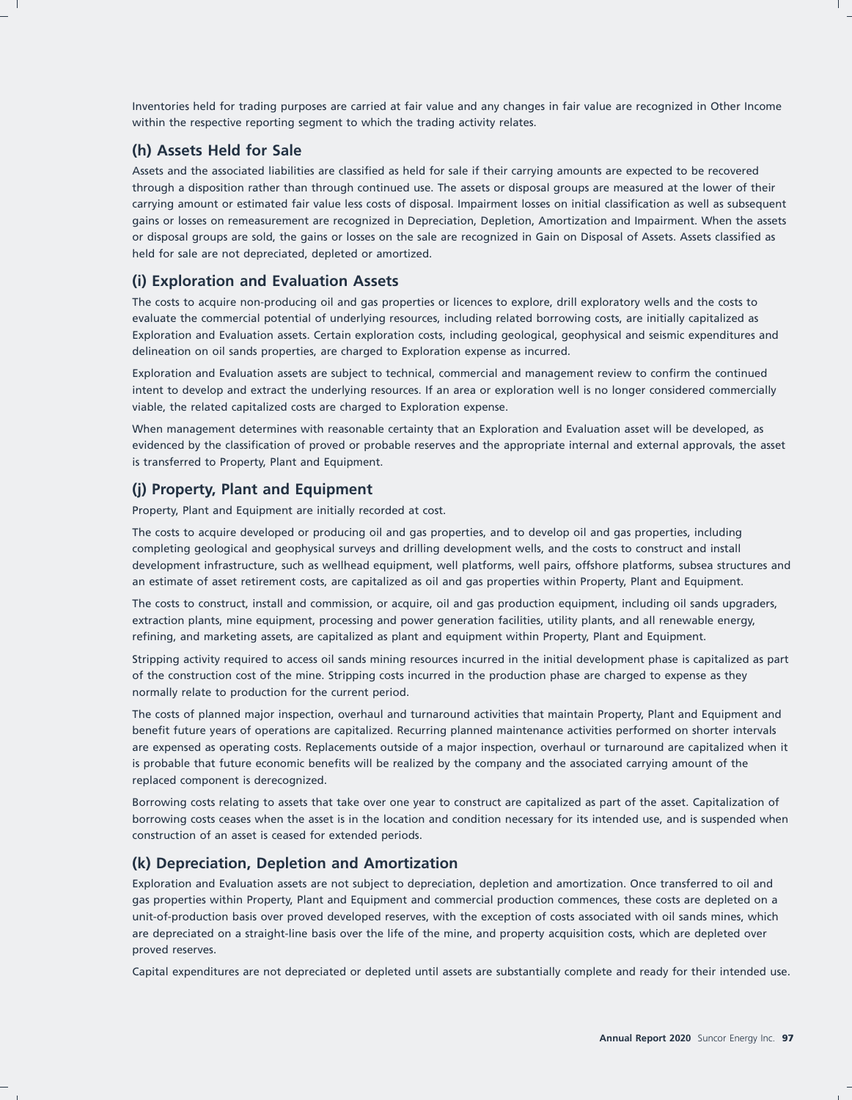Inventories held for trading purposes are carried at fair value and any changes in fair value are recognized in Other Income within the respective reporting segment to which the trading activity relates.

## **(h) Assets Held for Sale**

Assets and the associated liabilities are classified as held for sale if their carrying amounts are expected to be recovered through a disposition rather than through continued use. The assets or disposal groups are measured at the lower of their carrying amount or estimated fair value less costs of disposal. Impairment losses on initial classification as well as subsequent gains or losses on remeasurement are recognized in Depreciation, Depletion, Amortization and Impairment. When the assets or disposal groups are sold, the gains or losses on the sale are recognized in Gain on Disposal of Assets. Assets classified as held for sale are not depreciated, depleted or amortized.

### **(i) Exploration and Evaluation Assets**

The costs to acquire non-producing oil and gas properties or licences to explore, drill exploratory wells and the costs to evaluate the commercial potential of underlying resources, including related borrowing costs, are initially capitalized as Exploration and Evaluation assets. Certain exploration costs, including geological, geophysical and seismic expenditures and delineation on oil sands properties, are charged to Exploration expense as incurred.

Exploration and Evaluation assets are subject to technical, commercial and management review to confirm the continued intent to develop and extract the underlying resources. If an area or exploration well is no longer considered commercially viable, the related capitalized costs are charged to Exploration expense.

When management determines with reasonable certainty that an Exploration and Evaluation asset will be developed, as evidenced by the classification of proved or probable reserves and the appropriate internal and external approvals, the asset is transferred to Property, Plant and Equipment.

## **(j) Property, Plant and Equipment**

Property, Plant and Equipment are initially recorded at cost.

The costs to acquire developed or producing oil and gas properties, and to develop oil and gas properties, including completing geological and geophysical surveys and drilling development wells, and the costs to construct and install development infrastructure, such as wellhead equipment, well platforms, well pairs, offshore platforms, subsea structures and an estimate of asset retirement costs, are capitalized as oil and gas properties within Property, Plant and Equipment.

The costs to construct, install and commission, or acquire, oil and gas production equipment, including oil sands upgraders, extraction plants, mine equipment, processing and power generation facilities, utility plants, and all renewable energy, refining, and marketing assets, are capitalized as plant and equipment within Property, Plant and Equipment.

Stripping activity required to access oil sands mining resources incurred in the initial development phase is capitalized as part of the construction cost of the mine. Stripping costs incurred in the production phase are charged to expense as they normally relate to production for the current period.

The costs of planned major inspection, overhaul and turnaround activities that maintain Property, Plant and Equipment and benefit future years of operations are capitalized. Recurring planned maintenance activities performed on shorter intervals are expensed as operating costs. Replacements outside of a major inspection, overhaul or turnaround are capitalized when it is probable that future economic benefits will be realized by the company and the associated carrying amount of the replaced component is derecognized.

Borrowing costs relating to assets that take over one year to construct are capitalized as part of the asset. Capitalization of borrowing costs ceases when the asset is in the location and condition necessary for its intended use, and is suspended when construction of an asset is ceased for extended periods.

## **(k) Depreciation, Depletion and Amortization**

Exploration and Evaluation assets are not subject to depreciation, depletion and amortization. Once transferred to oil and gas properties within Property, Plant and Equipment and commercial production commences, these costs are depleted on a unit-of-production basis over proved developed reserves, with the exception of costs associated with oil sands mines, which are depreciated on a straight-line basis over the life of the mine, and property acquisition costs, which are depleted over proved reserves.

Capital expenditures are not depreciated or depleted until assets are substantially complete and ready for their intended use.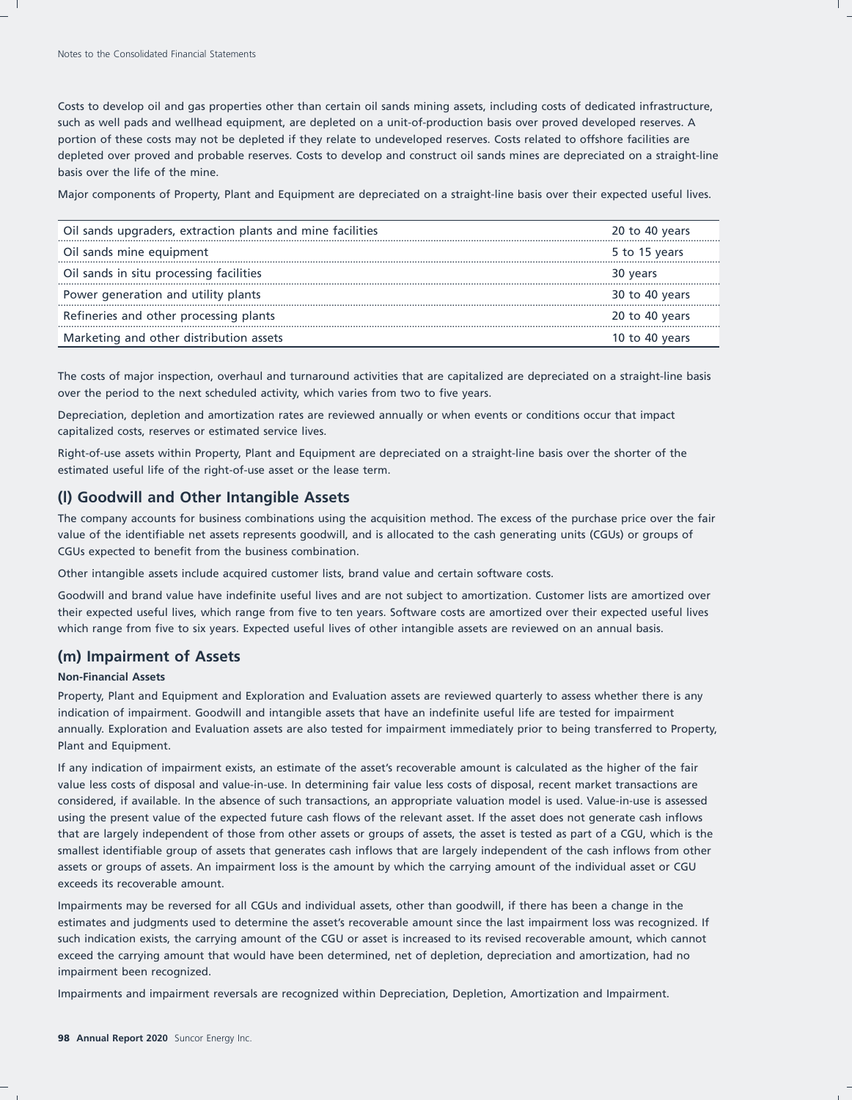Costs to develop oil and gas properties other than certain oil sands mining assets, including costs of dedicated infrastructure, such as well pads and wellhead equipment, are depleted on a unit-of-production basis over proved developed reserves. A portion of these costs may not be depleted if they relate to undeveloped reserves. Costs related to offshore facilities are depleted over proved and probable reserves. Costs to develop and construct oil sands mines are depreciated on a straight-line basis over the life of the mine.

Major components of Property, Plant and Equipment are depreciated on a straight-line basis over their expected useful lives.

| Oil sands upgraders, extraction plants and mine facilities | 20 to 40 years |
|------------------------------------------------------------|----------------|
| Oil sands mine equipment                                   | 5 to 15 years  |
| Oil sands in situ processing facilities                    | 30 years       |
| Power generation and utility plants                        | 30 to 40 years |
| Refineries and other processing plants                     | 20 to 40 years |
| Marketing and other distribution assets                    | 10 to 40 years |

The costs of major inspection, overhaul and turnaround activities that are capitalized are depreciated on a straight-line basis over the period to the next scheduled activity, which varies from two to five years.

Depreciation, depletion and amortization rates are reviewed annually or when events or conditions occur that impact capitalized costs, reserves or estimated service lives.

Right-of-use assets within Property, Plant and Equipment are depreciated on a straight-line basis over the shorter of the estimated useful life of the right-of-use asset or the lease term.

## **(l) Goodwill and Other Intangible Assets**

The company accounts for business combinations using the acquisition method. The excess of the purchase price over the fair value of the identifiable net assets represents goodwill, and is allocated to the cash generating units (CGUs) or groups of CGUs expected to benefit from the business combination.

Other intangible assets include acquired customer lists, brand value and certain software costs.

Goodwill and brand value have indefinite useful lives and are not subject to amortization. Customer lists are amortized over their expected useful lives, which range from five to ten years. Software costs are amortized over their expected useful lives which range from five to six years. Expected useful lives of other intangible assets are reviewed on an annual basis.

### **(m) Impairment of Assets**

#### **Non-Financial Assets**

Property, Plant and Equipment and Exploration and Evaluation assets are reviewed quarterly to assess whether there is any indication of impairment. Goodwill and intangible assets that have an indefinite useful life are tested for impairment annually. Exploration and Evaluation assets are also tested for impairment immediately prior to being transferred to Property, Plant and Equipment.

If any indication of impairment exists, an estimate of the asset's recoverable amount is calculated as the higher of the fair value less costs of disposal and value-in-use. In determining fair value less costs of disposal, recent market transactions are considered, if available. In the absence of such transactions, an appropriate valuation model is used. Value-in-use is assessed using the present value of the expected future cash flows of the relevant asset. If the asset does not generate cash inflows that are largely independent of those from other assets or groups of assets, the asset is tested as part of a CGU, which is the smallest identifiable group of assets that generates cash inflows that are largely independent of the cash inflows from other assets or groups of assets. An impairment loss is the amount by which the carrying amount of the individual asset or CGU exceeds its recoverable amount.

Impairments may be reversed for all CGUs and individual assets, other than goodwill, if there has been a change in the estimates and judgments used to determine the asset's recoverable amount since the last impairment loss was recognized. If such indication exists, the carrying amount of the CGU or asset is increased to its revised recoverable amount, which cannot exceed the carrying amount that would have been determined, net of depletion, depreciation and amortization, had no impairment been recognized.

Impairments and impairment reversals are recognized within Depreciation, Depletion, Amortization and Impairment.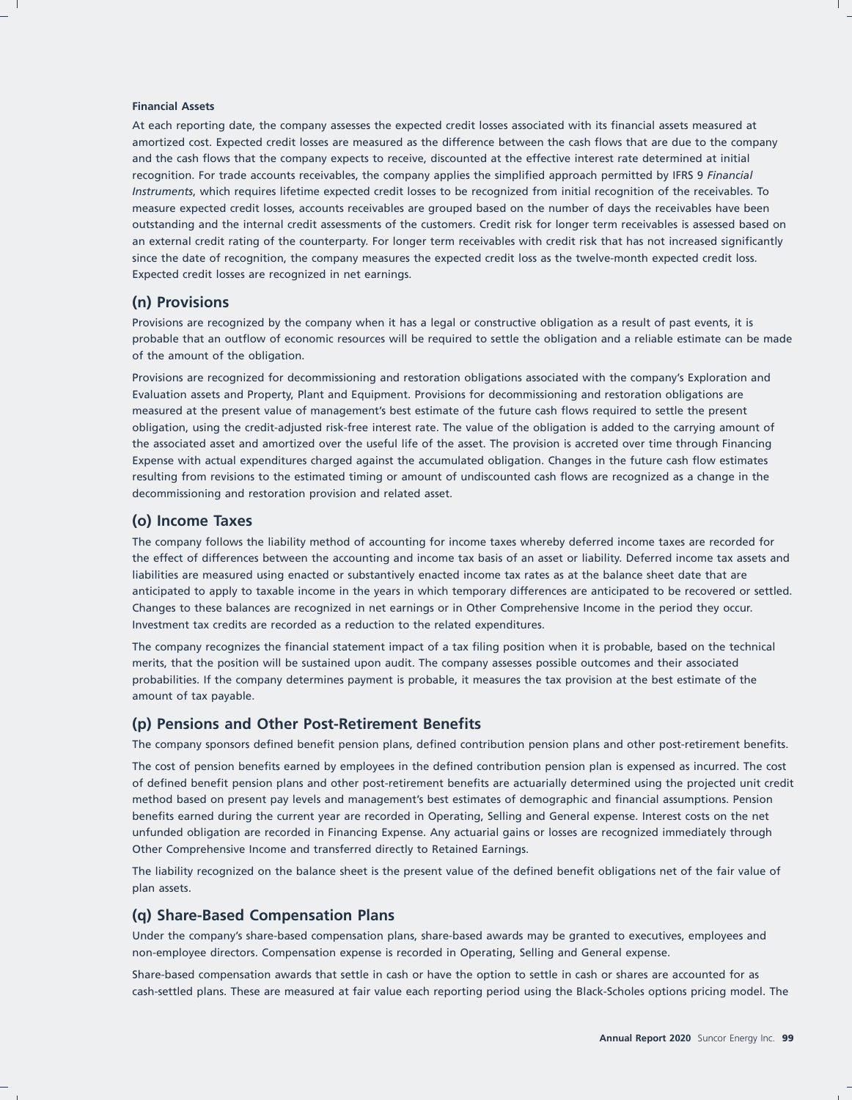#### **Financial Assets**

At each reporting date, the company assesses the expected credit losses associated with its financial assets measured at amortized cost. Expected credit losses are measured as the difference between the cash flows that are due to the company and the cash flows that the company expects to receive, discounted at the effective interest rate determined at initial recognition. For trade accounts receivables, the company applies the simplified approach permitted by IFRS 9 *Financial Instruments*, which requires lifetime expected credit losses to be recognized from initial recognition of the receivables. To measure expected credit losses, accounts receivables are grouped based on the number of days the receivables have been outstanding and the internal credit assessments of the customers. Credit risk for longer term receivables is assessed based on an external credit rating of the counterparty. For longer term receivables with credit risk that has not increased significantly since the date of recognition, the company measures the expected credit loss as the twelve-month expected credit loss. Expected credit losses are recognized in net earnings.

### **(n) Provisions**

Provisions are recognized by the company when it has a legal or constructive obligation as a result of past events, it is probable that an outflow of economic resources will be required to settle the obligation and a reliable estimate can be made of the amount of the obligation.

Provisions are recognized for decommissioning and restoration obligations associated with the company's Exploration and Evaluation assets and Property, Plant and Equipment. Provisions for decommissioning and restoration obligations are measured at the present value of management's best estimate of the future cash flows required to settle the present obligation, using the credit-adjusted risk-free interest rate. The value of the obligation is added to the carrying amount of the associated asset and amortized over the useful life of the asset. The provision is accreted over time through Financing Expense with actual expenditures charged against the accumulated obligation. Changes in the future cash flow estimates resulting from revisions to the estimated timing or amount of undiscounted cash flows are recognized as a change in the decommissioning and restoration provision and related asset.

### **(o) Income Taxes**

The company follows the liability method of accounting for income taxes whereby deferred income taxes are recorded for the effect of differences between the accounting and income tax basis of an asset or liability. Deferred income tax assets and liabilities are measured using enacted or substantively enacted income tax rates as at the balance sheet date that are anticipated to apply to taxable income in the years in which temporary differences are anticipated to be recovered or settled. Changes to these balances are recognized in net earnings or in Other Comprehensive Income in the period they occur. Investment tax credits are recorded as a reduction to the related expenditures.

The company recognizes the financial statement impact of a tax filing position when it is probable, based on the technical merits, that the position will be sustained upon audit. The company assesses possible outcomes and their associated probabilities. If the company determines payment is probable, it measures the tax provision at the best estimate of the amount of tax payable.

### **(p) Pensions and Other Post-Retirement Benefits**

The company sponsors defined benefit pension plans, defined contribution pension plans and other post-retirement benefits.

The cost of pension benefits earned by employees in the defined contribution pension plan is expensed as incurred. The cost of defined benefit pension plans and other post-retirement benefits are actuarially determined using the projected unit credit method based on present pay levels and management's best estimates of demographic and financial assumptions. Pension benefits earned during the current year are recorded in Operating, Selling and General expense. Interest costs on the net unfunded obligation are recorded in Financing Expense. Any actuarial gains or losses are recognized immediately through Other Comprehensive Income and transferred directly to Retained Earnings.

The liability recognized on the balance sheet is the present value of the defined benefit obligations net of the fair value of plan assets.

### **(q) Share-Based Compensation Plans**

Under the company's share-based compensation plans, share-based awards may be granted to executives, employees and non-employee directors. Compensation expense is recorded in Operating, Selling and General expense.

Share-based compensation awards that settle in cash or have the option to settle in cash or shares are accounted for as cash-settled plans. These are measured at fair value each reporting period using the Black-Scholes options pricing model. The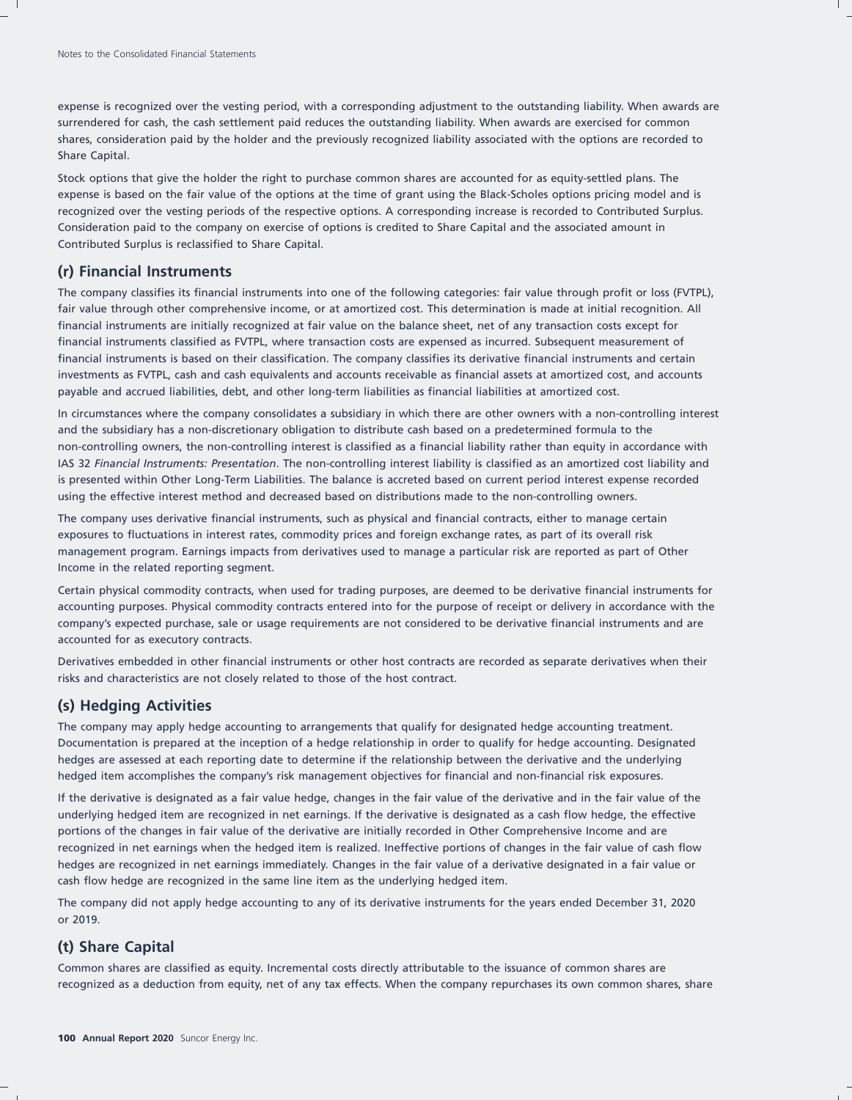expense is recognized over the vesting period, with a corresponding adjustment to the outstanding liability. When awards are surrendered for cash, the cash settlement paid reduces the outstanding liability. When awards are exercised for common shares, consideration paid by the holder and the previously recognized liability associated with the options are recorded to Share Capital.

Stock options that give the holder the right to purchase common shares are accounted for as equity-settled plans. The expense is based on the fair value of the options at the time of grant using the Black-Scholes options pricing model and is recognized over the vesting periods of the respective options. A corresponding increase is recorded to Contributed Surplus. Consideration paid to the company on exercise of options is credited to Share Capital and the associated amount in Contributed Surplus is reclassified to Share Capital.

### **(r) Financial Instruments**

The company classifies its financial instruments into one of the following categories: fair value through profit or loss (FVTPL), fair value through other comprehensive income, or at amortized cost. This determination is made at initial recognition. All financial instruments are initially recognized at fair value on the balance sheet, net of any transaction costs except for financial instruments classified as FVTPL, where transaction costs are expensed as incurred. Subsequent measurement of financial instruments is based on their classification. The company classifies its derivative financial instruments and certain investments as FVTPL, cash and cash equivalents and accounts receivable as financial assets at amortized cost, and accounts payable and accrued liabilities, debt, and other long-term liabilities as financial liabilities at amortized cost.

In circumstances where the company consolidates a subsidiary in which there are other owners with a non-controlling interest and the subsidiary has a non-discretionary obligation to distribute cash based on a predetermined formula to the non-controlling owners, the non-controlling interest is classified as a financial liability rather than equity in accordance with IAS 32 *Financial Instruments: Presentation*. The non-controlling interest liability is classified as an amortized cost liability and is presented within Other Long-Term Liabilities. The balance is accreted based on current period interest expense recorded using the effective interest method and decreased based on distributions made to the non-controlling owners.

The company uses derivative financial instruments, such as physical and financial contracts, either to manage certain exposures to fluctuations in interest rates, commodity prices and foreign exchange rates, as part of its overall risk management program. Earnings impacts from derivatives used to manage a particular risk are reported as part of Other Income in the related reporting segment.

Certain physical commodity contracts, when used for trading purposes, are deemed to be derivative financial instruments for accounting purposes. Physical commodity contracts entered into for the purpose of receipt or delivery in accordance with the company's expected purchase, sale or usage requirements are not considered to be derivative financial instruments and are accounted for as executory contracts.

Derivatives embedded in other financial instruments or other host contracts are recorded as separate derivatives when their risks and characteristics are not closely related to those of the host contract.

## **(s) Hedging Activities**

The company may apply hedge accounting to arrangements that qualify for designated hedge accounting treatment. Documentation is prepared at the inception of a hedge relationship in order to qualify for hedge accounting. Designated hedges are assessed at each reporting date to determine if the relationship between the derivative and the underlying hedged item accomplishes the company's risk management objectives for financial and non-financial risk exposures.

If the derivative is designated as a fair value hedge, changes in the fair value of the derivative and in the fair value of the underlying hedged item are recognized in net earnings. If the derivative is designated as a cash flow hedge, the effective portions of the changes in fair value of the derivative are initially recorded in Other Comprehensive Income and are recognized in net earnings when the hedged item is realized. Ineffective portions of changes in the fair value of cash flow hedges are recognized in net earnings immediately. Changes in the fair value of a derivative designated in a fair value or cash flow hedge are recognized in the same line item as the underlying hedged item.

The company did not apply hedge accounting to any of its derivative instruments for the years ended December 31, 2020 or 2019.

## **(t) Share Capital**

Common shares are classified as equity. Incremental costs directly attributable to the issuance of common shares are recognized as a deduction from equity, net of any tax effects. When the company repurchases its own common shares, share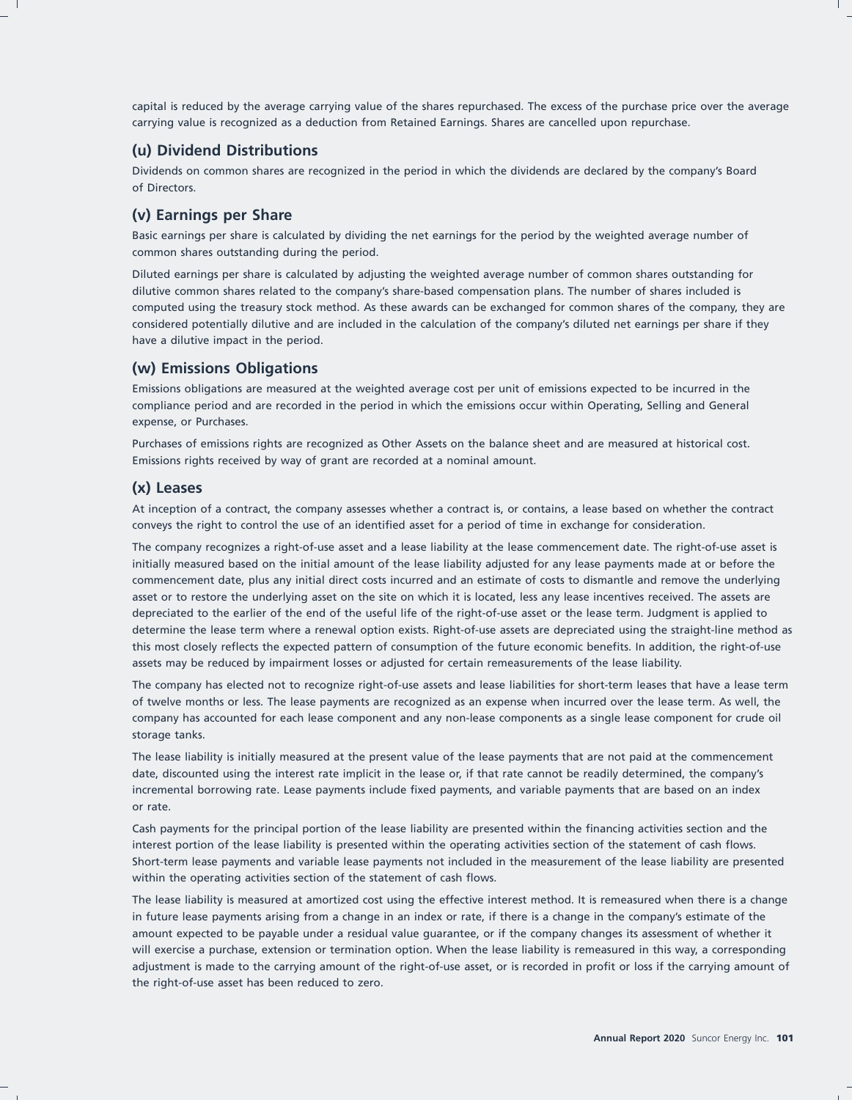capital is reduced by the average carrying value of the shares repurchased. The excess of the purchase price over the average carrying value is recognized as a deduction from Retained Earnings. Shares are cancelled upon repurchase.

## **(u) Dividend Distributions**

Dividends on common shares are recognized in the period in which the dividends are declared by the company's Board of Directors.

## **(v) Earnings per Share**

Basic earnings per share is calculated by dividing the net earnings for the period by the weighted average number of common shares outstanding during the period.

Diluted earnings per share is calculated by adjusting the weighted average number of common shares outstanding for dilutive common shares related to the company's share-based compensation plans. The number of shares included is computed using the treasury stock method. As these awards can be exchanged for common shares of the company, they are considered potentially dilutive and are included in the calculation of the company's diluted net earnings per share if they have a dilutive impact in the period.

## **(w) Emissions Obligations**

Emissions obligations are measured at the weighted average cost per unit of emissions expected to be incurred in the compliance period and are recorded in the period in which the emissions occur within Operating, Selling and General expense, or Purchases.

Purchases of emissions rights are recognized as Other Assets on the balance sheet and are measured at historical cost. Emissions rights received by way of grant are recorded at a nominal amount.

## **(x) Leases**

At inception of a contract, the company assesses whether a contract is, or contains, a lease based on whether the contract conveys the right to control the use of an identified asset for a period of time in exchange for consideration.

The company recognizes a right-of-use asset and a lease liability at the lease commencement date. The right-of-use asset is initially measured based on the initial amount of the lease liability adjusted for any lease payments made at or before the commencement date, plus any initial direct costs incurred and an estimate of costs to dismantle and remove the underlying asset or to restore the underlying asset on the site on which it is located, less any lease incentives received. The assets are depreciated to the earlier of the end of the useful life of the right-of-use asset or the lease term. Judgment is applied to determine the lease term where a renewal option exists. Right-of-use assets are depreciated using the straight-line method as this most closely reflects the expected pattern of consumption of the future economic benefits. In addition, the right-of-use assets may be reduced by impairment losses or adjusted for certain remeasurements of the lease liability.

The company has elected not to recognize right-of-use assets and lease liabilities for short-term leases that have a lease term of twelve months or less. The lease payments are recognized as an expense when incurred over the lease term. As well, the company has accounted for each lease component and any non-lease components as a single lease component for crude oil storage tanks.

The lease liability is initially measured at the present value of the lease payments that are not paid at the commencement date, discounted using the interest rate implicit in the lease or, if that rate cannot be readily determined, the company's incremental borrowing rate. Lease payments include fixed payments, and variable payments that are based on an index or rate.

Cash payments for the principal portion of the lease liability are presented within the financing activities section and the interest portion of the lease liability is presented within the operating activities section of the statement of cash flows. Short-term lease payments and variable lease payments not included in the measurement of the lease liability are presented within the operating activities section of the statement of cash flows.

The lease liability is measured at amortized cost using the effective interest method. It is remeasured when there is a change in future lease payments arising from a change in an index or rate, if there is a change in the company's estimate of the amount expected to be payable under a residual value guarantee, or if the company changes its assessment of whether it will exercise a purchase, extension or termination option. When the lease liability is remeasured in this way, a corresponding adjustment is made to the carrying amount of the right-of-use asset, or is recorded in profit or loss if the carrying amount of the right-of-use asset has been reduced to zero.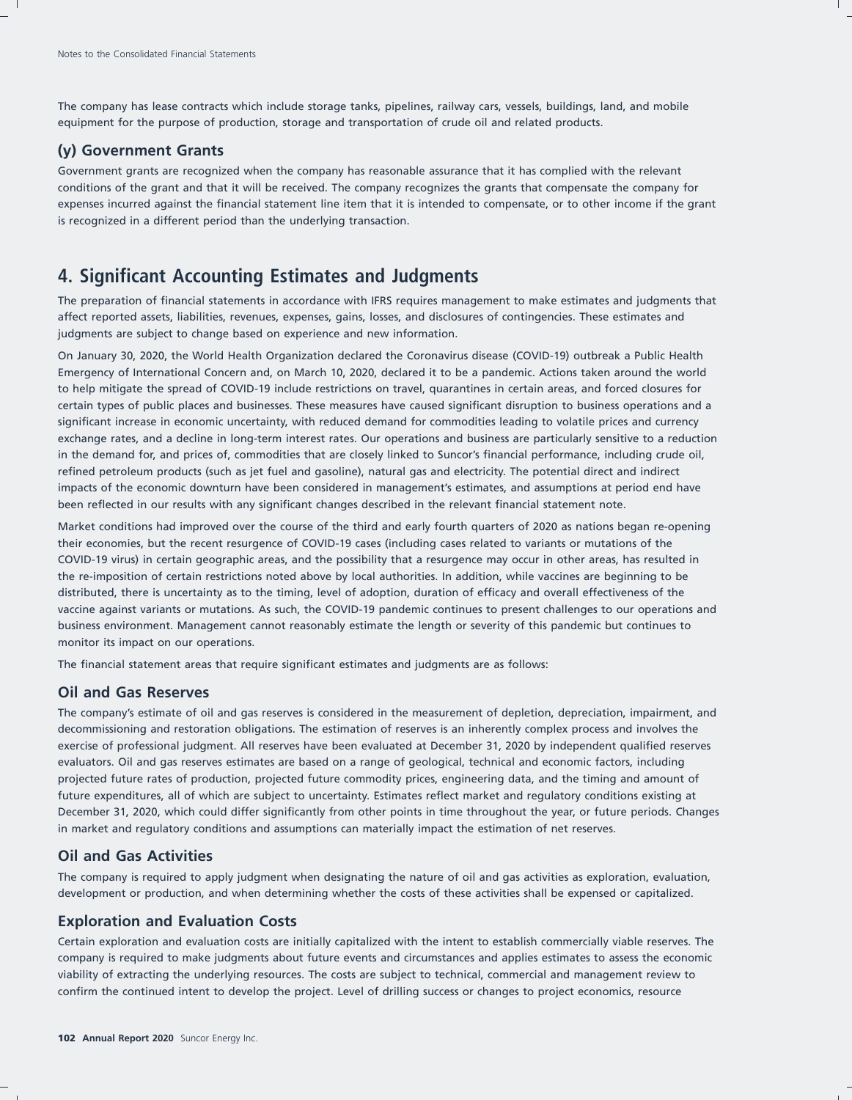The company has lease contracts which include storage tanks, pipelines, railway cars, vessels, buildings, land, and mobile equipment for the purpose of production, storage and transportation of crude oil and related products.

## **(y) Government Grants**

Government grants are recognized when the company has reasonable assurance that it has complied with the relevant conditions of the grant and that it will be received. The company recognizes the grants that compensate the company for expenses incurred against the financial statement line item that it is intended to compensate, or to other income if the grant is recognized in a different period than the underlying transaction.

## **4. Significant Accounting Estimates and Judgments**

The preparation of financial statements in accordance with IFRS requires management to make estimates and judgments that affect reported assets, liabilities, revenues, expenses, gains, losses, and disclosures of contingencies. These estimates and judgments are subject to change based on experience and new information.

On January 30, 2020, the World Health Organization declared the Coronavirus disease (COVID-19) outbreak a Public Health Emergency of International Concern and, on March 10, 2020, declared it to be a pandemic. Actions taken around the world to help mitigate the spread of COVID-19 include restrictions on travel, quarantines in certain areas, and forced closures for certain types of public places and businesses. These measures have caused significant disruption to business operations and a significant increase in economic uncertainty, with reduced demand for commodities leading to volatile prices and currency exchange rates, and a decline in long-term interest rates. Our operations and business are particularly sensitive to a reduction in the demand for, and prices of, commodities that are closely linked to Suncor's financial performance, including crude oil, refined petroleum products (such as jet fuel and gasoline), natural gas and electricity. The potential direct and indirect impacts of the economic downturn have been considered in management's estimates, and assumptions at period end have been reflected in our results with any significant changes described in the relevant financial statement note.

Market conditions had improved over the course of the third and early fourth quarters of 2020 as nations began re-opening their economies, but the recent resurgence of COVID-19 cases (including cases related to variants or mutations of the COVID-19 virus) in certain geographic areas, and the possibility that a resurgence may occur in other areas, has resulted in the re-imposition of certain restrictions noted above by local authorities. In addition, while vaccines are beginning to be distributed, there is uncertainty as to the timing, level of adoption, duration of efficacy and overall effectiveness of the vaccine against variants or mutations. As such, the COVID-19 pandemic continues to present challenges to our operations and business environment. Management cannot reasonably estimate the length or severity of this pandemic but continues to monitor its impact on our operations.

The financial statement areas that require significant estimates and judgments are as follows:

### **Oil and Gas Reserves**

The company's estimate of oil and gas reserves is considered in the measurement of depletion, depreciation, impairment, and decommissioning and restoration obligations. The estimation of reserves is an inherently complex process and involves the exercise of professional judgment. All reserves have been evaluated at December 31, 2020 by independent qualified reserves evaluators. Oil and gas reserves estimates are based on a range of geological, technical and economic factors, including projected future rates of production, projected future commodity prices, engineering data, and the timing and amount of future expenditures, all of which are subject to uncertainty. Estimates reflect market and regulatory conditions existing at December 31, 2020, which could differ significantly from other points in time throughout the year, or future periods. Changes in market and regulatory conditions and assumptions can materially impact the estimation of net reserves.

## **Oil and Gas Activities**

The company is required to apply judgment when designating the nature of oil and gas activities as exploration, evaluation, development or production, and when determining whether the costs of these activities shall be expensed or capitalized.

### **Exploration and Evaluation Costs**

Certain exploration and evaluation costs are initially capitalized with the intent to establish commercially viable reserves. The company is required to make judgments about future events and circumstances and applies estimates to assess the economic viability of extracting the underlying resources. The costs are subject to technical, commercial and management review to confirm the continued intent to develop the project. Level of drilling success or changes to project economics, resource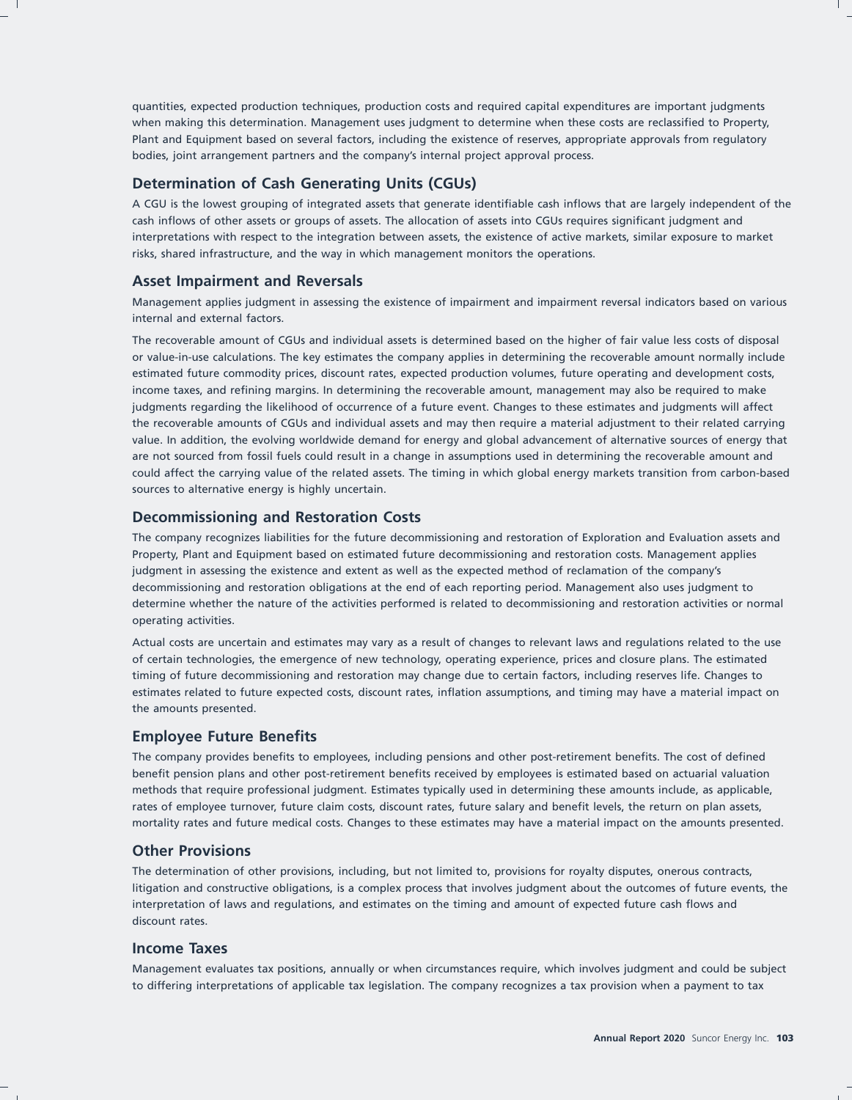quantities, expected production techniques, production costs and required capital expenditures are important judgments when making this determination. Management uses judgment to determine when these costs are reclassified to Property, Plant and Equipment based on several factors, including the existence of reserves, appropriate approvals from regulatory bodies, joint arrangement partners and the company's internal project approval process.

## **Determination of Cash Generating Units (CGUs)**

A CGU is the lowest grouping of integrated assets that generate identifiable cash inflows that are largely independent of the cash inflows of other assets or groups of assets. The allocation of assets into CGUs requires significant judgment and interpretations with respect to the integration between assets, the existence of active markets, similar exposure to market risks, shared infrastructure, and the way in which management monitors the operations.

## **Asset Impairment and Reversals**

Management applies judgment in assessing the existence of impairment and impairment reversal indicators based on various internal and external factors.

The recoverable amount of CGUs and individual assets is determined based on the higher of fair value less costs of disposal or value-in-use calculations. The key estimates the company applies in determining the recoverable amount normally include estimated future commodity prices, discount rates, expected production volumes, future operating and development costs, income taxes, and refining margins. In determining the recoverable amount, management may also be required to make judgments regarding the likelihood of occurrence of a future event. Changes to these estimates and judgments will affect the recoverable amounts of CGUs and individual assets and may then require a material adjustment to their related carrying value. In addition, the evolving worldwide demand for energy and global advancement of alternative sources of energy that are not sourced from fossil fuels could result in a change in assumptions used in determining the recoverable amount and could affect the carrying value of the related assets. The timing in which global energy markets transition from carbon-based sources to alternative energy is highly uncertain.

## **Decommissioning and Restoration Costs**

The company recognizes liabilities for the future decommissioning and restoration of Exploration and Evaluation assets and Property, Plant and Equipment based on estimated future decommissioning and restoration costs. Management applies judgment in assessing the existence and extent as well as the expected method of reclamation of the company's decommissioning and restoration obligations at the end of each reporting period. Management also uses judgment to determine whether the nature of the activities performed is related to decommissioning and restoration activities or normal operating activities.

Actual costs are uncertain and estimates may vary as a result of changes to relevant laws and regulations related to the use of certain technologies, the emergence of new technology, operating experience, prices and closure plans. The estimated timing of future decommissioning and restoration may change due to certain factors, including reserves life. Changes to estimates related to future expected costs, discount rates, inflation assumptions, and timing may have a material impact on the amounts presented.

## **Employee Future Benefits**

The company provides benefits to employees, including pensions and other post-retirement benefits. The cost of defined benefit pension plans and other post-retirement benefits received by employees is estimated based on actuarial valuation methods that require professional judgment. Estimates typically used in determining these amounts include, as applicable, rates of employee turnover, future claim costs, discount rates, future salary and benefit levels, the return on plan assets, mortality rates and future medical costs. Changes to these estimates may have a material impact on the amounts presented.

## **Other Provisions**

The determination of other provisions, including, but not limited to, provisions for royalty disputes, onerous contracts, litigation and constructive obligations, is a complex process that involves judgment about the outcomes of future events, the interpretation of laws and regulations, and estimates on the timing and amount of expected future cash flows and discount rates.

### **Income Taxes**

Management evaluates tax positions, annually or when circumstances require, which involves judgment and could be subject to differing interpretations of applicable tax legislation. The company recognizes a tax provision when a payment to tax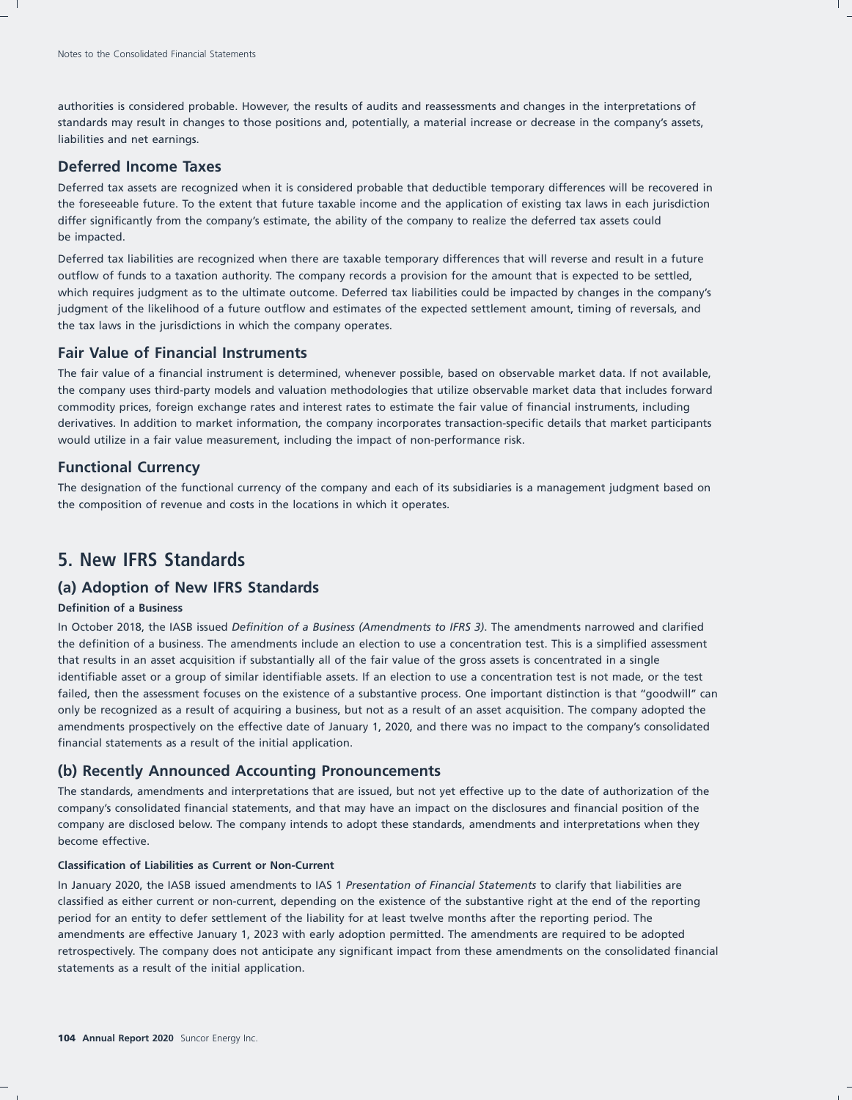authorities is considered probable. However, the results of audits and reassessments and changes in the interpretations of standards may result in changes to those positions and, potentially, a material increase or decrease in the company's assets, liabilities and net earnings.

## **Deferred Income Taxes**

Deferred tax assets are recognized when it is considered probable that deductible temporary differences will be recovered in the foreseeable future. To the extent that future taxable income and the application of existing tax laws in each jurisdiction differ significantly from the company's estimate, the ability of the company to realize the deferred tax assets could be impacted.

Deferred tax liabilities are recognized when there are taxable temporary differences that will reverse and result in a future outflow of funds to a taxation authority. The company records a provision for the amount that is expected to be settled, which requires judgment as to the ultimate outcome. Deferred tax liabilities could be impacted by changes in the company's judgment of the likelihood of a future outflow and estimates of the expected settlement amount, timing of reversals, and the tax laws in the jurisdictions in which the company operates.

### **Fair Value of Financial Instruments**

The fair value of a financial instrument is determined, whenever possible, based on observable market data. If not available, the company uses third-party models and valuation methodologies that utilize observable market data that includes forward commodity prices, foreign exchange rates and interest rates to estimate the fair value of financial instruments, including derivatives. In addition to market information, the company incorporates transaction-specific details that market participants would utilize in a fair value measurement, including the impact of non-performance risk.

### **Functional Currency**

The designation of the functional currency of the company and each of its subsidiaries is a management judgment based on the composition of revenue and costs in the locations in which it operates.

## **5. New IFRS Standards**

### **(a) Adoption of New IFRS Standards**

#### **Definition of a Business**

In October 2018, the IASB issued *Definition of a Business (Amendments to IFRS 3)*. The amendments narrowed and clarified the definition of a business. The amendments include an election to use a concentration test. This is a simplified assessment that results in an asset acquisition if substantially all of the fair value of the gross assets is concentrated in a single identifiable asset or a group of similar identifiable assets. If an election to use a concentration test is not made, or the test failed, then the assessment focuses on the existence of a substantive process. One important distinction is that "goodwill" can only be recognized as a result of acquiring a business, but not as a result of an asset acquisition. The company adopted the amendments prospectively on the effective date of January 1, 2020, and there was no impact to the company's consolidated financial statements as a result of the initial application.

### **(b) Recently Announced Accounting Pronouncements**

The standards, amendments and interpretations that are issued, but not yet effective up to the date of authorization of the company's consolidated financial statements, and that may have an impact on the disclosures and financial position of the company are disclosed below. The company intends to adopt these standards, amendments and interpretations when they become effective.

#### **Classification of Liabilities as Current or Non-Current**

In January 2020, the IASB issued amendments to IAS 1 *Presentation of Financial Statements* to clarify that liabilities are classified as either current or non-current, depending on the existence of the substantive right at the end of the reporting period for an entity to defer settlement of the liability for at least twelve months after the reporting period. The amendments are effective January 1, 2023 with early adoption permitted. The amendments are required to be adopted retrospectively. The company does not anticipate any significant impact from these amendments on the consolidated financial statements as a result of the initial application.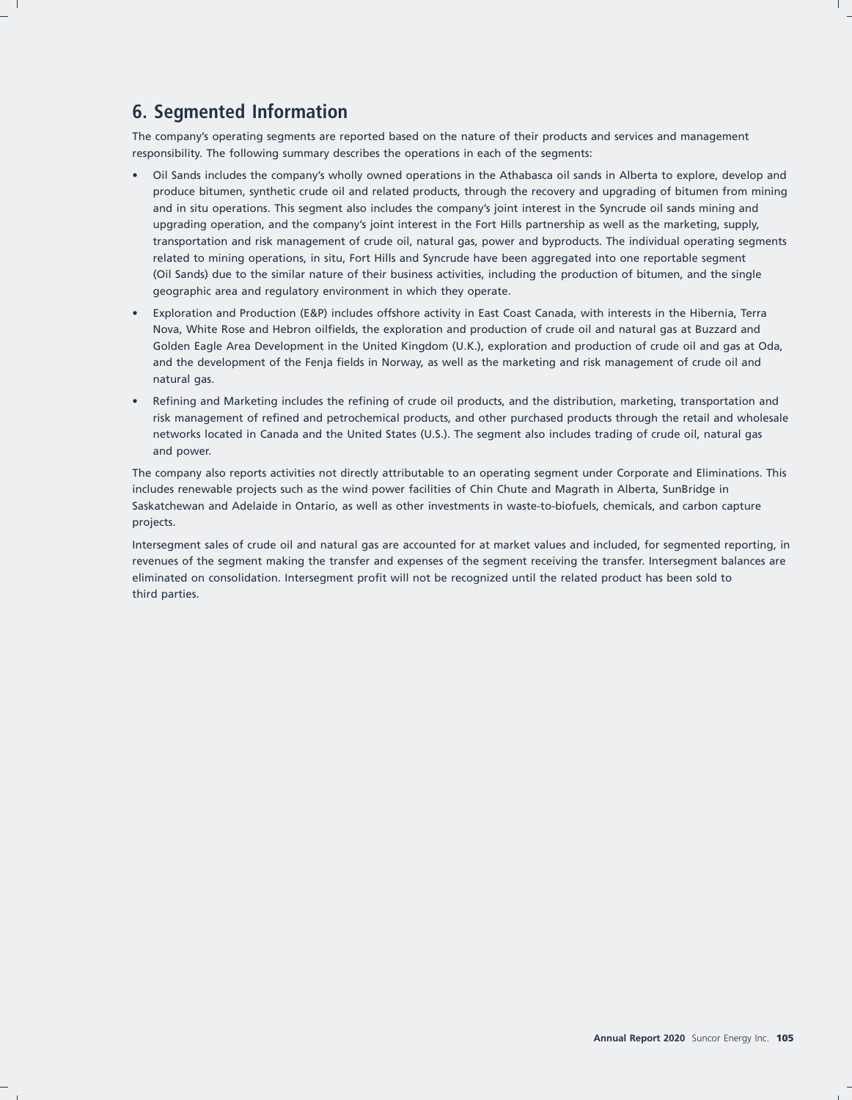# **6. Segmented Information**

The company's operating segments are reported based on the nature of their products and services and management responsibility. The following summary describes the operations in each of the segments:

- Oil Sands includes the company's wholly owned operations in the Athabasca oil sands in Alberta to explore, develop and produce bitumen, synthetic crude oil and related products, through the recovery and upgrading of bitumen from mining and in situ operations. This segment also includes the company's joint interest in the Syncrude oil sands mining and upgrading operation, and the company's joint interest in the Fort Hills partnership as well as the marketing, supply, transportation and risk management of crude oil, natural gas, power and byproducts. The individual operating segments related to mining operations, in situ, Fort Hills and Syncrude have been aggregated into one reportable segment (Oil Sands) due to the similar nature of their business activities, including the production of bitumen, and the single geographic area and regulatory environment in which they operate.
- Exploration and Production (E&P) includes offshore activity in East Coast Canada, with interests in the Hibernia, Terra Nova, White Rose and Hebron oilfields, the exploration and production of crude oil and natural gas at Buzzard and Golden Eagle Area Development in the United Kingdom (U.K.), exploration and production of crude oil and gas at Oda, and the development of the Fenja fields in Norway, as well as the marketing and risk management of crude oil and natural gas.
- Refining and Marketing includes the refining of crude oil products, and the distribution, marketing, transportation and risk management of refined and petrochemical products, and other purchased products through the retail and wholesale networks located in Canada and the United States (U.S.). The segment also includes trading of crude oil, natural gas and power.

The company also reports activities not directly attributable to an operating segment under Corporate and Eliminations. This includes renewable projects such as the wind power facilities of Chin Chute and Magrath in Alberta, SunBridge in Saskatchewan and Adelaide in Ontario, as well as other investments in waste-to-biofuels, chemicals, and carbon capture projects.

Intersegment sales of crude oil and natural gas are accounted for at market values and included, for segmented reporting, in revenues of the segment making the transfer and expenses of the segment receiving the transfer. Intersegment balances are eliminated on consolidation. Intersegment profit will not be recognized until the related product has been sold to third parties.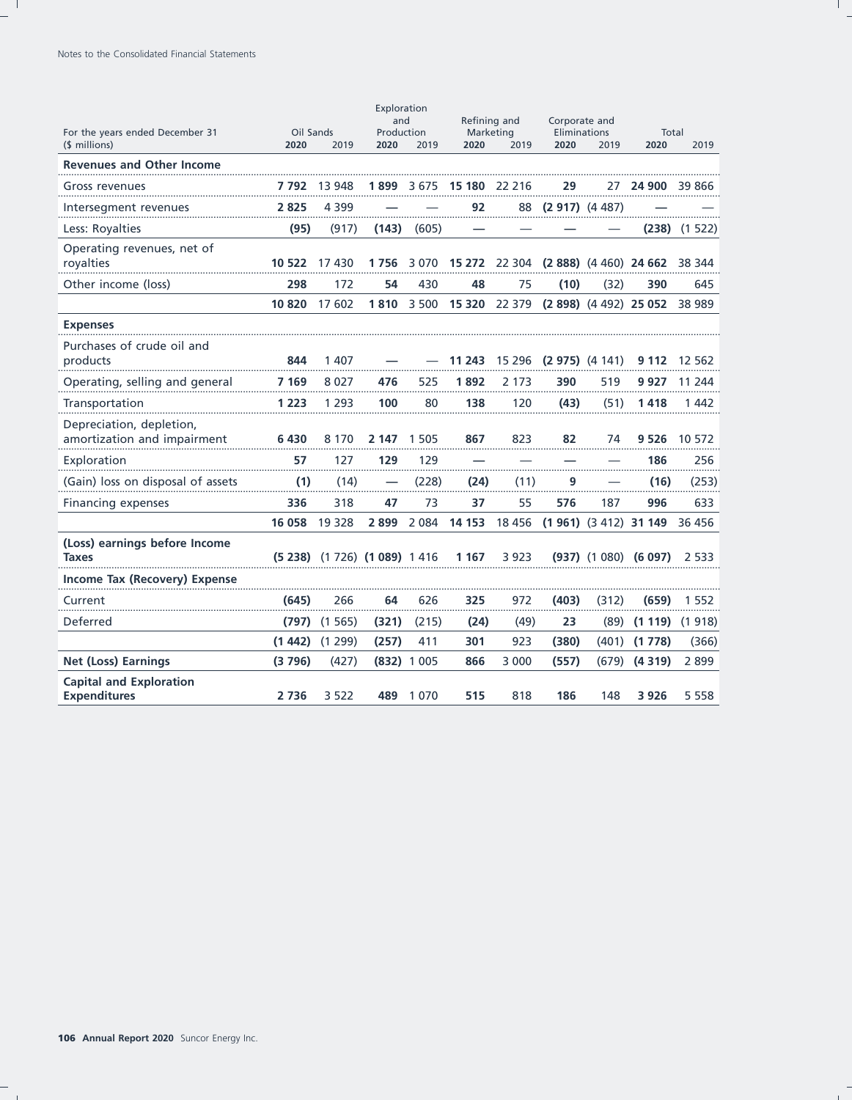|                                                         |                   |                                 | Exploration<br>and |               | Refining and      |          | Corporate and          |                          |                                      |         |
|---------------------------------------------------------|-------------------|---------------------------------|--------------------|---------------|-------------------|----------|------------------------|--------------------------|--------------------------------------|---------|
| For the years ended December 31<br>(\$ millions)        | Oil Sands<br>2020 | 2019                            | Production<br>2020 | 2019          | Marketing<br>2020 | 2019     | Eliminations<br>2020   | 2019                     | Total<br>2020                        | 2019    |
| <b>Revenues and Other Income</b>                        |                   |                                 |                    |               |                   |          |                        |                          |                                      |         |
| Gross revenues                                          | 7 792             | 13 948                          | 1 899              | 3675          | 15 180 22 216     |          | 29                     | 27                       | 24 900                               | 39 866  |
| Intersegment revenues                                   | 2825              | 4 3 9 9                         |                    |               | 92                |          | 88 (2 917) (4 487)     |                          |                                      |         |
| Less: Royalties                                         | (95)              | (917)                           | (143)              | (605)         |                   |          |                        |                          | (238)                                | (1522)  |
| Operating revenues, net of<br>royalties                 | 10 522            | 17430                           | 1756               | 3070          |                   |          |                        |                          | 15 272 22 304 (2 888) (4 460) 24 662 | 38 344  |
| Other income (loss)                                     | 298               | 172                             | 54                 | 430           | 48                | 75       | (10)                   | (32)                     | 390                                  | 645     |
|                                                         | 10820             | 17 602                          | 1810               | 3 500         | 15 320            | 22 379   |                        | $(2898)$ $(4492)$ 25 052 |                                      | 38 989  |
| <b>Expenses</b>                                         |                   |                                 |                    |               |                   |          |                        |                          |                                      |         |
| Purchases of crude oil and<br>products                  | 844               | 1 407                           |                    |               | 11 243            |          | 15 296 (2 975) (4 141) |                          | 9 112                                | 12 562  |
| Operating, selling and general                          | 7 169             | 8027                            | 476                | 525           | 1892              | 2 173    | 390                    | 519                      | 9 927                                | 11 244  |
| Transportation                                          | 1 223             | 1 2 9 3                         | 100                | 80            | 138               | 120      | (43)                   | (51)                     | 1418                                 | 1 442   |
| Depreciation, depletion,<br>amortization and impairment | 6430              | 8 1 7 0                         | 2 147              | 1 5 0 5       | 867               | 823      | 82                     | 74                       | 9 5 2 6                              | 10 572  |
| Exploration                                             | 57                | 127                             | 129                | 129           |                   |          |                        |                          | 186                                  | 256     |
| (Gain) loss on disposal of assets                       | .<br>(1)          | (14)                            |                    | (228)         | (24)              | (11)     | 9                      |                          | (16)                                 | (253)   |
| <b>Financing expenses</b>                               | 336               | 318                             | 47                 | 73            | 37                | 55       | 576                    | 187                      | 996                                  | 633     |
|                                                         | 16 058            | 19 3 28                         | 2899               | 2 0 8 4       | 14 153            | 18 4 5 6 |                        | $(1961)$ $(3412)$ 31 149 |                                      | 36 45 6 |
| (Loss) earnings before Income<br><b>Taxes</b>           |                   | $(5238)$ $(1726)$ $(1089)$ 1416 |                    |               | 1 1 6 7           | 3 9 2 3  |                        |                          | $(937)$ $(1080)$ $(6097)$            | 2 5 3 3 |
| Income Tax (Recovery) Expense                           |                   |                                 |                    |               |                   |          |                        |                          |                                      |         |
| Current                                                 | (645)             | 266                             | 64                 | 626           | 325               | 972      | (403)                  | (312)                    | (659)                                | 1 552   |
| Deferred                                                | (797)             | (1565)                          | (321)              | (215)         | (24)              | (49)     | 23                     | (89)                     | (1119)                               | (1918)  |
|                                                         | (1442)            | (1299)                          | (257)              | 411           | 301               | 923      | (380)                  | (401)                    | (1778)                               | (366)   |
| <b>Net (Loss) Earnings</b>                              | (3796)            | (427)                           |                    | $(832)$ 1 005 | 866               | 3 0 0 0  | (557)                  | (679)                    | (4319)                               | 2899    |
| <b>Capital and Exploration</b><br><b>Expenditures</b>   | 2736              | 3 5 2 2                         | 489                | 1070          | 515               | 818      | 186                    | 148                      | 3 9 2 6                              | 5 5 5 8 |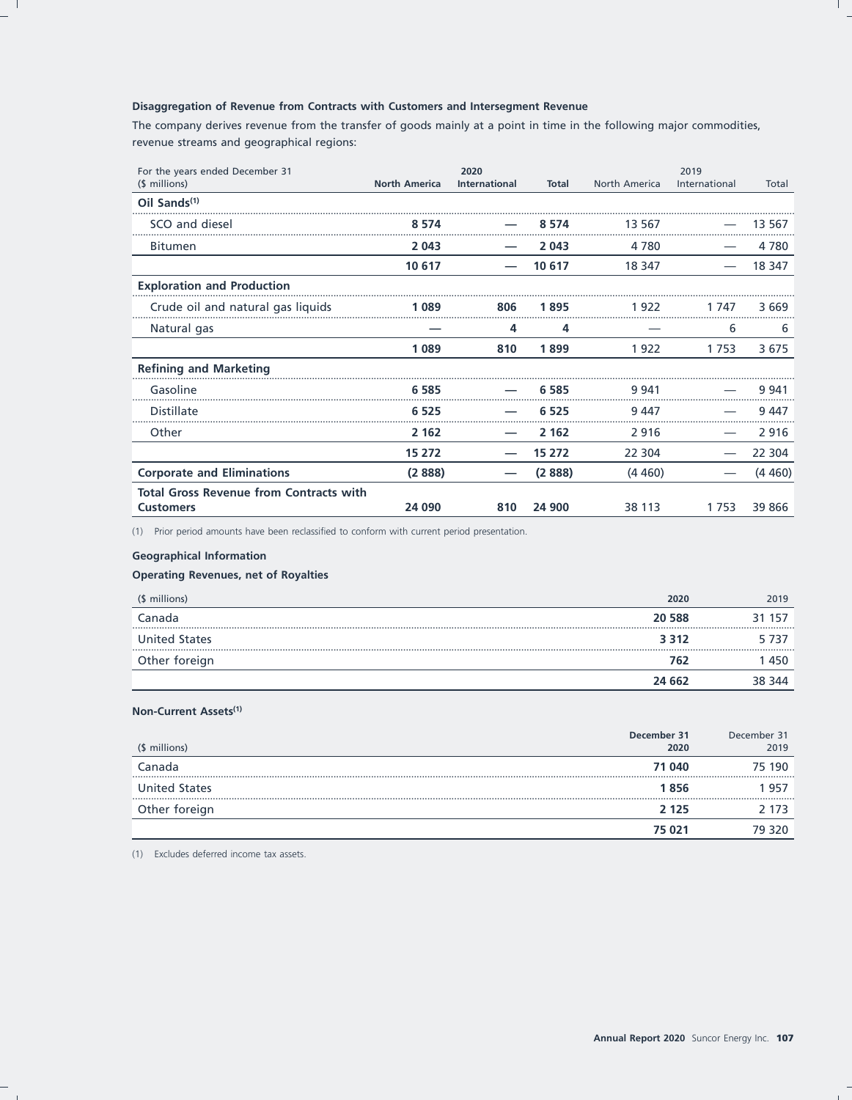### Disaggregation of Revenue from Contracts with Customers and Intersegment Revenue

The company derives revenue from the transfer of goods mainly at a point in time in the following major commodities, revenue streams and geographical regions:

| For the years ended December 31                |                      | 2020                 |              |               | 2019          |         |
|------------------------------------------------|----------------------|----------------------|--------------|---------------|---------------|---------|
| (\$ millions)                                  | <b>North America</b> | <b>International</b> | <b>Total</b> | North America | International | Total   |
| Oil Sands <sup>(1)</sup>                       |                      |                      |              |               |               |         |
| SCO and diesel                                 | 8 5 7 4              |                      | 8 5 7 4      | 13 5 6 7      |               | 13 567  |
| <b>Bitumen</b>                                 | 2 0 4 3              |                      | 2 0 4 3      | 4 7 8 0       |               | 4 7 8 0 |
|                                                | 10 617               |                      | 10 617       | 18 347        |               | 18 347  |
| <b>Exploration and Production</b>              |                      |                      |              |               |               |         |
| Crude oil and natural gas liquids              | 1089                 | 806                  | 1895         | 1922          | 1 747         | 3669    |
| Natural gas                                    |                      | 4                    | 4            |               | 6             | 6       |
|                                                | 1089                 | 810                  | 1899         | 1922          | 1753          | 3675    |
| <b>Refining and Marketing</b>                  |                      |                      |              |               |               |         |
| Gasoline                                       | 6 5 8 5              |                      | 6 5 8 5      | 9 941         |               | 9 9 4 1 |
| <b>Distillate</b>                              | 6 5 2 5              |                      | 6 5 2 5      | 9447          |               | 9447    |
| Other                                          | 2 1 6 2              |                      | 2 1 6 2      | 2916          |               | 2916    |
|                                                | 15 272               |                      | 15 272       | 22 304        |               | 22 304  |
| <b>Corporate and Eliminations</b>              | (2888)               |                      | (2888)       | (4460)        |               | (4460)  |
| <b>Total Gross Revenue from Contracts with</b> |                      |                      |              |               |               |         |
| <b>Customers</b>                               | 24 090               | 810                  | 24 900       | 38 113        | 1753          | 39 866  |

(1) Prior period amounts have been reclassified to conform with current period presentation.

### **Geographical Information**

### **Operating Revenues, net of Royalties**

| (\$ millions)        | 2020    | 2019   |
|----------------------|---------|--------|
| Canada               | 20 588  | 31 157 |
| <b>United States</b> | 3 3 1 2 | 5737   |
| Other foreign        | 762     | 450    |
|                      | 24 662  | 344    |

## Non-Current Assets<sup>(1)</sup>

| (\$ millions)        | December 31<br>2020 | December 31<br>2019 |
|----------------------|---------------------|---------------------|
| Canada               | 71 040              | 75 190              |
| <b>United States</b> | 1856                | 957                 |
| Other foreign        | 2 1 2 5             | 2 173               |
|                      | 75 021              | 79 320              |

(1) Excludes deferred income tax assets.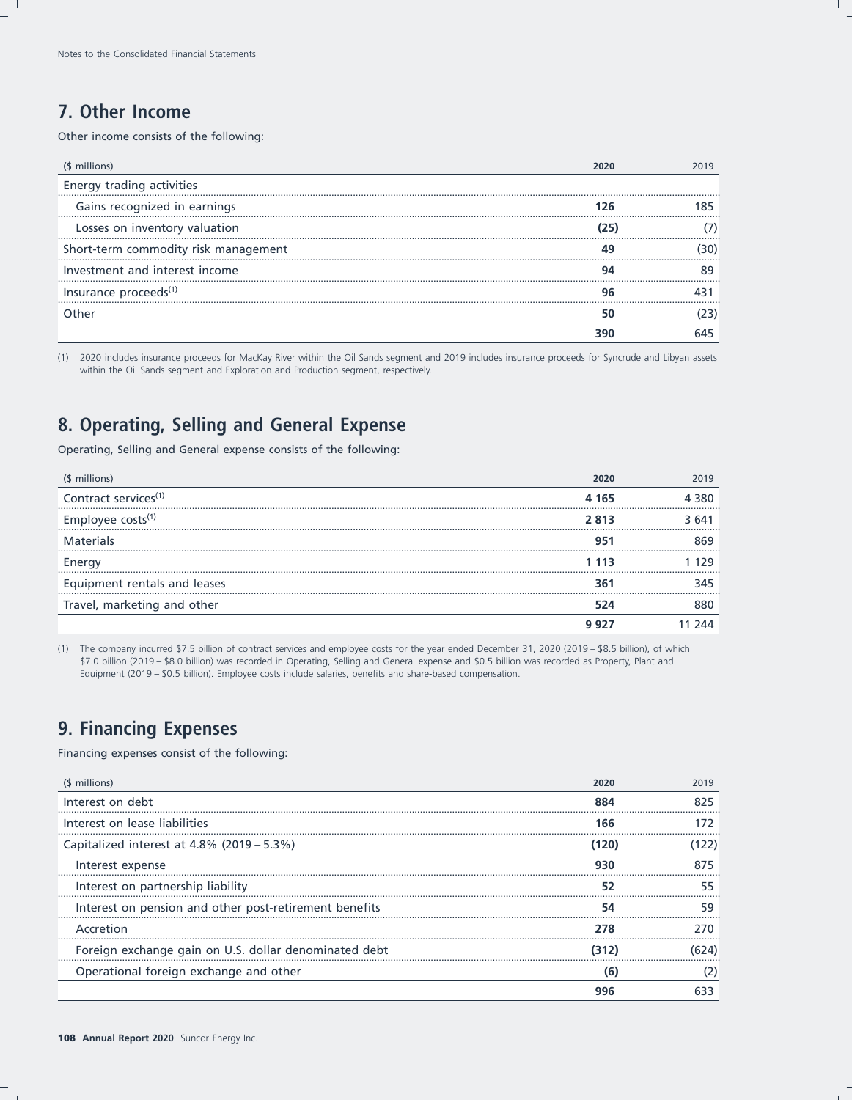# 7. Other Income

Other income consists of the following:

| (\$ millions)                        |    |
|--------------------------------------|----|
| Energy trading activities            |    |
| Gains recognized in earnings         | 85 |
| Losses on inventory valuation        |    |
| Short-term commodity risk management |    |
| Investment and interest income       |    |
| Insurance proceeds <sup>(1)</sup>    |    |
|                                      |    |
|                                      |    |

(1) 2020 includes insurance proceeds for MacKay River within the Oil Sands segment and 2019 includes insurance proceeds for Syncrude and Libyan assets within the Oil Sands segment and Exploration and Production segment, respectively.

# 8. Operating, Selling and General Expense

Operating, Selling and General expense consists of the following:

| (\$ millions)                    |       | 2019  |
|----------------------------------|-------|-------|
| Contract services <sup>(1)</sup> | 4 165 | 4 380 |
| Employee costs <sup>(1)</sup>    | 2 813 | 3.641 |
| <b>Materials</b>                 |       |       |
| Energy                           | -113  |       |
| Equipment rentals and leases     |       | 345   |
| Travel, marketing and other      |       |       |
|                                  |       |       |

(1) The company incurred \$7.5 billion of contract services and employee costs for the year ended December 31, 2020 (2019 - \$8.5 billion), of which \$7.0 billion (2019 - \$8.0 billion) was recorded in Operating, Selling and General expense and \$0.5 billion was recorded as Property, Plant and Equipment (2019 - \$0.5 billion). Employee costs include salaries, benefits and share-based compensation.

# **9. Financing Expenses**

Financing expenses consist of the following:

| (\$ millions)                                          |       | 2019 |
|--------------------------------------------------------|-------|------|
| Interest on debt                                       |       |      |
| Interest on lease liabilities                          | 166   |      |
| Capitalized interest at $4.8\%$ (2019 – 5.3%)          | (120) | 22)  |
| Interest expense                                       |       | 875  |
| Interest on partnership liability                      |       |      |
| Interest on pension and other post-retirement benefits |       |      |
| Accretion                                              |       |      |
| Foreign exchange gain on U.S. dollar denominated debt  |       |      |
| Operational foreign exchange and other                 | 61    |      |
|                                                        |       |      |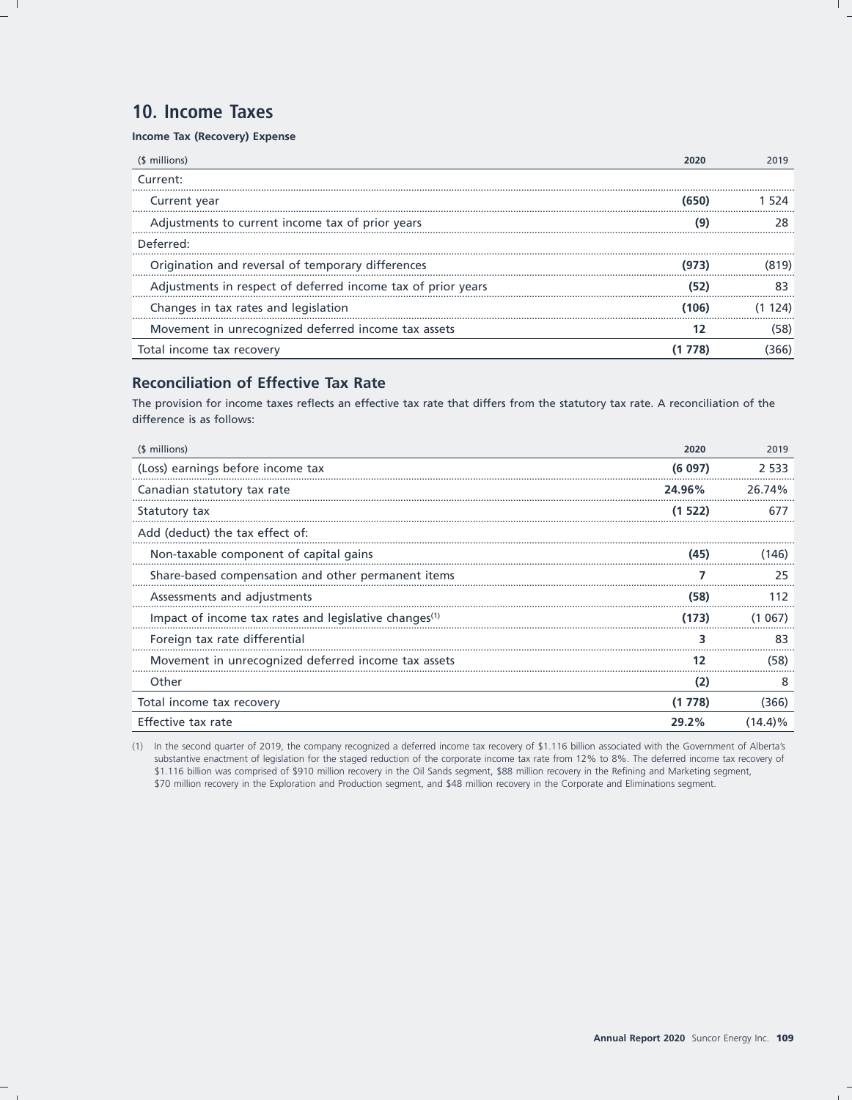# 10. Income Taxes

Income Tax (Recovery) Expense

| (\$ millions)                                                |      | 2019 |
|--------------------------------------------------------------|------|------|
| Current:                                                     |      |      |
| Current year                                                 |      |      |
| Adjustments to current income tax of prior years             |      |      |
| Deferred:                                                    |      |      |
| Origination and reversal of temporary differences            |      |      |
| Adjustments in respect of deferred income tax of prior years |      |      |
| Changes in tax rates and legislation                         | 106) |      |
| Movement in unrecognized deferred income tax assets          |      |      |
| Total income tax recovery                                    |      |      |

## **Reconciliation of Effective Tax Rate**

The provision for income taxes reflects an effective tax rate that differs from the statutory tax rate. A reconciliation of the difference is as follows:

| (\$ millions)                                                     | 2020   | 2019       |
|-------------------------------------------------------------------|--------|------------|
| (Loss) earnings before income tax                                 | (6097) | 2.533      |
| Canadian statutory tax rate                                       | 24.96% | 26.74%     |
| Statutory tax                                                     | (1522) |            |
| Add (deduct) the tax effect of:                                   |        |            |
| Non-taxable component of capital gains                            | (45)   | (146)      |
| Share-based compensation and other permanent items                |        | 25         |
| Assessments and adjustments                                       | (58)   |            |
| Impact of income tax rates and legislative changes <sup>(1)</sup> | (173)  | 067)       |
| Foreign tax rate differential                                     | ٦      | 83         |
| Movement in unrecognized deferred income tax assets               | 12     | (58)       |
| Other                                                             | (2)    | 8          |
| Total income tax recovery                                         | (1778) | (366)      |
| Effective tax rate                                                | 29.2%  | $(14.4)\%$ |

(1) In the second quarter of 2019, the company recognized a deferred income tax recovery of \$1.116 billion associated with the Government of Alberta's substantive enactment of legislation for the staged reduction of the corporate income tax rate from 12% to 8%. The deferred income tax recovery of \$1.116 billion was comprised of \$910 million recovery in the Oil Sands segment, \$88 million recovery in the Refining and Marketing segment, \$70 million recovery in the Exploration and Production segment, and \$48 million recovery in the Corporate and Eliminations segment.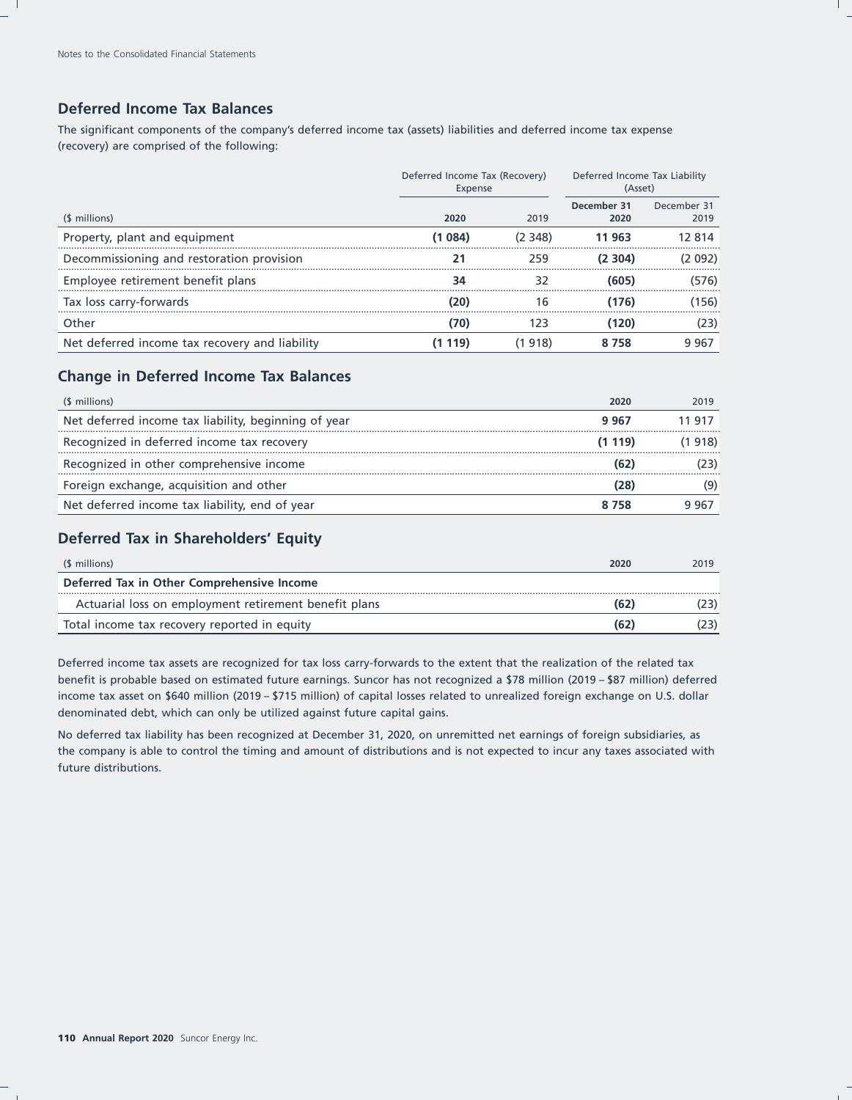## **Deferred Income Tax Balances**

The significant components of the company's deferred income tax (assets) liabilities and deferred income tax expense (recovery) are comprised of the following:

|                                                | Deferred Income Tax (Recovery)<br>Expense |         | Deferred Income Tax Liability<br>(Asset) |                     |
|------------------------------------------------|-------------------------------------------|---------|------------------------------------------|---------------------|
| (\$ millions)                                  | 2020                                      | 2019    | December 31<br>2020                      | December 31<br>2019 |
| Property, plant and equipment                  | (1 084)                                   | (2 348) | 11 963                                   | 12 814              |
| Decommissioning and restoration provision      |                                           | 259     | (2 304)                                  | 092                 |
| Employee retirement benefit plans              |                                           |         | (605)                                    | (576)               |
| Tax loss carry-forwards                        |                                           | 16      | (176)                                    | .156)               |
| Other                                          |                                           | 123     | (120)                                    | (23)                |
| Net deferred income tax recovery and liability | 19)                                       | (1 918) | 758                                      | 9.967               |

## **Change in Deferred Income Tax Balances**

| (\$ millions)                                        | 2020   | 2019   |
|------------------------------------------------------|--------|--------|
| Net deferred income tax liability, beginning of year | 9967   | 11 91  |
| Recognized in deferred income tax recovery           | (1119) | (1918) |
| Recognized in other comprehensive income             |        |        |
| Foreign exchange, acquisition and other              |        |        |
| Net deferred income tax liability, end of year       |        | 9 96.  |

## **Deferred Tax in Shareholders' Equity**

| (\$ millions)                                         | 2020 | 2019 |
|-------------------------------------------------------|------|------|
| Deferred Tax in Other Comprehensive Income            |      |      |
| Actuarial loss on employment retirement benefit plans | (62) |      |
| Total income tax recovery reported in equity          | (62) |      |

Deferred income tax assets are recognized for tax loss carry-forwards to the extent that the realization of the related tax benefit is probable based on estimated future earnings. Suncor has not recognized a \$78 million (2019 – \$87 million) deferred income tax asset on \$640 million (2019 – \$715 million) of capital losses related to unrealized foreign exchange on U.S. dollar denominated debt, which can only be utilized against future capital gains.

No deferred tax liability has been recognized at December 31, 2020, on unremitted net earnings of foreign subsidiaries, as the company is able to control the timing and amount of distributions and is not expected to incur any taxes associated with future distributions.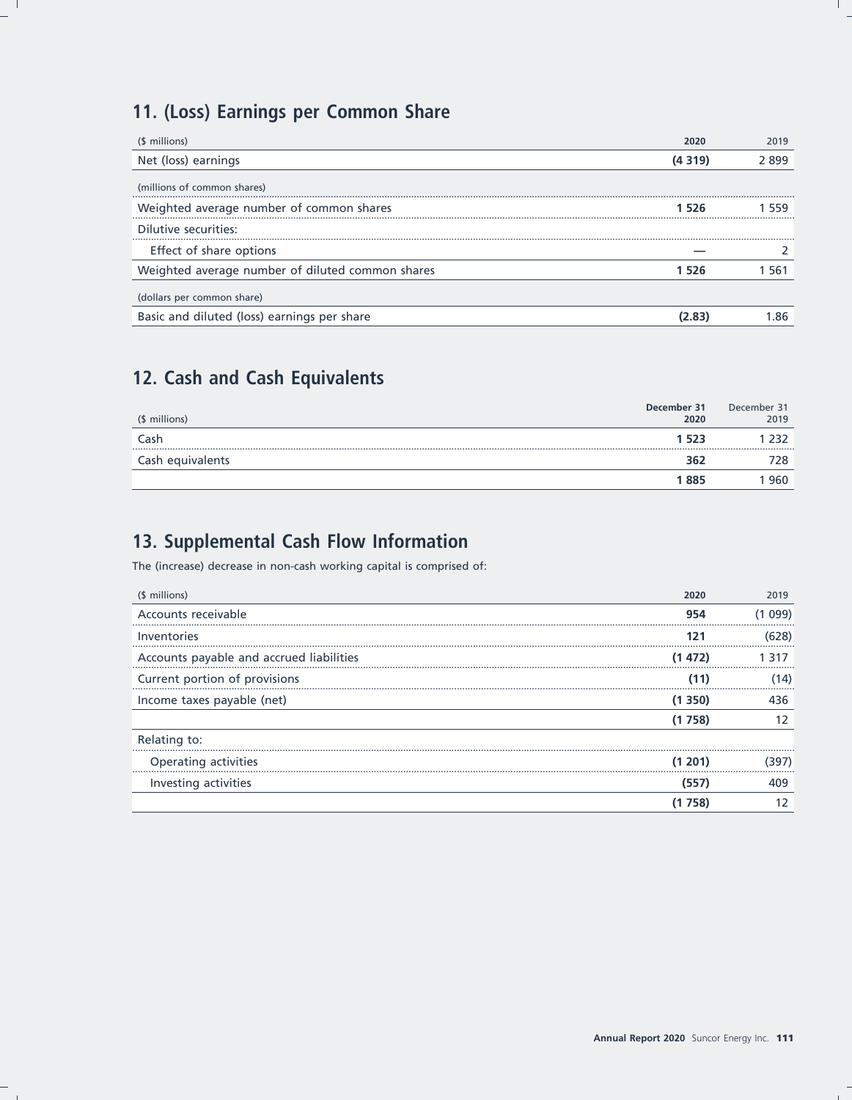# 11. (Loss) Earnings per Common Share

| (\$ millions)                                    | 2020   | 2019  |
|--------------------------------------------------|--------|-------|
| Net (loss) earnings                              | (4319) | 2 899 |
| (millions of common shares)                      |        |       |
| Weighted average number of common shares         | 1 526  | 559   |
| Dilutive securities:                             |        |       |
| Effect of share options                          |        |       |
| Weighted average number of diluted common shares | 1 526  | 1 561 |
| (dollars per common share)                       |        |       |
| Basic and diluted (loss) earnings per share      | (2.83) | -86   |

# 12. Cash and Cash Equivalents

| (\$ millions)    | December 31<br>2020 | December 31<br>2019 |
|------------------|---------------------|---------------------|
| Cash             | 1 523               |                     |
| Cash equivalents | 362                 |                     |
|                  | 1885                | 960                 |

# 13. Supplemental Cash Flow Information

The (increase) decrease in non-cash working capital is comprised of:

| (\$ millions)                            | 2020       | 2019 |
|------------------------------------------|------------|------|
| Accounts receivable                      | 954        | 099) |
| Inventories                              | 121        | 628) |
| Accounts payable and accrued liabilities | (1472)     |      |
| Current portion of provisions            | (11)       |      |
| Income taxes payable (net)               | (1350)     | 436  |
|                                          | 758)<br>(1 |      |
| Relating to:                             |            |      |
| Operating activities                     | (1201)     | 397  |
| Investing activities                     | (557)      |      |
|                                          |            |      |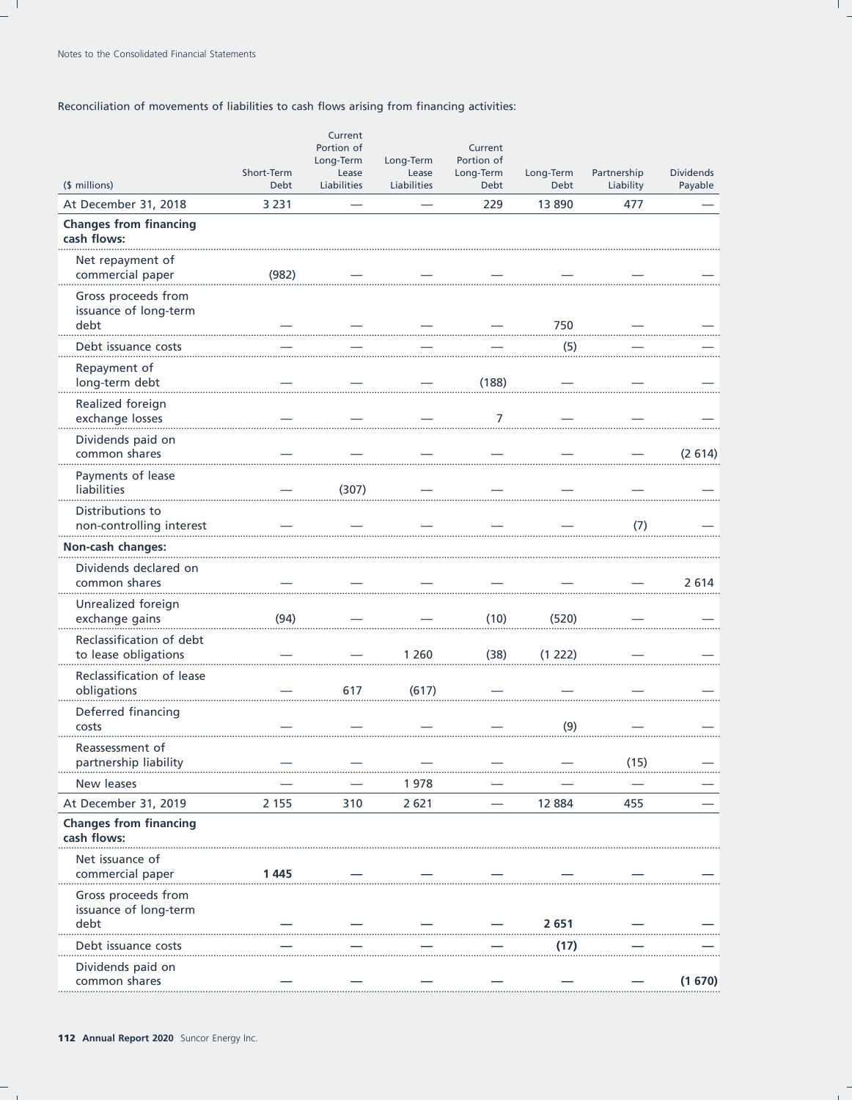## Reconciliation of movements of liabilities to cash flows arising from financing activities:

|                                                      | Short-Term  | Current<br>Portion of<br>Long-Term<br>Lease | Long-Term<br>Lease | Current<br>Portion of<br>Long-Term | Long-Term | Partnership | <b>Dividends</b> |
|------------------------------------------------------|-------------|---------------------------------------------|--------------------|------------------------------------|-----------|-------------|------------------|
| (\$ millions)                                        | <b>Debt</b> | Liabilities                                 | Liabilities        | Debt                               | Debt      | Liability   | Payable          |
| At December 31, 2018                                 | 3 2 3 1     |                                             |                    | 229                                | 13890     | 477         |                  |
| <b>Changes from financing</b><br>cash flows:         |             |                                             |                    |                                    |           |             |                  |
| Net repayment of<br>commercial paper                 | (982)       |                                             |                    |                                    |           |             |                  |
| Gross proceeds from<br>issuance of long-term<br>debt |             |                                             |                    |                                    | 750       |             |                  |
| Debt issuance costs                                  |             |                                             |                    |                                    | (5)       |             |                  |
| Repayment of<br>long-term debt                       |             |                                             |                    | (188)                              |           |             |                  |
| Realized foreign<br>exchange losses                  |             |                                             |                    | 7                                  |           |             |                  |
| Dividends paid on<br>common shares                   |             |                                             |                    |                                    |           |             | (2614)           |
| Payments of lease<br>liabilities                     |             | (307)                                       |                    |                                    |           |             |                  |
| Distributions to<br>non-controlling interest         |             |                                             |                    |                                    |           | (7)         |                  |
| Non-cash changes:                                    |             |                                             |                    |                                    |           |             |                  |
| Dividends declared on<br>common shares               |             |                                             |                    |                                    |           |             | 2614             |
| Unrealized foreign<br>exchange gains                 | (94)        |                                             |                    | (10)                               | (520)     |             |                  |
| Reclassification of debt<br>to lease obligations     |             |                                             | 1 260              | (38)                               | (1 222)   |             |                  |
| Reclassification of lease<br>obligations             |             | 617                                         | (617)              |                                    |           |             |                  |
| Deferred financing<br>costs                          |             |                                             |                    |                                    | (9)       |             |                  |
| Reassessment of<br>partnership liability             |             |                                             |                    |                                    |           | (15)        |                  |
| New leases                                           |             |                                             | 1978               |                                    |           |             |                  |
| At December 31, 2019                                 | 2 1 5 5     | 310                                         | 2621               |                                    | 12 8 84   | 455         |                  |
| <b>Changes from financing</b><br>cash flows:         |             |                                             |                    |                                    |           |             |                  |
| Net issuance of<br>commercial paper                  | 1445        |                                             |                    |                                    |           |             |                  |
| Gross proceeds from<br>issuance of long-term<br>debt |             |                                             |                    |                                    | 2651      |             |                  |
| Debt issuance costs                                  |             |                                             |                    |                                    | (17)      |             |                  |
| Dividends paid on<br>common shares                   |             |                                             |                    |                                    |           |             | (1670)           |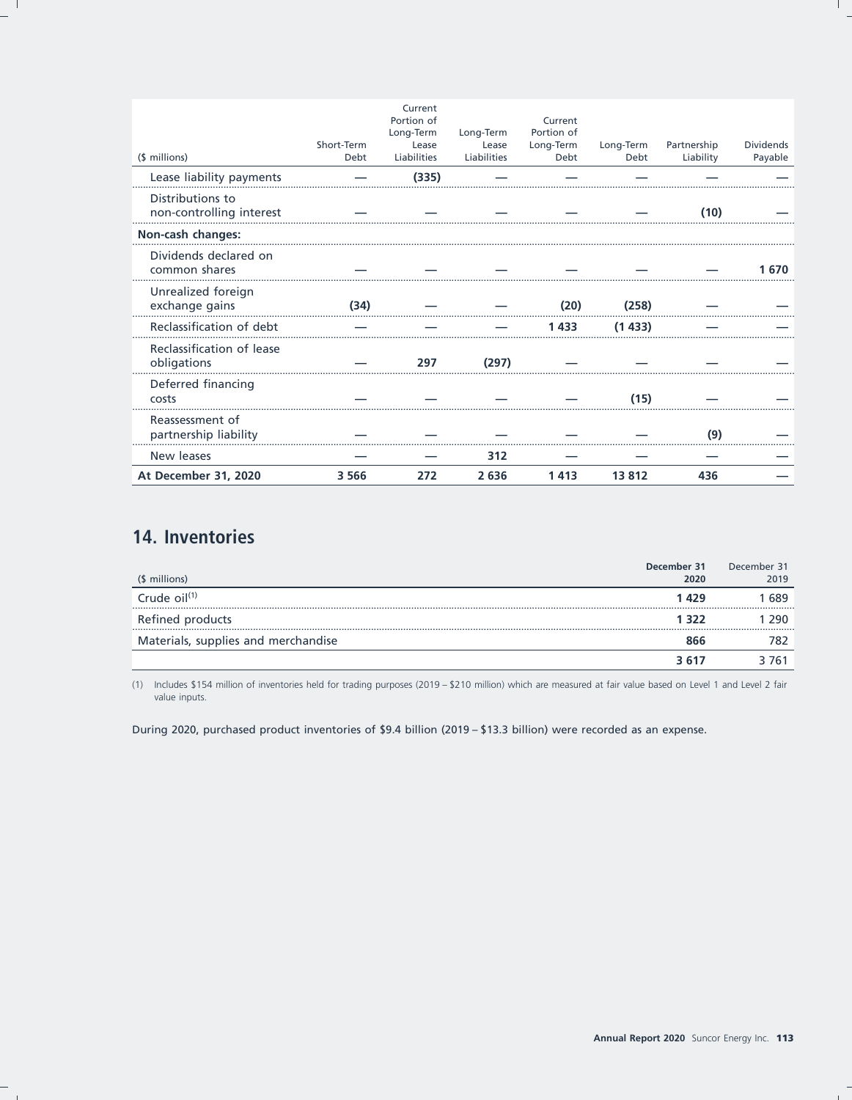| (\$ millions)                                | Short-Term<br>Debt | Current<br>Portion of<br>Long-Term<br>Lease<br>Liabilities | Long-Term<br>Lease<br>Liabilities | Current<br>Portion of<br>Long-Term<br>Debt | Long-Term<br>Debt | Partnership<br>Liability | <b>Dividends</b><br>Payable |
|----------------------------------------------|--------------------|------------------------------------------------------------|-----------------------------------|--------------------------------------------|-------------------|--------------------------|-----------------------------|
| Lease liability payments                     |                    | (335)                                                      |                                   |                                            |                   |                          |                             |
| Distributions to<br>non-controlling interest |                    |                                                            |                                   |                                            |                   | (10)                     |                             |
| Non-cash changes:                            |                    |                                                            |                                   |                                            |                   |                          |                             |
| Dividends declared on<br>common shares       |                    |                                                            |                                   |                                            |                   |                          | 1 670                       |
| Unrealized foreign<br>exchange gains         | (34)               |                                                            |                                   | (20)                                       | (258)             |                          |                             |
| Reclassification of debt                     |                    |                                                            |                                   | 1433                                       | (1433)            |                          |                             |
| Reclassification of lease<br>obligations     |                    | 297                                                        | (297)                             |                                            |                   |                          |                             |
| Deferred financing<br>costs                  |                    |                                                            |                                   |                                            | (15)              |                          |                             |
| Reassessment of<br>partnership liability     |                    |                                                            |                                   |                                            |                   | (9)                      |                             |
| New leases                                   |                    |                                                            | 312                               |                                            |                   |                          |                             |
| At December 31, 2020                         | 3 5 6 6            | 272                                                        | 2 6 3 6                           | 1413                                       | 13812             | 436                      |                             |

# 14. Inventories

|                                     | December 31 | December 31 |
|-------------------------------------|-------------|-------------|
| (\$ millions)                       | 2020        | 2019        |
| Crude $\frac{1}{1}$<br>             | 1429        | 1 689       |
| Refined products                    | 1 322       | 1 290.      |
| Materials, supplies and merchandise | 866         | 782         |
|                                     | 3.617       | 3 761       |

(1) Includes \$154 million of inventories held for trading purposes (2019 - \$210 million) which are measured at fair value based on Level 1 and Level 2 fair value inputs.

During 2020, purchased product inventories of \$9.4 billion (2019 - \$13.3 billion) were recorded as an expense.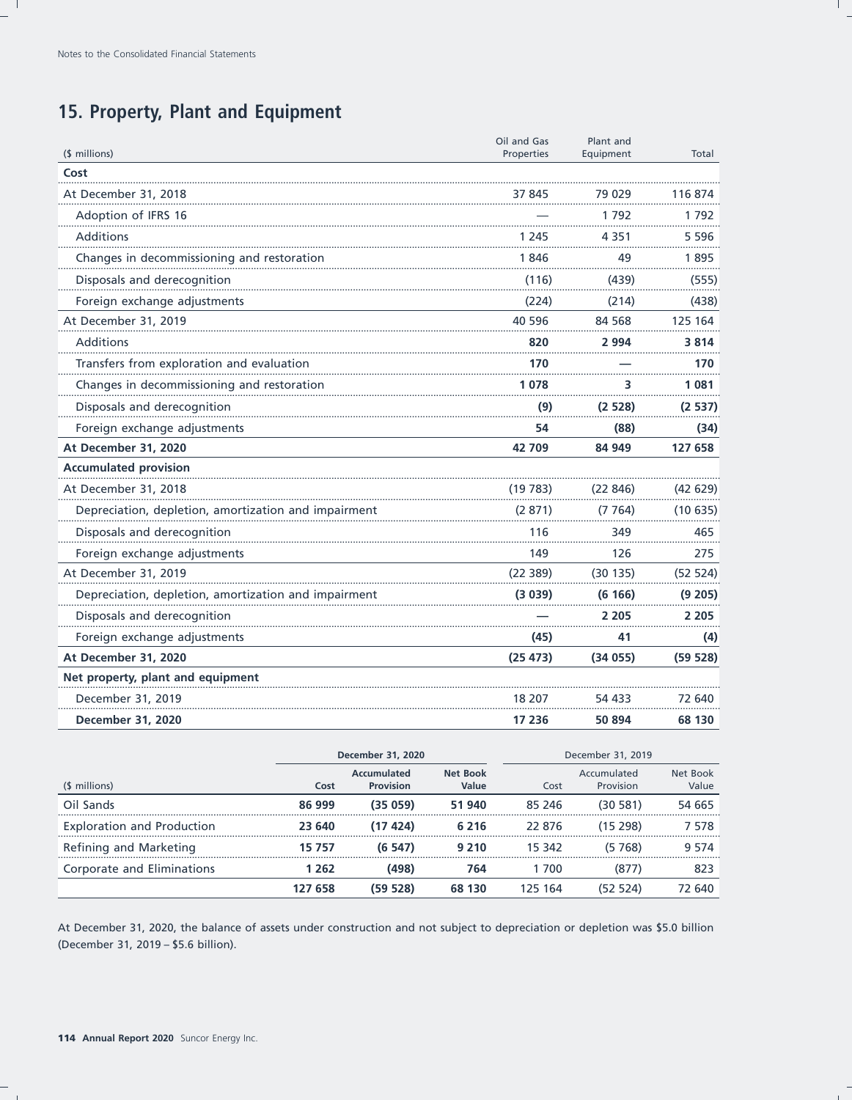# 15. Property, Plant and Equipment

|                                                      | Oil and Gas | Plant and |          |
|------------------------------------------------------|-------------|-----------|----------|
| (\$ millions)                                        | Properties  | Equipment | Total    |
| Cost                                                 |             |           |          |
| At December 31, 2018                                 | 37 845      | 79 029    | 116 874  |
| Adoption of IFRS 16                                  |             | 1792      | 1792     |
| Additions                                            | 1 245       | 4 3 5 1   | 5 596    |
| Changes in decommissioning and restoration           | 1846        | 49        | 1895     |
| Disposals and derecognition                          | (116)       | (439)     | (555)    |
| Foreign exchange adjustments                         | (224)       | (214)     | (438)    |
| At December 31, 2019                                 | 40 596      | 84 5 68   | 125 164  |
| Additions                                            | 820         | 2 994     | 3814     |
| Transfers from exploration and evaluation            | 170         |           | 170      |
| Changes in decommissioning and restoration           | 1078        | 3         | 1081     |
| Disposals and derecognition                          | (9)         | (2528)    | (2537)   |
| Foreign exchange adjustments                         | 54          | (88)      | (34)     |
| At December 31, 2020                                 | 42709       | 84 949    | 127 658  |
| <b>Accumulated provision</b>                         |             |           |          |
| At December 31, 2018                                 | (19783)     | (22846)   | (42629)  |
| Depreciation, depletion, amortization and impairment | (2871)      | (7764)    | (10635)  |
| Disposals and derecognition                          | 116         | 349       | 465      |
| Foreign exchange adjustments                         | 149         | 126       | 275      |
| At December 31, 2019                                 | (22389)     | (30135)   | (52 524) |
| Depreciation, depletion, amortization and impairment | (3039)      | (6166)    | (9 205)  |
| Disposals and derecognition                          |             | 2 2 0 5   | 2 2 0 5  |
| Foreign exchange adjustments                         | (45)        | 41        | (4)      |
| At December 31, 2020                                 | (25 473)    | (34055)   | (59528)  |
| Net property, plant and equipment                    |             |           |          |
| December 31, 2019                                    | 18 207      | 54 433    | 72 640   |
| December 31, 2020                                    | 17 236      | 50 894    | 68 130   |

|                                   | December 31, 2020 |                                 | December 31, 2019        |         |                          |                   |
|-----------------------------------|-------------------|---------------------------------|--------------------------|---------|--------------------------|-------------------|
| (\$ millions)                     | Cost              | Accumulated<br><b>Provision</b> | <b>Net Book</b><br>Value | Cost    | Accumulated<br>Provision | Net Book<br>Value |
| Oil Sands                         | 86 999            | (35059)                         | 51 940                   | 85 24 6 | (30581)                  | 54 665            |
| <b>Exploration and Production</b> | 23 640            | (17424)                         | 6 2 1 6                  | 22 876  | (15, 298)                | 7 578             |
| Refining and Marketing            | 15 757            | (6 547)                         | 9 2 1 0                  | 15 342  | (5 768)                  | 9 5 7 4           |
| Corporate and Eliminations        | 1 262             | (498)                           | 764                      | 700     | (877)                    | 823               |
|                                   | 127 658           | (59528)                         | 68 130                   | 125 164 | (52 524)                 | 72 640            |

At December 31, 2020, the balance of assets under construction and not subject to depreciation or depletion was \$5.0 billion (December 31, 2019 - \$5.6 billion).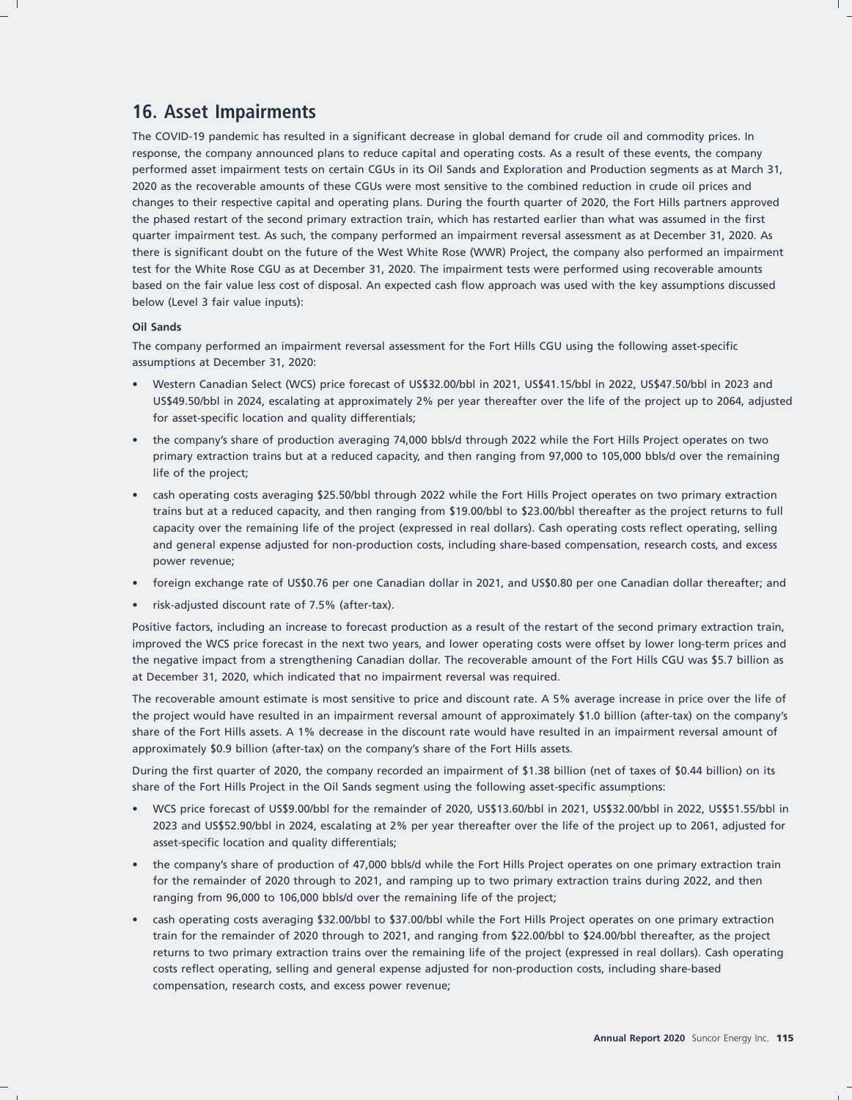# **16. Asset Impairments**

The COVID-19 pandemic has resulted in a significant decrease in global demand for crude oil and commodity prices. In response, the company announced plans to reduce capital and operating costs. As a result of these events, the company performed asset impairment tests on certain CGUs in its Oil Sands and Exploration and Production segments as at March 31, 2020 as the recoverable amounts of these CGUs were most sensitive to the combined reduction in crude oil prices and changes to their respective capital and operating plans. During the fourth quarter of 2020, the Fort Hills partners approved the phased restart of the second primary extraction train, which has restarted earlier than what was assumed in the first quarter impairment test. As such, the company performed an impairment reversal assessment as at December 31, 2020. As there is significant doubt on the future of the West White Rose (WWR) Project, the company also performed an impairment test for the White Rose CGU as at December 31, 2020. The impairment tests were performed using recoverable amounts based on the fair value less cost of disposal. An expected cash flow approach was used with the key assumptions discussed below (Level 3 fair value inputs):

#### **Oil Sands**

The company performed an impairment reversal assessment for the Fort Hills CGU using the following asset-specific assumptions at December 31, 2020:

- Western Canadian Select (WCS) price forecast of US\$32.00/bbl in 2021, US\$41.15/bbl in 2022, US\$47.50/bbl in 2023 and US\$49.50/bbl in 2024, escalating at approximately 2% per year thereafter over the life of the project up to 2064, adjusted for asset-specific location and quality differentials;
- the company's share of production averaging 74,000 bbls/d through 2022 while the Fort Hills Project operates on two primary extraction trains but at a reduced capacity, and then ranging from 97,000 to 105,000 bbls/d over the remaining life of the project;
- cash operating costs averaging \$25.50/bbl through 2022 while the Fort Hills Project operates on two primary extraction trains but at a reduced capacity, and then ranging from \$19.00/bbl to \$23.00/bbl thereafter as the project returns to full capacity over the remaining life of the project (expressed in real dollars). Cash operating costs reflect operating, selling and general expense adjusted for non-production costs, including share-based compensation, research costs, and excess power revenue;
- foreign exchange rate of US\$0.76 per one Canadian dollar in 2021, and US\$0.80 per one Canadian dollar thereafter; and
- risk-adjusted discount rate of 7.5% (after-tax).

Positive factors, including an increase to forecast production as a result of the restart of the second primary extraction train, improved the WCS price forecast in the next two years, and lower operating costs were offset by lower long-term prices and the negative impact from a strengthening Canadian dollar. The recoverable amount of the Fort Hills CGU was \$5.7 billion as at December 31, 2020, which indicated that no impairment reversal was required.

The recoverable amount estimate is most sensitive to price and discount rate. A 5% average increase in price over the life of the project would have resulted in an impairment reversal amount of approximately \$1.0 billion (after-tax) on the company's share of the Fort Hills assets. A 1% decrease in the discount rate would have resulted in an impairment reversal amount of approximately \$0.9 billion (after-tax) on the company's share of the Fort Hills assets.

During the first quarter of 2020, the company recorded an impairment of \$1.38 billion (net of taxes of \$0.44 billion) on its share of the Fort Hills Project in the Oil Sands segment using the following asset-specific assumptions:

- WCS price forecast of US\$9.00/bbl for the remainder of 2020, US\$13.60/bbl in 2021, US\$32.00/bbl in 2022, US\$51.55/bbl in 2023 and US\$52.90/bbl in 2024, escalating at 2% per year thereafter over the life of the project up to 2061, adjusted for asset-specific location and quality differentials;
- the company's share of production of 47,000 bbls/d while the Fort Hills Project operates on one primary extraction train for the remainder of 2020 through to 2021, and ramping up to two primary extraction trains during 2022, and then ranging from 96,000 to 106,000 bbls/d over the remaining life of the project;
- cash operating costs averaging \$32.00/bbl to \$37.00/bbl while the Fort Hills Project operates on one primary extraction train for the remainder of 2020 through to 2021, and ranging from \$22.00/bbl to \$24.00/bbl thereafter, as the project returns to two primary extraction trains over the remaining life of the project (expressed in real dollars). Cash operating costs reflect operating, selling and general expense adjusted for non-production costs, including share-based compensation, research costs, and excess power revenue;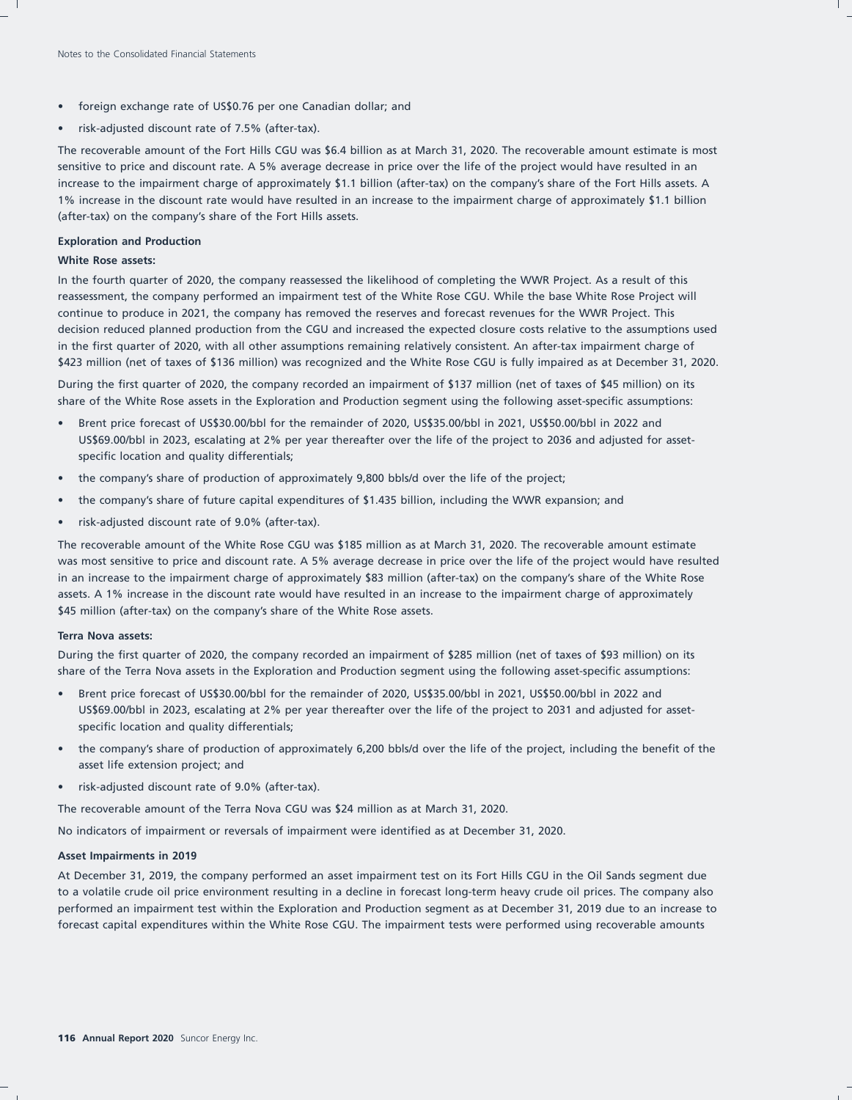- foreign exchange rate of US\$0.76 per one Canadian dollar; and
- risk-adjusted discount rate of 7.5% (after-tax).

The recoverable amount of the Fort Hills CGU was \$6.4 billion as at March 31, 2020. The recoverable amount estimate is most sensitive to price and discount rate. A 5% average decrease in price over the life of the project would have resulted in an increase to the impairment charge of approximately \$1.1 billion (after-tax) on the company's share of the Fort Hills assets. A 1% increase in the discount rate would have resulted in an increase to the impairment charge of approximately \$1.1 billion (after-tax) on the company's share of the Fort Hills assets.

#### **Exploration and Production**

#### **White Rose assets:**

In the fourth quarter of 2020, the company reassessed the likelihood of completing the WWR Project. As a result of this reassessment, the company performed an impairment test of the White Rose CGU. While the base White Rose Project will continue to produce in 2021, the company has removed the reserves and forecast revenues for the WWR Project. This decision reduced planned production from the CGU and increased the expected closure costs relative to the assumptions used in the first quarter of 2020, with all other assumptions remaining relatively consistent. An after-tax impairment charge of \$423 million (net of taxes of \$136 million) was recognized and the White Rose CGU is fully impaired as at December 31, 2020.

During the first quarter of 2020, the company recorded an impairment of \$137 million (net of taxes of \$45 million) on its share of the White Rose assets in the Exploration and Production segment using the following asset-specific assumptions:

- Brent price forecast of US\$30.00/bbl for the remainder of 2020, US\$35.00/bbl in 2021, US\$50.00/bbl in 2022 and US\$69.00/bbl in 2023, escalating at 2% per year thereafter over the life of the project to 2036 and adjusted for assetspecific location and quality differentials;
- the company's share of production of approximately 9,800 bbls/d over the life of the project;
- the company's share of future capital expenditures of \$1.435 billion, including the WWR expansion; and
- risk-adjusted discount rate of 9.0% (after-tax).

The recoverable amount of the White Rose CGU was \$185 million as at March 31, 2020. The recoverable amount estimate was most sensitive to price and discount rate. A 5% average decrease in price over the life of the project would have resulted in an increase to the impairment charge of approximately \$83 million (after-tax) on the company's share of the White Rose assets. A 1% increase in the discount rate would have resulted in an increase to the impairment charge of approximately \$45 million (after-tax) on the company's share of the White Rose assets.

#### **Terra Nova assets:**

During the first quarter of 2020, the company recorded an impairment of \$285 million (net of taxes of \$93 million) on its share of the Terra Nova assets in the Exploration and Production segment using the following asset-specific assumptions:

- Brent price forecast of US\$30.00/bbl for the remainder of 2020, US\$35.00/bbl in 2021, US\$50.00/bbl in 2022 and US\$69.00/bbl in 2023, escalating at 2% per year thereafter over the life of the project to 2031 and adjusted for assetspecific location and quality differentials;
- the company's share of production of approximately 6,200 bbls/d over the life of the project, including the benefit of the asset life extension project; and
- risk-adjusted discount rate of 9.0% (after-tax).

The recoverable amount of the Terra Nova CGU was \$24 million as at March 31, 2020.

No indicators of impairment or reversals of impairment were identified as at December 31, 2020.

#### **Asset Impairments in 2019**

At December 31, 2019, the company performed an asset impairment test on its Fort Hills CGU in the Oil Sands segment due to a volatile crude oil price environment resulting in a decline in forecast long-term heavy crude oil prices. The company also performed an impairment test within the Exploration and Production segment as at December 31, 2019 due to an increase to forecast capital expenditures within the White Rose CGU. The impairment tests were performed using recoverable amounts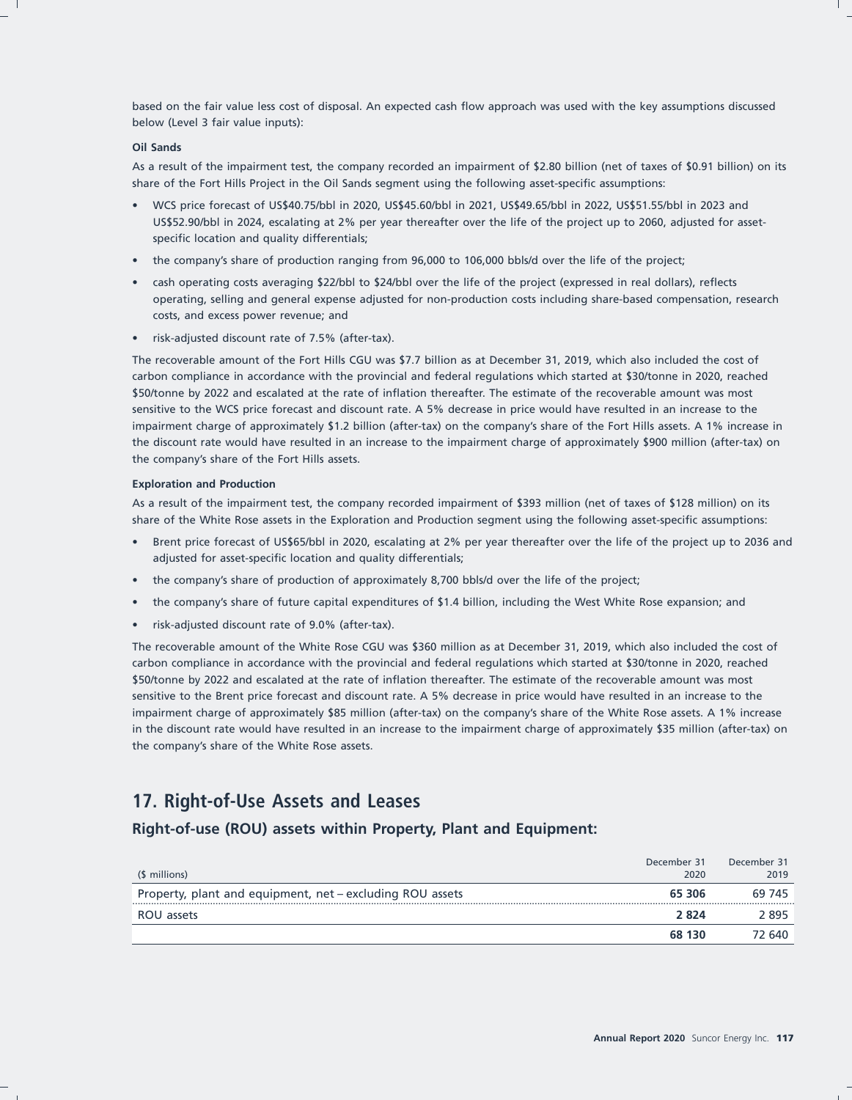based on the fair value less cost of disposal. An expected cash flow approach was used with the key assumptions discussed below (Level 3 fair value inputs):

#### **Oil Sands**

As a result of the impairment test, the company recorded an impairment of \$2.80 billion (net of taxes of \$0.91 billion) on its share of the Fort Hills Project in the Oil Sands segment using the following asset-specific assumptions:

- WCS price forecast of US\$40.75/bbl in 2020, US\$45.60/bbl in 2021, US\$49.65/bbl in 2022, US\$51.55/bbl in 2023 and US\$52.90/bbl in 2024, escalating at 2% per year thereafter over the life of the project up to 2060, adjusted for assetspecific location and quality differentials;
- the company's share of production ranging from 96,000 to 106,000 bbls/d over the life of the project;
- cash operating costs averaging \$22/bbl to \$24/bbl over the life of the project (expressed in real dollars), reflects operating, selling and general expense adjusted for non-production costs including share-based compensation, research costs, and excess power revenue; and
- risk-adjusted discount rate of 7.5% (after-tax).

The recoverable amount of the Fort Hills CGU was \$7.7 billion as at December 31, 2019, which also included the cost of carbon compliance in accordance with the provincial and federal regulations which started at \$30/tonne in 2020, reached \$50/tonne by 2022 and escalated at the rate of inflation thereafter. The estimate of the recoverable amount was most sensitive to the WCS price forecast and discount rate. A 5% decrease in price would have resulted in an increase to the impairment charge of approximately \$1.2 billion (after-tax) on the company's share of the Fort Hills assets. A 1% increase in the discount rate would have resulted in an increase to the impairment charge of approximately \$900 million (after-tax) on the company's share of the Fort Hills assets.

#### **Exploration and Production**

As a result of the impairment test, the company recorded impairment of \$393 million (net of taxes of \$128 million) on its share of the White Rose assets in the Exploration and Production segment using the following asset-specific assumptions:

- Brent price forecast of US\$65/bbl in 2020, escalating at 2% per year thereafter over the life of the project up to 2036 and adjusted for asset-specific location and quality differentials;
- the company's share of production of approximately 8,700 bbls/d over the life of the project;
- the company's share of future capital expenditures of \$1.4 billion, including the West White Rose expansion; and
- risk-adjusted discount rate of 9.0% (after-tax).

The recoverable amount of the White Rose CGU was \$360 million as at December 31, 2019, which also included the cost of carbon compliance in accordance with the provincial and federal regulations which started at \$30/tonne in 2020, reached \$50/tonne by 2022 and escalated at the rate of inflation thereafter. The estimate of the recoverable amount was most sensitive to the Brent price forecast and discount rate. A 5% decrease in price would have resulted in an increase to the impairment charge of approximately \$85 million (after-tax) on the company's share of the White Rose assets. A 1% increase in the discount rate would have resulted in an increase to the impairment charge of approximately \$35 million (after-tax) on the company's share of the White Rose assets.

## **17. Right-of-Use Assets and Leases**

## **Right-of-use (ROU) assets within Property, Plant and Equipment:**

| (\$ millions)                                             | December 31<br>2020 | December 31<br>2019 |
|-----------------------------------------------------------|---------------------|---------------------|
| Property, plant and equipment, net – excluding ROU assets | 65 306              | 69 745              |
| ROU assets                                                | 2824                | 2 895               |
|                                                           | 68 130              | 72 640.             |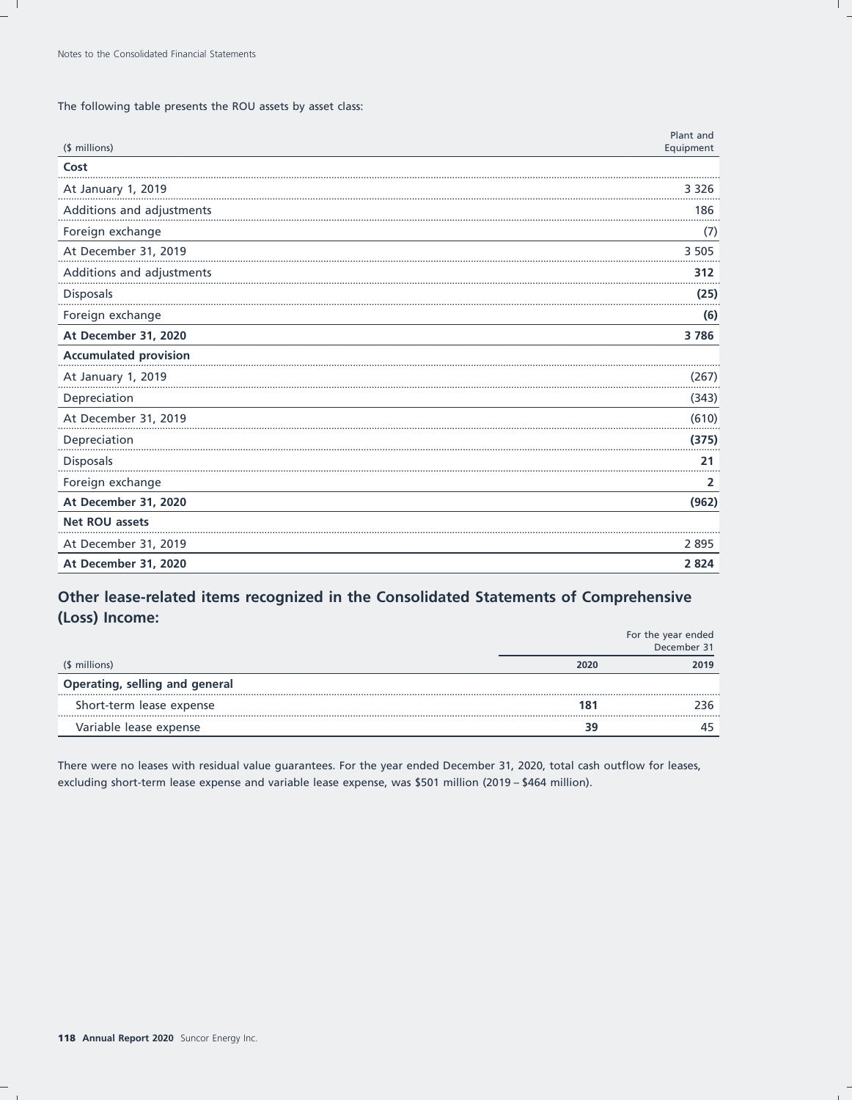The following table presents the ROU assets by asset class:

| (\$ millions)                | Plant and<br>Equipment |
|------------------------------|------------------------|
| Cost                         |                        |
| At January 1, 2019           | 3 3 2 6                |
| Additions and adjustments    | 186                    |
| Foreign exchange             | (7)                    |
| At December 31, 2019         | 3 5 0 5                |
| Additions and adjustments    | 312                    |
| Disposals                    | (25)                   |
| Foreign exchange             | (6)                    |
| At December 31, 2020         | 3786                   |
| <b>Accumulated provision</b> |                        |
| At January 1, 2019           | (267)                  |
| Depreciation                 | (343)                  |
| At December 31, 2019         | (610)                  |
| Depreciation                 | (375)                  |
| Disposals                    | 21                     |
| Foreign exchange             | $\overline{2}$         |
| At December 31, 2020         | (962)                  |
| <b>Net ROU assets</b>        |                        |
| At December 31, 2019         | 2895                   |
| At December 31, 2020         | 2824                   |

## Other lease-related items recognized in the Consolidated Statements of Comprehensive (Loss) Income:

|                                |      | For the year ended<br>December 31 |
|--------------------------------|------|-----------------------------------|
| (\$ millions)                  | 2020 | 2019                              |
| Operating, selling and general |      |                                   |
| Short-term lease expense       | 181  |                                   |
| Variable lease expense         | 39   |                                   |

There were no leases with residual value guarantees. For the year ended December 31, 2020, total cash outflow for leases, excluding short-term lease expense and variable lease expense, was \$501 million (2019 - \$464 million).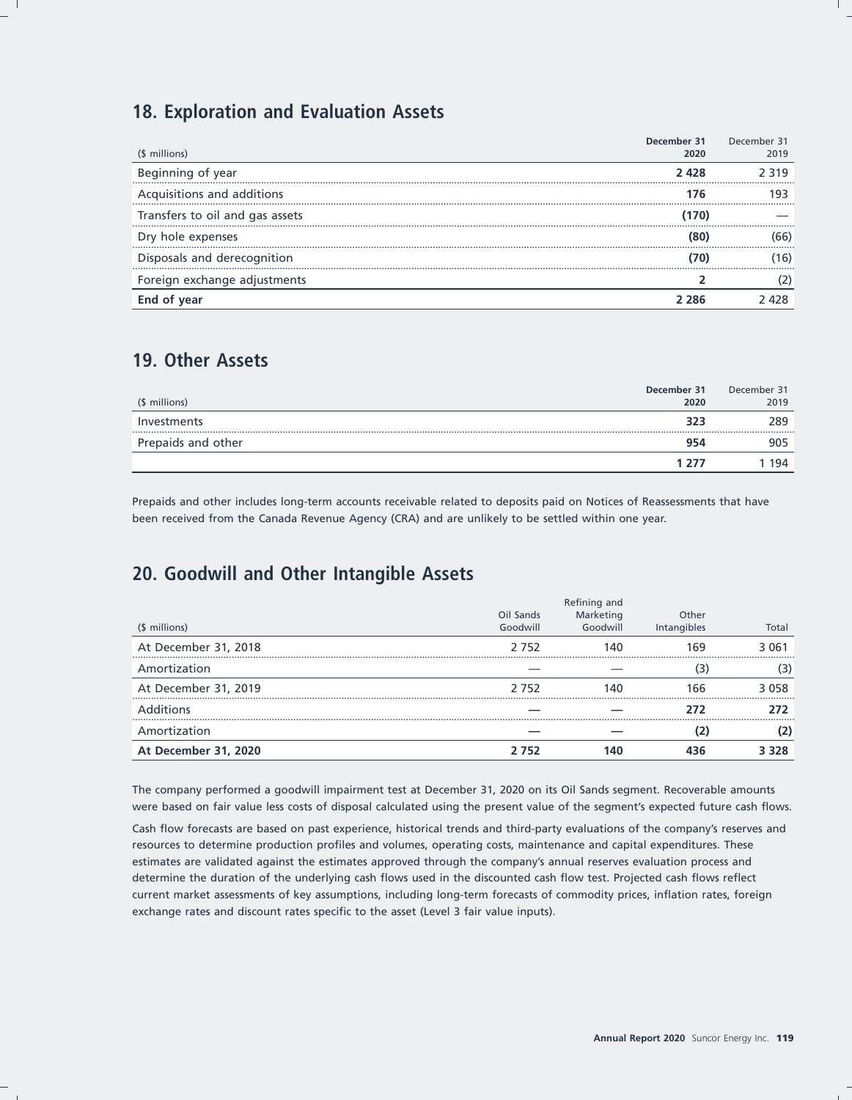## **18. Exploration and Evaluation Assets**

| (\$ millions)                   | December 31<br>2020 | December 31<br>2019 |
|---------------------------------|---------------------|---------------------|
| Beginning of year               | 2428                | 2 319               |
|                                 |                     |                     |
| Acquisitions and additions      | 176                 | g.                  |
| Transfers to oil and gas assets | 170)                |                     |
| Dry hole expenses               | (80                 | 66)                 |
| Disposals and derecognition     |                     | 16                  |
| Foreign exchange adjustments    |                     |                     |
| End of year                     | 2 286               | 2 428               |

## **19. Other Assets**

| (\$ millions)      | December 31<br>2020 | December 31<br>2019 |
|--------------------|---------------------|---------------------|
| Investments        | 323                 | 289                 |
| Prepaids and other | 954                 | 905                 |
|                    | 1 277               | 194                 |

Prepaids and other includes long-term accounts receivable related to deposits paid on Notices of Reassessments that have been received from the Canada Revenue Agency (CRA) and are unlikely to be settled within one year.

# **20. Goodwill and Other Intangible Assets**

|                      |                       | Refining and          |                      |         |
|----------------------|-----------------------|-----------------------|----------------------|---------|
| (\$ millions)        | Oil Sands<br>Goodwill | Marketing<br>Goodwill | Other<br>Intangibles | Total   |
| At December 31, 2018 | 2752                  | 140                   | 169                  | 3 0 6 1 |
| Amortization         |                       |                       | з                    |         |
| At December 31, 2019 | 2 7 5 2               | 140                   | 166                  | 3 0 5 8 |
| <b>Additions</b>     |                       |                       | 272                  |         |
| Amortization         |                       |                       |                      |         |
| At December 31, 2020 | 2 7 5 2               | 140                   | 436                  | 3 3 2 8 |

The company performed a goodwill impairment test at December 31, 2020 on its Oil Sands segment. Recoverable amounts were based on fair value less costs of disposal calculated using the present value of the segment's expected future cash flows.

Cash flow forecasts are based on past experience, historical trends and third-party evaluations of the company's reserves and resources to determine production profiles and volumes, operating costs, maintenance and capital expenditures. These estimates are validated against the estimates approved through the company's annual reserves evaluation process and determine the duration of the underlying cash flows used in the discounted cash flow test. Projected cash flows reflect current market assessments of key assumptions, including long-term forecasts of commodity prices, inflation rates, foreign exchange rates and discount rates specific to the asset (Level 3 fair value inputs).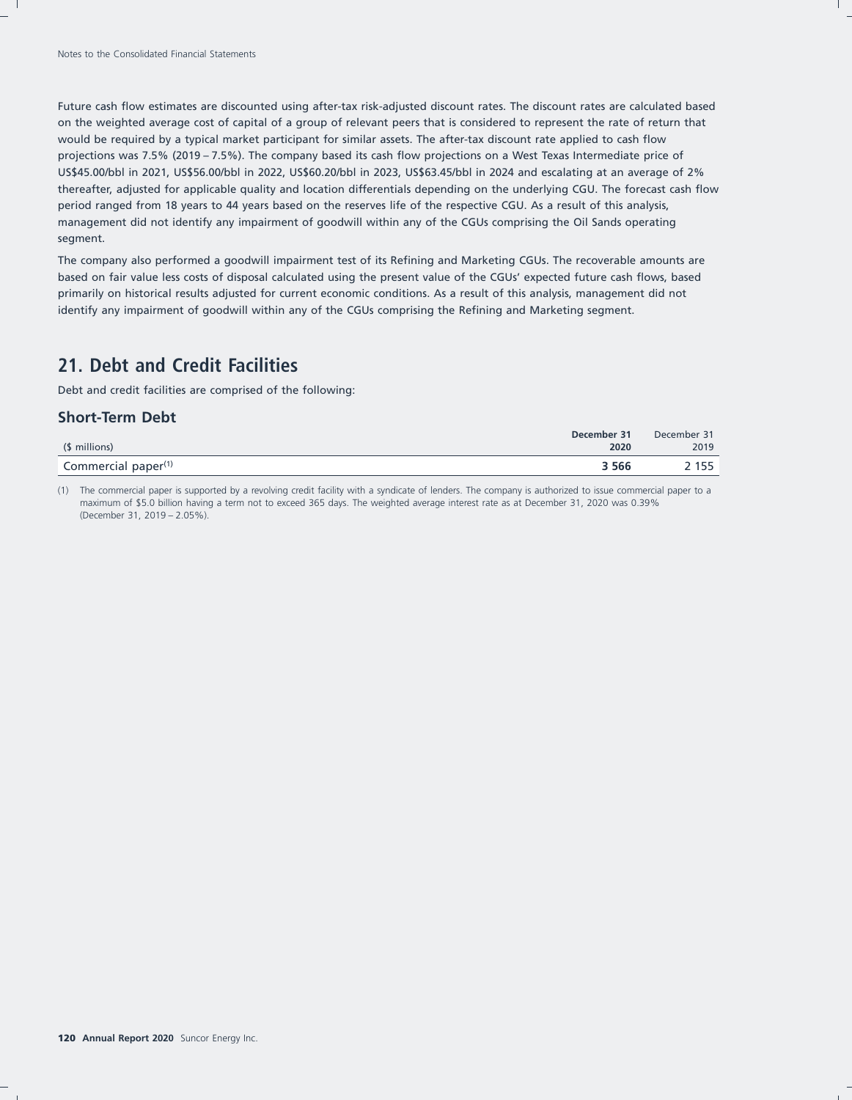Future cash flow estimates are discounted using after-tax risk-adjusted discount rates. The discount rates are calculated based on the weighted average cost of capital of a group of relevant peers that is considered to represent the rate of return that would be required by a typical market participant for similar assets. The after-tax discount rate applied to cash flow projections was 7.5% (2019 – 7.5%). The company based its cash flow projections on a West Texas Intermediate price of US\$45.00/bbl in 2021, US\$56.00/bbl in 2022, US\$60.20/bbl in 2023, US\$63.45/bbl in 2024 and escalating at an average of 2% thereafter, adjusted for applicable quality and location differentials depending on the underlying CGU. The forecast cash flow period ranged from 18 years to 44 years based on the reserves life of the respective CGU. As a result of this analysis, management did not identify any impairment of goodwill within any of the CGUs comprising the Oil Sands operating segment.

The company also performed a goodwill impairment test of its Refining and Marketing CGUs. The recoverable amounts are based on fair value less costs of disposal calculated using the present value of the CGUs' expected future cash flows, based primarily on historical results adjusted for current economic conditions. As a result of this analysis, management did not identify any impairment of goodwill within any of the CGUs comprising the Refining and Marketing segment.

## **21. Debt and Credit Facilities**

Debt and credit facilities are comprised of the following:

## **Short-Term Debt**

|                                 | December 31 | December 31 |
|---------------------------------|-------------|-------------|
| (\$ millions)                   | 2020        | 2019        |
| Commercial paper <sup>(1)</sup> | 3 5 6 6     | . 155       |
|                                 |             |             |

(1) The commercial paper is supported by a revolving credit facility with a syndicate of lenders. The company is authorized to issue commercial paper to a maximum of \$5.0 billion having a term not to exceed 365 days. The weighted average interest rate as at December 31, 2020 was 0.39% (December 31, 2019 – 2.05%).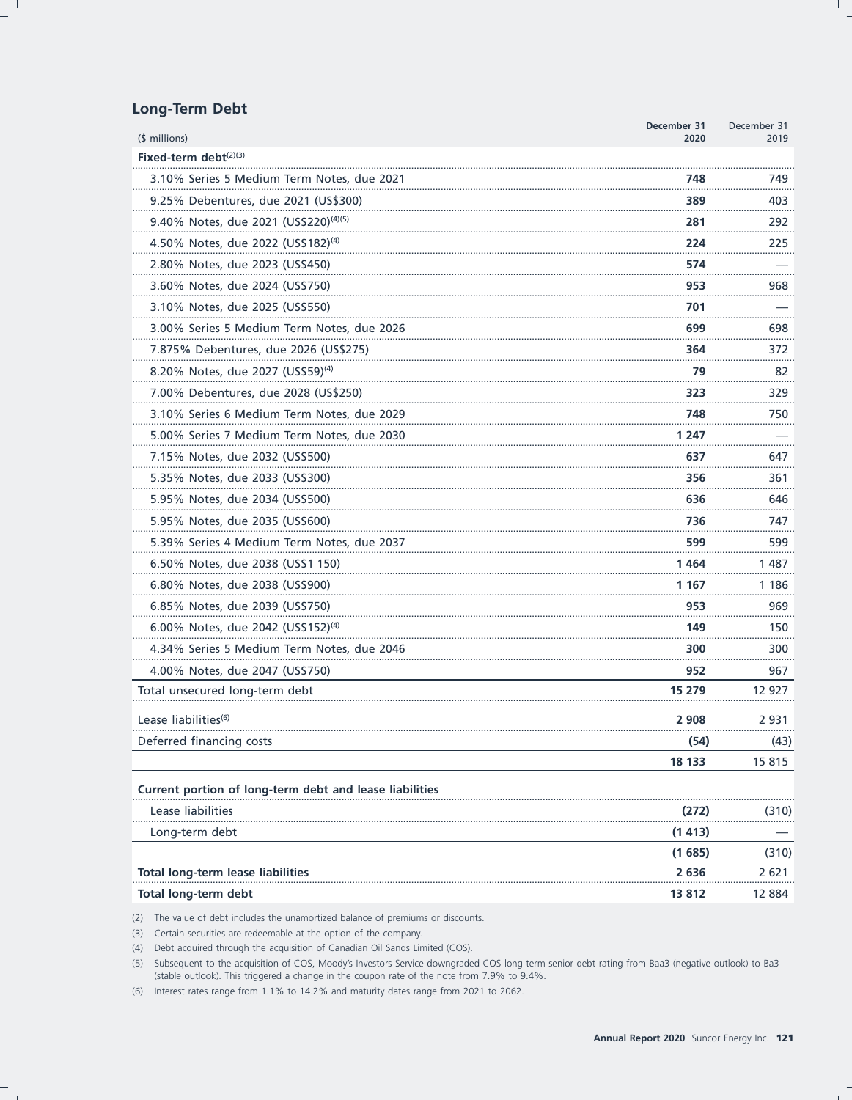## **Long-Term Debt**

|                                                         | December 31<br>2020 | December 31<br>2019 |
|---------------------------------------------------------|---------------------|---------------------|
| $$$ millions)<br>Fixed-term debt $(2)(3)$               |                     |                     |
| 3.10% Series 5 Medium Term Notes, due 2021              | 748                 | 749                 |
| 9.25% Debentures, due 2021 (US\$300)                    | 389                 | 403                 |
| 9.40% Notes, due 2021 (US\$220) <sup>(4)(5)</sup>       | 281                 | 292                 |
| 4.50% Notes, due 2022 (US\$182) <sup>(4)</sup>          | 224                 | 225                 |
| 2.80% Notes, due 2023 (US\$450)                         | 574                 |                     |
| 3.60% Notes, due 2024 (US\$750)                         | 953                 | .<br>968            |
| 3.10% Notes, due 2025 (US\$550)                         | 701                 |                     |
| 3.00% Series 5 Medium Term Notes, due 2026              | 699                 | 698                 |
| 7.875% Debentures, due 2026 (US\$275)                   | 364                 | 372                 |
| 8.20% Notes, due 2027 (US\$59) <sup>(4)</sup>           | 79                  | 82                  |
| 7.00% Debentures, due 2028 (US\$250)                    | 323                 | 329                 |
| 3.10% Series 6 Medium Term Notes, due 2029              | 748                 | 750                 |
| 5.00% Series 7 Medium Term Notes, due 2030              | 1 247               |                     |
| 7.15% Notes, due 2032 (US\$500)                         | 637                 | 647                 |
| 5.35% Notes, due 2033 (US\$300)                         | 356                 | 361                 |
| 5.95% Notes, due 2034 (US\$500)                         | 636                 | 646                 |
| 5.95% Notes, due 2035 (US\$600)                         | 736                 | 747                 |
| 5.39% Series 4 Medium Term Notes, due 2037              | 599                 | 599                 |
| 6.50% Notes, due 2038 (US\$1 150)                       | 1 464               | 1 4 8 7             |
| 6.80% Notes, due 2038 (US\$900)                         | 1 167               | 1 186               |
| 6.85% Notes, due 2039 (US\$750)                         | 953                 | 969                 |
| 6.00% Notes, due 2042 (US\$152) <sup>(4)</sup>          | 149                 | 150                 |
| 4.34% Series 5 Medium Term Notes, due 2046              | 300                 | 300                 |
| 4.00% Notes, due 2047 (US\$750)                         | 952                 | 967                 |
| Total unsecured long-term debt                          | 15 279              | 12 927              |
| Lease liabilities <sup>(6)</sup>                        | 2 9 0 8             | 2 931               |
| Deferred financing costs                                | (54)                | (43)                |
|                                                         | 18 133              | 15815               |
| Current portion of long-term debt and lease liabilities |                     |                     |
| Lease liabilities                                       | (272)               | (310)               |
| Long-term debt                                          | (1413)              |                     |
|                                                         | (1685)              | (310)               |
| <b>Total long-term lease liabilities</b>                | 2636                | 2 621               |
| Total long-term debt                                    | 13 812              | 12 884              |

(2) The value of debt includes the unamortized balance of premiums or discounts.

(3) Certain securities are redeemable at the option of the company.

(4) Debt acquired through the acquisition of Canadian Oil Sands Limited (COS).

(5) Subsequent to the acquisition of COS, Moody's Investors Service downgraded COS long-term senior debt rating from Baa3 (negative outlook) to Ba3 (stable outlook). This triggered a change in the coupon rate of the note from 7.9% to 9.4%.

(6) Interest rates range from 1.1% to 14.2% and maturity dates range from 2021 to 2062.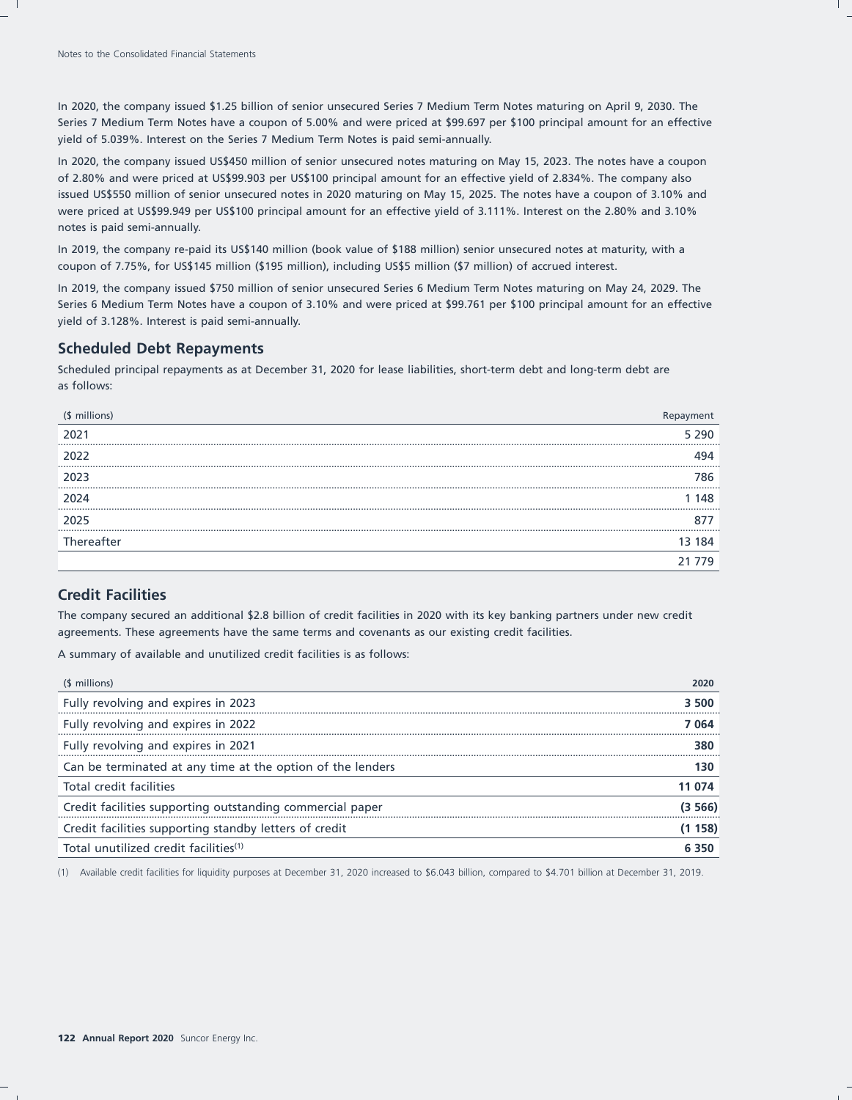In 2020, the company issued \$1.25 billion of senior unsecured Series 7 Medium Term Notes maturing on April 9, 2030. The Series 7 Medium Term Notes have a coupon of 5.00% and were priced at \$99.697 per \$100 principal amount for an effective yield of 5.039%. Interest on the Series 7 Medium Term Notes is paid semi-annually.

In 2020, the company issued US\$450 million of senior unsecured notes maturing on May 15, 2023. The notes have a coupon of 2.80% and were priced at US\$99.903 per US\$100 principal amount for an effective yield of 2.834%. The company also issued US\$550 million of senior unsecured notes in 2020 maturing on May 15, 2025. The notes have a coupon of 3.10% and were priced at US\$99.949 per US\$100 principal amount for an effective yield of 3.111%. Interest on the 2.80% and 3.10% notes is paid semi-annually.

In 2019, the company re-paid its US\$140 million (book value of \$188 million) senior unsecured notes at maturity, with a coupon of 7.75%, for US\$145 million (\$195 million), including US\$5 million (\$7 million) of accrued interest.

In 2019, the company issued \$750 million of senior unsecured Series 6 Medium Term Notes maturing on May 24, 2029. The Series 6 Medium Term Notes have a coupon of 3.10% and were priced at \$99.761 per \$100 principal amount for an effective yield of 3.128%. Interest is paid semi-annually.

### **Scheduled Debt Repayments**

Scheduled principal repayments as at December 31, 2020 for lease liabilities, short-term debt and long-term debt are as follows:

| (\$ millions) |       |
|---------------|-------|
| 2021          | 5 290 |
| 2022          |       |
| 2023          | 786.  |
| 2024          | 48.   |
| 2025          |       |
| Thereafter    | 184   |
|               |       |

## **Credit Facilities**

The company secured an additional \$2.8 billion of credit facilities in 2020 with its key banking partners under new credit agreements. These agreements have the same terms and covenants as our existing credit facilities.

A summary of available and unutilized credit facilities is as follows:

| (\$ millions)                                              |        |
|------------------------------------------------------------|--------|
| Fully revolving and expires in 2023                        | 3.500  |
| Fully revolving and expires in 2022                        | 7 064  |
| Fully revolving and expires in 2021                        | 380    |
| Can be terminated at any time at the option of the lenders | 130    |
| Total credit facilities                                    | 11 074 |
| Credit facilities supporting outstanding commercial paper  | (3 566 |
| Credit facilities supporting standby letters of credit     | 158)   |
| Total unutilized credit facilities <sup>(1)</sup>          |        |

(1) Available credit facilities for liquidity purposes at December 31, 2020 increased to \$6.043 billion, compared to \$4.701 billion at December 31, 2019.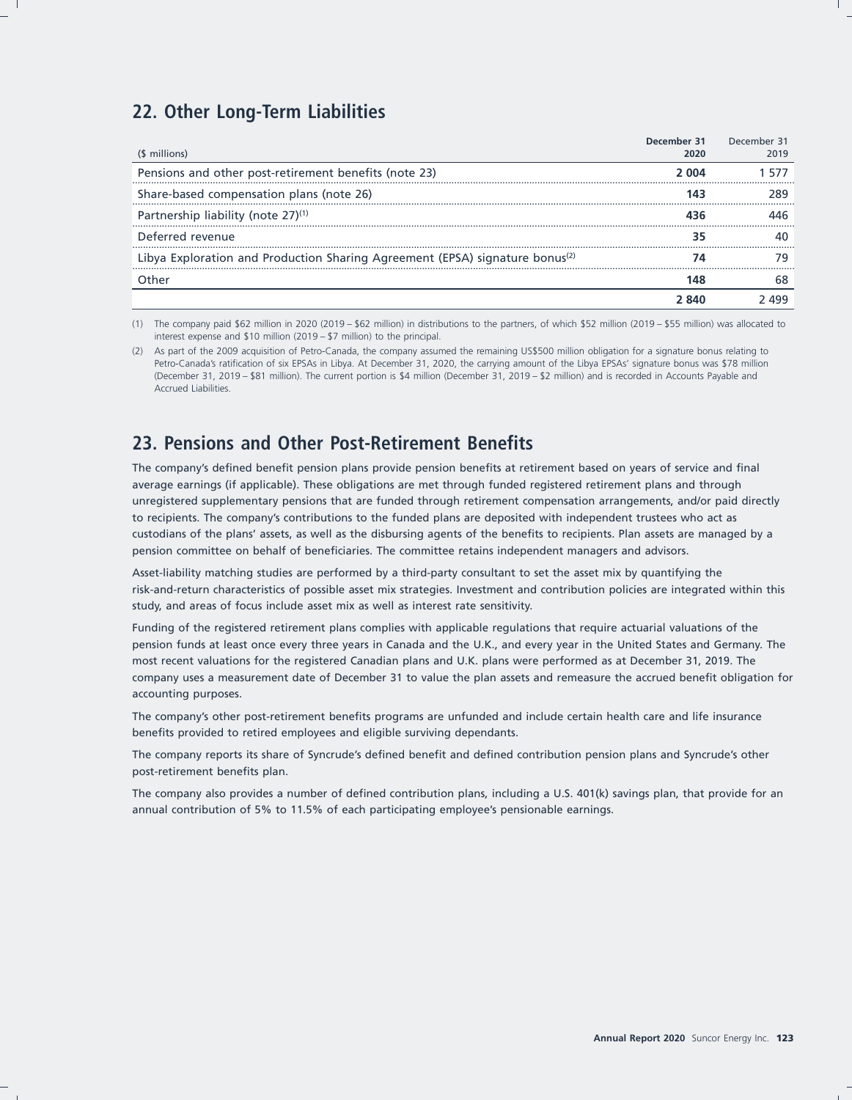## **22. Other Long-Term Liabilities**

| (\$ millions)                                                                            | December 31<br>2020 | December 31<br>2019 |
|------------------------------------------------------------------------------------------|---------------------|---------------------|
| Pensions and other post-retirement benefits (note 23)                                    | 2.004               | 5/1                 |
| Share-based compensation plans (note 26)                                                 |                     |                     |
| Partnership liability (note 27) <sup>(1)</sup>                                           |                     |                     |
| Deferred revenue                                                                         |                     |                     |
| Libya Exploration and Production Sharing Agreement (EPSA) signature bonus <sup>(2)</sup> |                     |                     |
|                                                                                          |                     |                     |
|                                                                                          |                     |                     |

(1) The company paid \$62 million in 2020 (2019 – \$62 million) in distributions to the partners, of which \$52 million (2019 – \$55 million) was allocated to interest expense and \$10 million (2019 – \$7 million) to the principal.

(2) As part of the 2009 acquisition of Petro-Canada, the company assumed the remaining US\$500 million obligation for a signature bonus relating to Petro-Canada's ratification of six EPSAs in Libya. At December 31, 2020, the carrying amount of the Libya EPSAs' signature bonus was \$78 million (December 31, 2019 – \$81 million). The current portion is \$4 million (December 31, 2019 – \$2 million) and is recorded in Accounts Payable and Accrued Liabilities.

# **23. Pensions and Other Post-Retirement Benefits**

The company's defined benefit pension plans provide pension benefits at retirement based on years of service and final average earnings (if applicable). These obligations are met through funded registered retirement plans and through unregistered supplementary pensions that are funded through retirement compensation arrangements, and/or paid directly to recipients. The company's contributions to the funded plans are deposited with independent trustees who act as custodians of the plans' assets, as well as the disbursing agents of the benefits to recipients. Plan assets are managed by a pension committee on behalf of beneficiaries. The committee retains independent managers and advisors.

Asset-liability matching studies are performed by a third-party consultant to set the asset mix by quantifying the risk-and-return characteristics of possible asset mix strategies. Investment and contribution policies are integrated within this study, and areas of focus include asset mix as well as interest rate sensitivity.

Funding of the registered retirement plans complies with applicable regulations that require actuarial valuations of the pension funds at least once every three years in Canada and the U.K., and every year in the United States and Germany. The most recent valuations for the registered Canadian plans and U.K. plans were performed as at December 31, 2019. The company uses a measurement date of December 31 to value the plan assets and remeasure the accrued benefit obligation for accounting purposes.

The company's other post-retirement benefits programs are unfunded and include certain health care and life insurance benefits provided to retired employees and eligible surviving dependants.

The company reports its share of Syncrude's defined benefit and defined contribution pension plans and Syncrude's other post-retirement benefits plan.

The company also provides a number of defined contribution plans, including a U.S. 401(k) savings plan, that provide for an annual contribution of 5% to 11.5% of each participating employee's pensionable earnings.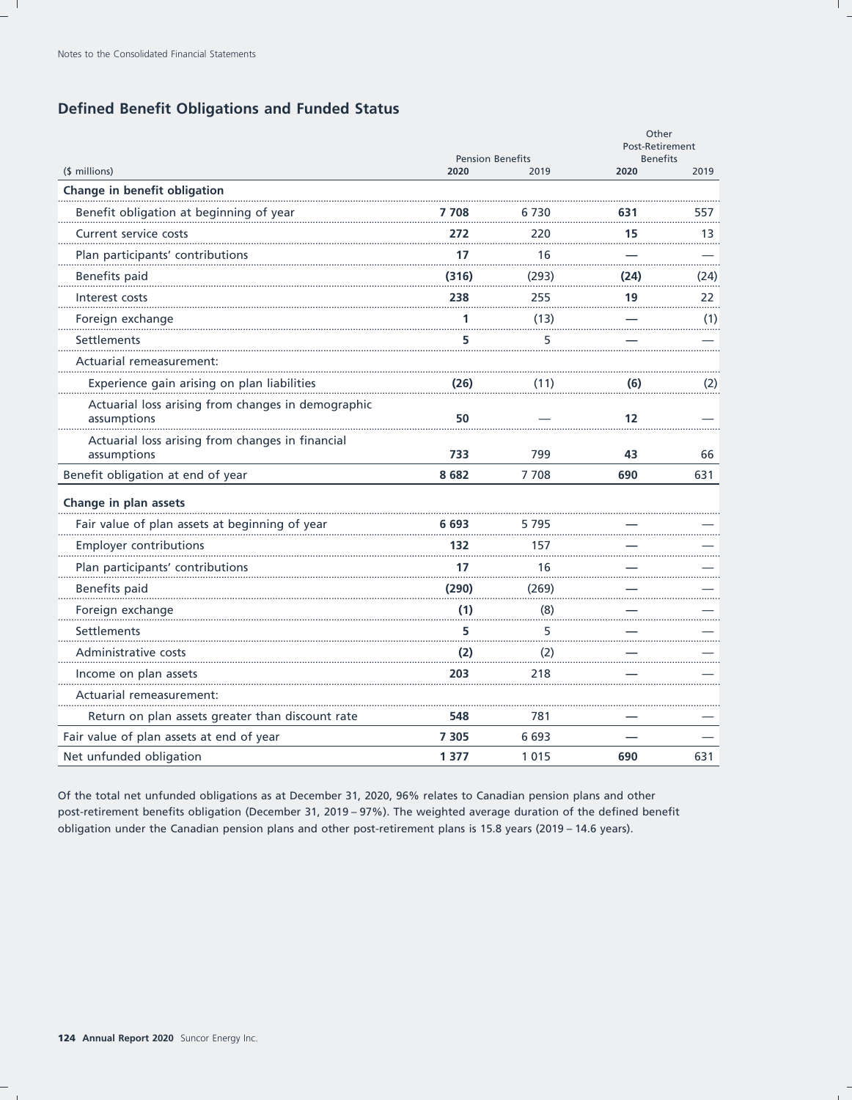## **Defined Benefit Obligations and Funded Status**

|                                                                   | <b>Pension Benefits</b> |       | Other<br>Post-Retirement<br><b>Benefits</b> |      |
|-------------------------------------------------------------------|-------------------------|-------|---------------------------------------------|------|
| (\$ millions)                                                     | 2020                    | 2019  | 2020                                        | 2019 |
| Change in benefit obligation                                      |                         |       |                                             |      |
| Benefit obligation at beginning of year                           | 7 708                   | 6 730 | 631                                         | 557  |
| Current service costs                                             | 272                     | 220   | 15                                          | 13   |
| Plan participants' contributions                                  | 17                      | 16    |                                             |      |
| Benefits paid                                                     | (316)                   | (293) | (24)                                        | (24) |
| Interest costs                                                    | 238                     | 255   | 19                                          | 22   |
| Foreign exchange                                                  | 1                       | (13)  |                                             | (1)  |
| Settlements                                                       | 5                       | 5     |                                             |      |
| Actuarial remeasurement:                                          |                         |       |                                             |      |
| Experience gain arising on plan liabilities                       | (26)                    | (11)  | (6)                                         | (2)  |
| Actuarial loss arising from changes in demographic<br>assumptions | 50                      |       | 12                                          |      |
| Actuarial loss arising from changes in financial<br>assumptions   | 733                     | 799   | 43                                          | 66   |
| Benefit obligation at end of year                                 | 8682                    | 7708  | 690                                         | 631  |
| Change in plan assets                                             |                         |       |                                             |      |
| Fair value of plan assets at beginning of year                    | 6 693                   | 5 795 |                                             |      |
| Employer contributions                                            | 132                     | 157   |                                             |      |
| Plan participants' contributions                                  | 17                      | 16    |                                             |      |
| Benefits paid                                                     | (290)                   | (269) |                                             |      |
| Foreign exchange                                                  | (1)                     | (8)   |                                             |      |
| Settlements                                                       | 5                       | 5     |                                             |      |
| Administrative costs                                              | (2)                     | (2)   |                                             |      |
| Income on plan assets                                             | 203                     | 218   |                                             |      |
| Actuarial remeasurement:                                          |                         |       |                                             |      |
| Return on plan assets greater than discount rate                  | 548                     | 781   |                                             |      |
| Fair value of plan assets at end of year                          | 7 3 0 5                 | 6693  |                                             |      |
| Net unfunded obligation                                           | 1 3 7 7                 | 1015  | 690                                         | 631  |

Of the total net unfunded obligations as at December 31, 2020, 96% relates to Canadian pension plans and other post-retirement benefits obligation (December 31, 2019 - 97%). The weighted average duration of the defined benefit obligation under the Canadian pension plans and other post-retirement plans is 15.8 years (2019 - 14.6 years).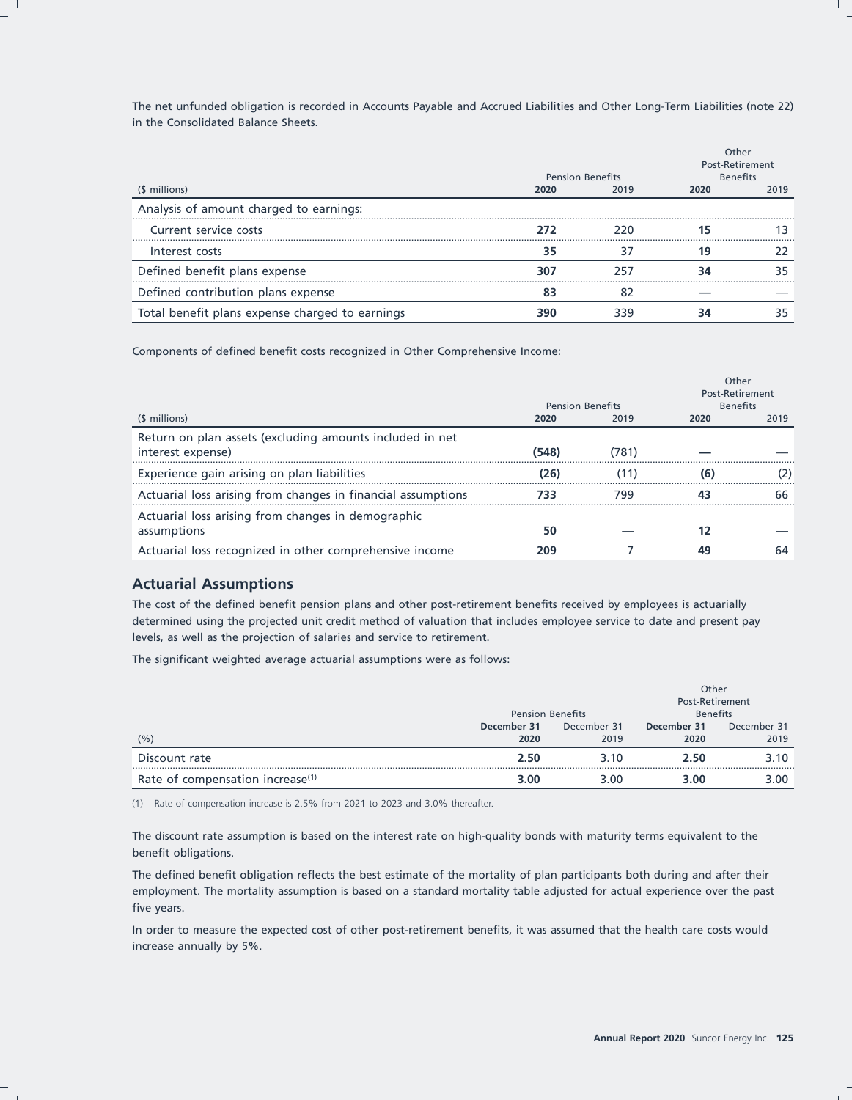The net unfunded obligation is recorded in Accounts Payable and Accrued Liabilities and Other Long-Term Liabilities (note 22) in the Consolidated Balance Sheets.

|                                                 |      | <b>Pension Benefits</b> | Other<br><b>Post-Retirement</b><br><b>Benefits</b> |      |
|-------------------------------------------------|------|-------------------------|----------------------------------------------------|------|
| (\$ millions)                                   | 2020 | 2019                    | 2020                                               | 2019 |
| Analysis of amount charged to earnings:         |      |                         |                                                    |      |
| Current service costs                           | 272  |                         |                                                    |      |
| Interest costs                                  | 35   |                         |                                                    |      |
| Defined benefit plans expense                   | 307  |                         |                                                    |      |
| Defined contribution plans expense              |      | 82                      |                                                    |      |
| Total benefit plans expense charged to earnings | 390  | 339                     |                                                    | 35   |

Components of defined benefit costs recognized in Other Comprehensive Income:

|                                                                               | <b>Pension Benefits</b> |      | Other<br>Post-Retirement<br><b>Benefits</b> |      |
|-------------------------------------------------------------------------------|-------------------------|------|---------------------------------------------|------|
| (\$ millions)                                                                 | 2020                    | 2019 | 2020                                        | 2019 |
| Return on plan assets (excluding amounts included in net<br>interest expense) | (548)                   | 781) |                                             |      |
| Experience gain arising on plan liabilities                                   | (26)                    | (11) |                                             |      |
| Actuarial loss arising from changes in financial assumptions                  | 733                     | 799  |                                             |      |
| Actuarial loss arising from changes in demographic<br>assumptions             | 50                      |      |                                             |      |
| Actuarial loss recognized in other comprehensive income                       | 209                     |      | 49                                          |      |

## **Actuarial Assumptions**

The cost of the defined benefit pension plans and other post-retirement benefits received by employees is actuarially determined using the projected unit credit method of valuation that includes employee service to date and present pay levels, as well as the projection of salaries and service to retirement.

The significant weighted average actuarial assumptions were as follows:

|                                              |                         |             | Other<br>Post-Retirement |             |
|----------------------------------------------|-------------------------|-------------|--------------------------|-------------|
|                                              | <b>Pension Benefits</b> |             | <b>Benefits</b>          |             |
|                                              | December 31             | December 31 | December 31              | December 31 |
| (%)                                          | 2020                    | 2019        | 2020                     | 2019        |
| Discount rate                                | 2.50                    | 3.10        | 2.50                     | 3.10        |
| Rate of compensation increase <sup>(1)</sup> | 3.00                    | 3.00        | 3.00                     | 3.00        |

(1) Rate of compensation increase is 2.5% from 2021 to 2023 and 3.0% thereafter.

The discount rate assumption is based on the interest rate on high-quality bonds with maturity terms equivalent to the benefit obligations.

The defined benefit obligation reflects the best estimate of the mortality of plan participants both during and after their employment. The mortality assumption is based on a standard mortality table adjusted for actual experience over the past five years.

In order to measure the expected cost of other post-retirement benefits, it was assumed that the health care costs would increase annually by 5%.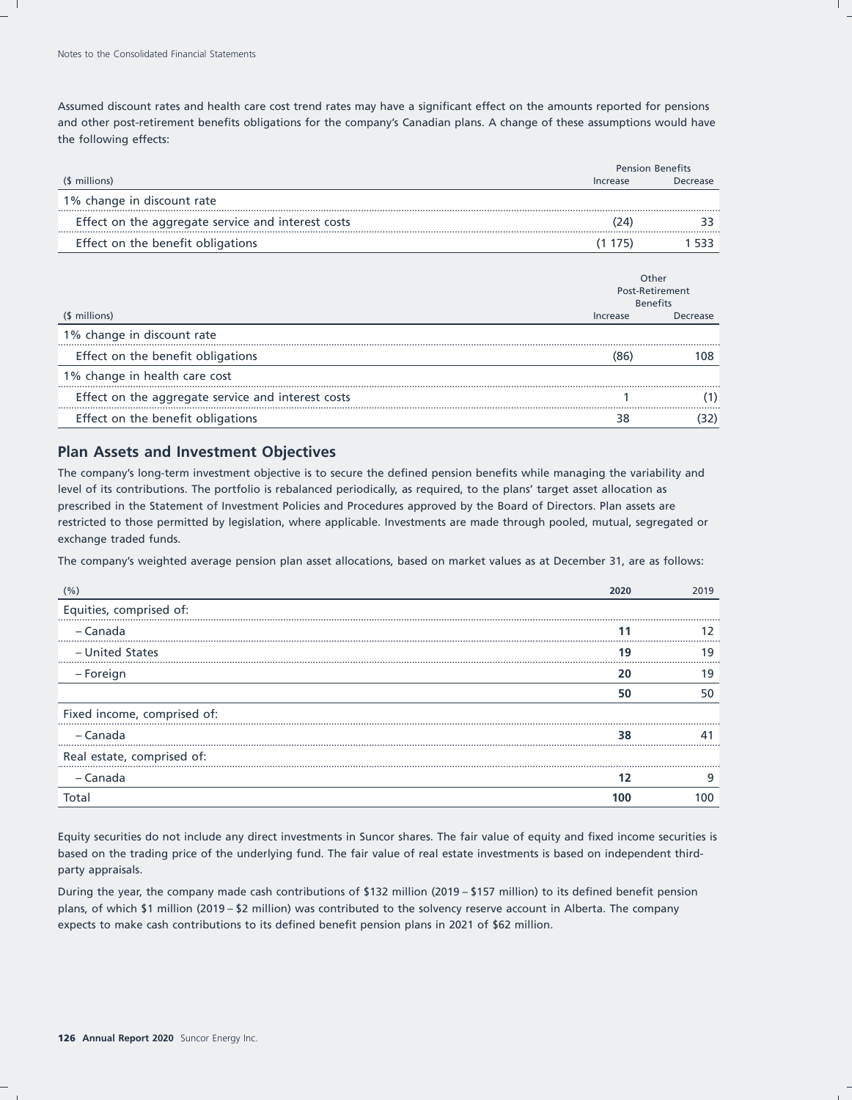Assumed discount rates and health care cost trend rates may have a significant effect on the amounts reported for pensions and other post-retirement benefits obligations for the company's Canadian plans. A change of these assumptions would have the following effects:

|                                                    |          | <b>Pension Benefits</b> |
|----------------------------------------------------|----------|-------------------------|
| (\$ millions)                                      | Increase | Decrease                |
| 1% change in discount rate                         |          |                         |
| Effect on the aggregate service and interest costs | 24       |                         |
| Effect on the benefit obligations                  | 1/5      |                         |

|                                                    | Other<br>Post-Retirement<br><b>Benefits</b> |          |
|----------------------------------------------------|---------------------------------------------|----------|
| (\$ millions)                                      | Increase                                    | Decrease |
| 1% change in discount rate                         |                                             |          |
| Effect on the benefit obligations                  |                                             |          |
| 1% change in health care cost                      |                                             |          |
| Effect on the aggregate service and interest costs |                                             |          |
| Effect on the benefit obligations                  |                                             |          |

## **Plan Assets and Investment Objectives**

The company's long-term investment objective is to secure the defined pension benefits while managing the variability and level of its contributions. The portfolio is rebalanced periodically, as required, to the plans' target asset allocation as prescribed in the Statement of Investment Policies and Procedures approved by the Board of Directors. Plan assets are restricted to those permitted by legislation, where applicable. Investments are made through pooled, mutual, segregated or exchange traded funds.

The company's weighted average pension plan asset allocations, based on market values as at December 31, are as follows:

| $(%^{(0)}%$                 | 2020 | 2019 |
|-----------------------------|------|------|
| Equities, comprised of:     |      |      |
| – Canada                    |      |      |
| - United States             | 19   |      |
| – Foreign                   | 20   | 19   |
|                             | 50   |      |
| Fixed income, comprised of: |      |      |
| – Canada                    | 38   |      |
| Real estate, comprised of:  |      |      |
| – Canada                    |      |      |
| Total                       |      |      |

Equity securities do not include any direct investments in Suncor shares. The fair value of equity and fixed income securities is based on the trading price of the underlying fund. The fair value of real estate investments is based on independent thirdparty appraisals.

During the year, the company made cash contributions of \$132 million (2019 – \$157 million) to its defined benefit pension plans, of which \$1 million (2019 – \$2 million) was contributed to the solvency reserve account in Alberta. The company expects to make cash contributions to its defined benefit pension plans in 2021 of \$62 million.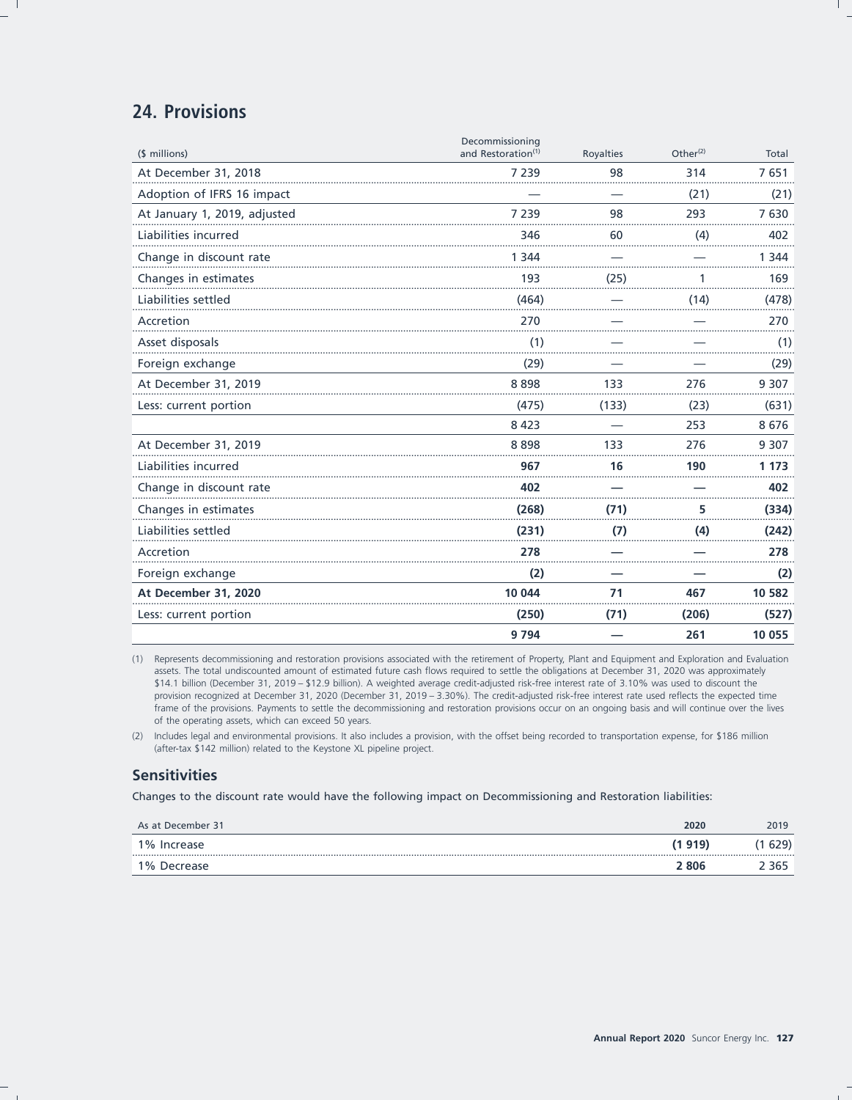## 24. Provisions

|                              | 9 7 9 4                                           |           | 261                  | 10 0 55 |
|------------------------------|---------------------------------------------------|-----------|----------------------|---------|
| Less: current portion        | (250)                                             | (71)      | (206)                | (527)   |
| At December 31, 2020         | 10 044                                            | 71        | 467                  | 10 582  |
| Foreign exchange             | (2)                                               |           |                      | (2)     |
| Accretion                    | 278                                               |           |                      | 278     |
| Liabilities settled          | (231)                                             | (7)       | (4)                  | (242)   |
| Changes in estimates         | (268)                                             | (71)      | 5                    | (334)   |
| Change in discount rate      | 402                                               |           |                      | 402     |
| Liabilities incurred         | 967                                               | 16        | 190                  | 1 1 7 3 |
| At December 31, 2019         | 8898                                              | 133       | 276                  | 9 3 0 7 |
|                              | 8 4 2 3                                           |           | 253                  | 8676    |
| Less: current portion        | (475)                                             | (133)     | (23)                 | (631)   |
| At December 31, 2019         | 8898                                              | 133       | 276                  | 9 3 0 7 |
| Foreign exchange             | (29)                                              |           |                      | (29)    |
| Asset disposals              | (1)                                               |           |                      | (1)     |
| Accretion                    | 270                                               |           |                      | 270     |
| Liabilities settled          | (464)                                             |           | (14)                 | (478)   |
| Changes in estimates         | 193                                               | (25)      |                      | 169     |
| Change in discount rate      | 1 3 4 4                                           |           |                      | 1 3 4 4 |
| Liabilities incurred         | 346                                               | 60        | (4)                  | 402     |
| At January 1, 2019, adjusted | 7 2 3 9                                           | 98        | 293                  | 7630    |
| Adoption of IFRS 16 impact   |                                                   |           | (21)                 | (21)    |
| At December 31, 2018         | 7 2 3 9                                           | 98        | 314                  | 7651    |
| (\$ millions)                | Decommissioning<br>and Restoration <sup>(1)</sup> | Royalties | Other <sup>(2)</sup> | Total   |

(1) Represents decommissioning and restoration provisions associated with the retirement of Property, Plant and Equipment and Exploration and Evaluation assets. The total undiscounted amount of estimated future cash flows required to settle the obligations at December 31, 2020 was approximately \$14.1 billion (December 31, 2019 - \$12.9 billion). A weighted average credit-adjusted risk-free interest rate of 3.10% was used to discount the provision recognized at December 31, 2020 (December 31, 2019 - 3.30%). The credit-adjusted risk-free interest rate used reflects the expected time frame of the provisions. Payments to settle the decommissioning and restoration provisions occur on an ongoing basis and will continue over the lives of the operating assets, which can exceed 50 years.

(2) Includes legal and environmental provisions. It also includes a provision, with the offset being recorded to transportation expense, for \$186 million (after-tax \$142 million) related to the Keystone XL pipeline project.

## **Sensitivities**

Changes to the discount rate would have the following impact on Decommissioning and Restoration liabilities:

| As at December 31 | 2020   | 2019   |
|-------------------|--------|--------|
| 1% Increase       | (1919) | (1 629 |
| 1% Decrease       | 2806   | ? 365  |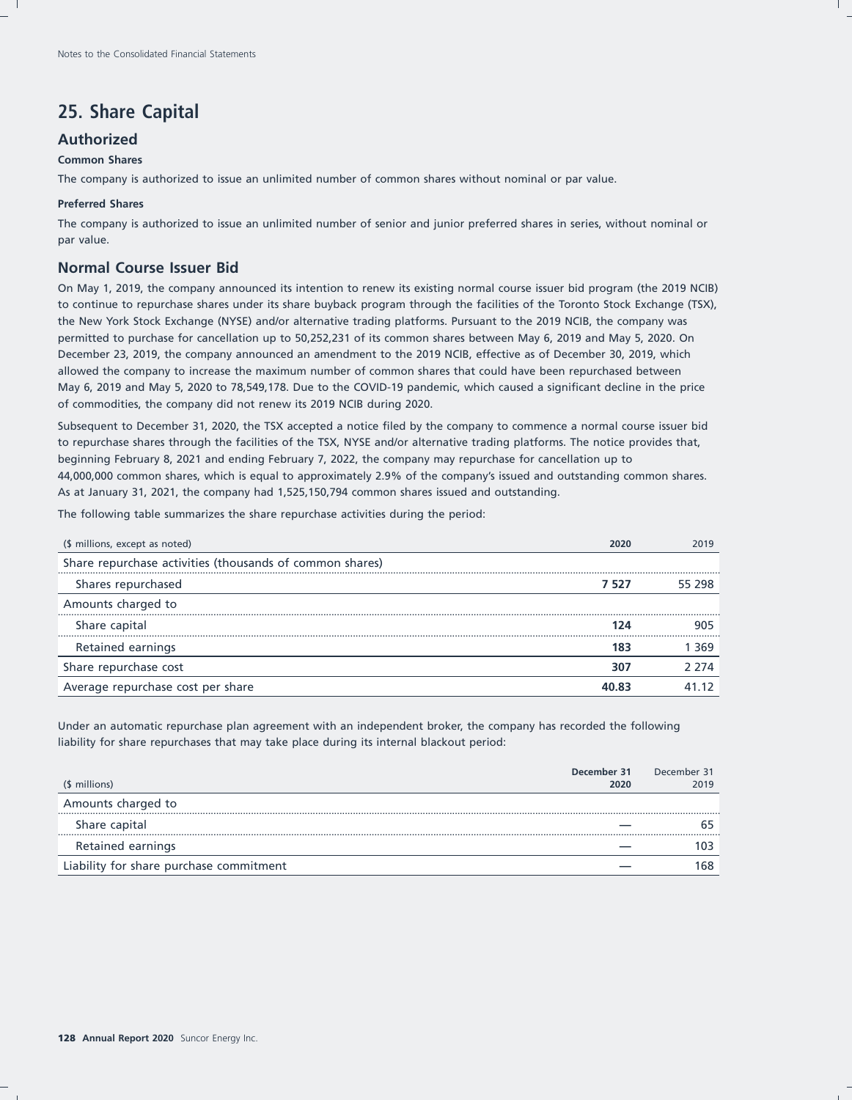# **25. Share Capital**

## **Authorized**

#### **Common Shares**

The company is authorized to issue an unlimited number of common shares without nominal or par value.

#### **Preferred Shares**

The company is authorized to issue an unlimited number of senior and junior preferred shares in series, without nominal or par value.

## **Normal Course Issuer Bid**

On May 1, 2019, the company announced its intention to renew its existing normal course issuer bid program (the 2019 NCIB) to continue to repurchase shares under its share buyback program through the facilities of the Toronto Stock Exchange (TSX), the New York Stock Exchange (NYSE) and/or alternative trading platforms. Pursuant to the 2019 NCIB, the company was permitted to purchase for cancellation up to 50,252,231 of its common shares between May 6, 2019 and May 5, 2020. On December 23, 2019, the company announced an amendment to the 2019 NCIB, effective as of December 30, 2019, which allowed the company to increase the maximum number of common shares that could have been repurchased between May 6, 2019 and May 5, 2020 to 78,549,178. Due to the COVID-19 pandemic, which caused a significant decline in the price of commodities, the company did not renew its 2019 NCIB during 2020.

Subsequent to December 31, 2020, the TSX accepted a notice filed by the company to commence a normal course issuer bid to repurchase shares through the facilities of the TSX, NYSE and/or alternative trading platforms. The notice provides that, beginning February 8, 2021 and ending February 7, 2022, the company may repurchase for cancellation up to 44,000,000 common shares, which is equal to approximately 2.9% of the company's issued and outstanding common shares. As at January 31, 2021, the company had 1,525,150,794 common shares issued and outstanding.

The following table summarizes the share repurchase activities during the period:

| (\$ millions, except as noted)                           |       | 2019   |
|----------------------------------------------------------|-------|--------|
| Share repurchase activities (thousands of common shares) |       |        |
| Shares repurchased                                       | 7 527 | 55 298 |
| Amounts charged to                                       |       |        |
| Share capital                                            |       | 905    |
| Retained earnings                                        |       | 369    |
| Share repurchase cost                                    | 30    | 2 274  |
| Average repurchase cost per share                        |       |        |

Under an automatic repurchase plan agreement with an independent broker, the company has recorded the following liability for share repurchases that may take place during its internal blackout period:

| (\$ millions)                           | December 31<br>2020 | December 31<br>2019 |
|-----------------------------------------|---------------------|---------------------|
| Amounts charged to                      |                     |                     |
| Share capital                           |                     |                     |
| Retained earnings                       |                     | 103                 |
| Liability for share purchase commitment |                     | 168                 |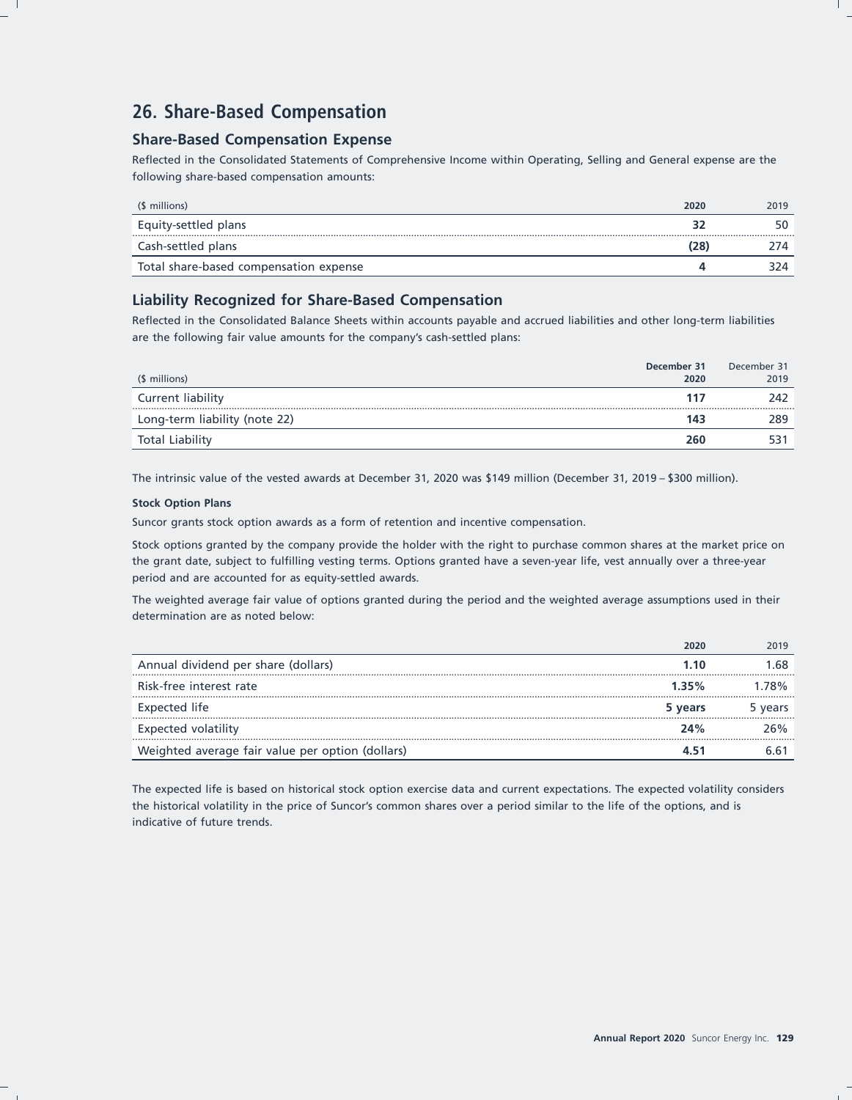# **26. Share-Based Compensation**

## **Share-Based Compensation Expense**

Reflected in the Consolidated Statements of Comprehensive Income within Operating, Selling and General expense are the following share-based compensation amounts:

| (\$ millions)                          | 2020 | 2019 |
|----------------------------------------|------|------|
| Equity-settled plans                   |      | 50   |
| Cash-settled plans                     | (28) |      |
| Total share-based compensation expense |      |      |

## **Liability Recognized for Share-Based Compensation**

Reflected in the Consolidated Balance Sheets within accounts payable and accrued liabilities and other long-term liabilities are the following fair value amounts for the company's cash-settled plans:

| (\$ millions)                 | December 31<br>2020 | December 31<br>2019 |
|-------------------------------|---------------------|---------------------|
| Current liability             | 117                 | 242                 |
| Long-term liability (note 22) | 143                 | 289                 |
| <b>Total Liability</b>        | 260                 |                     |

The intrinsic value of the vested awards at December 31, 2020 was \$149 million (December 31, 2019 – \$300 million).

#### **Stock Option Plans**

Suncor grants stock option awards as a form of retention and incentive compensation.

Stock options granted by the company provide the holder with the right to purchase common shares at the market price on the grant date, subject to fulfilling vesting terms. Options granted have a seven-year life, vest annually over a three-year period and are accounted for as equity-settled awards.

The weighted average fair value of options granted during the period and the weighted average assumptions used in their determination are as noted below:

| Weighted average fair value per option (dollars) |         |
|--------------------------------------------------|---------|
| Expected volatility<br>24%                       | ን6%     |
| Expected life<br>5 years                         | 5 years |
| Risk-free interest rate<br>1.35%                 | .78%    |
| Annual dividend per share (dollars)<br>1 1 0     | .68     |
|                                                  | 2019    |

The expected life is based on historical stock option exercise data and current expectations. The expected volatility considers the historical volatility in the price of Suncor's common shares over a period similar to the life of the options, and is indicative of future trends.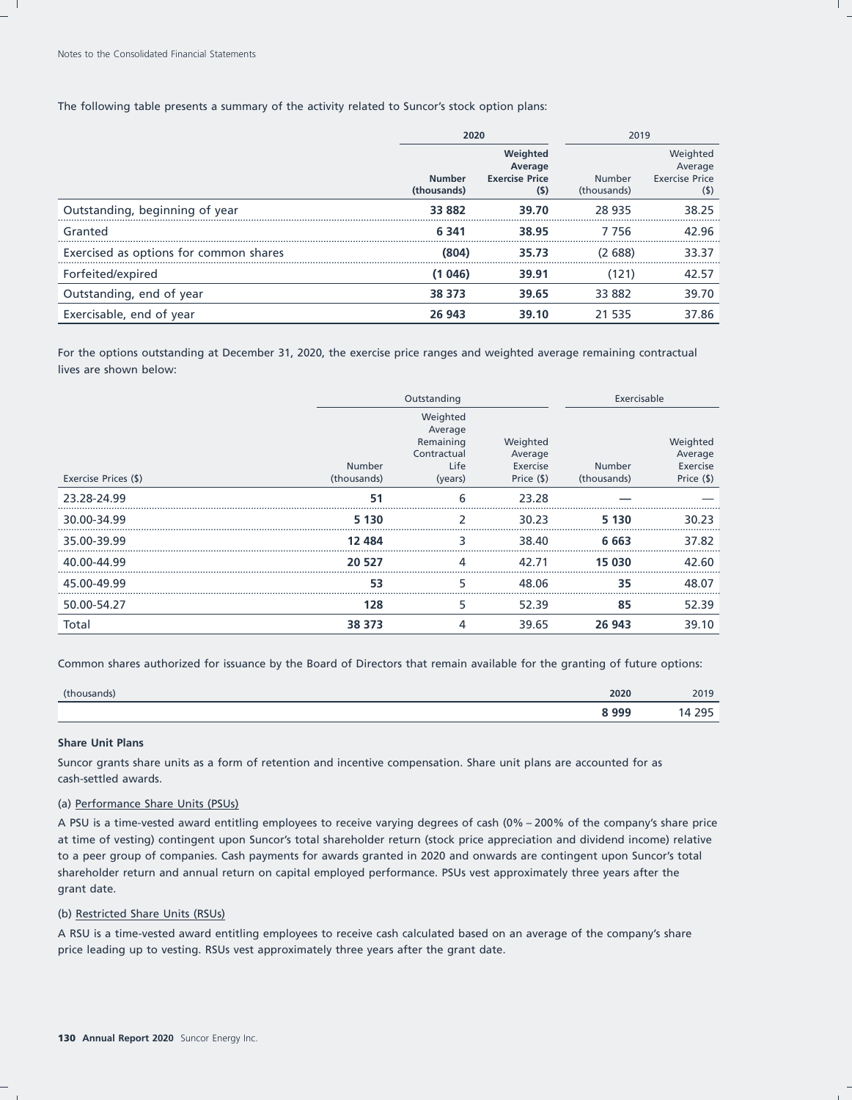The following table presents a summary of the activity related to Suncor's stock option plans:

|                                        | 2020                         |                                                       | 2019                         |                                                     |  |
|----------------------------------------|------------------------------|-------------------------------------------------------|------------------------------|-----------------------------------------------------|--|
|                                        | <b>Number</b><br>(thousands) | Weighted<br>Average<br><b>Exercise Price</b><br>$(5)$ | <b>Number</b><br>(thousands) | Weighted<br>Average<br><b>Exercise Price</b><br>(5) |  |
| Outstanding, beginning of year         | 33 882                       | 39.70                                                 | 28 9 35                      | 38.25                                               |  |
| Granted                                | 6 3 4 1                      | 38.95                                                 | 7 7 5 6                      | 42.96                                               |  |
| Exercised as options for common shares | (804)                        | 35.73                                                 | (2688)                       | 33.37                                               |  |
| Forfeited/expired                      | (1046)                       | 39.91                                                 | (121)                        | 42.57                                               |  |
| Outstanding, end of year               | 38 373                       | 39.65                                                 | 33 882                       | 39.70                                               |  |
| Exercisable, end of year               | 26 943                       | 39.10                                                 | 21 535                       | 37.86                                               |  |

For the options outstanding at December 31, 2020, the exercise price ranges and weighted average remaining contractual lives are shown below:

|                      |                              | Outstanding                                                        |                                               |                              | Exercisable                                   |
|----------------------|------------------------------|--------------------------------------------------------------------|-----------------------------------------------|------------------------------|-----------------------------------------------|
| Exercise Prices (\$) | <b>Number</b><br>(thousands) | Weighted<br>Average<br>Remaining<br>Contractual<br>Life<br>(years) | Weighted<br>Average<br>Exercise<br>Price (\$) | <b>Number</b><br>(thousands) | Weighted<br>Average<br>Exercise<br>Price (\$) |
| 23.28-24.99          | 51                           | 6                                                                  | 23.28                                         |                              |                                               |
| 30.00-34.99          | 5 130                        |                                                                    | 30.23                                         | 5 130                        | 30.23                                         |
| 35.00-39.99          | 12 4 8 4                     |                                                                    | 38.40                                         | 6 663                        | 37.82                                         |
| 40.00-44.99          | 20 527                       | 4                                                                  | 42.71                                         | 15 030                       | 42.60                                         |
| 45.00-49.99          | 53                           | 5                                                                  | 48.06                                         | 35                           | 48.07                                         |
| 50.00-54.27          | 128                          | 5                                                                  | 52.39                                         | 85                           | 52.39                                         |
| Total                | 38 373                       | 4                                                                  | 39.65                                         | 26 943                       | 39.10                                         |

Common shares authorized for issuance by the Board of Directors that remain available for the granting of future options:

| (thousands)<br><b>South Dealers</b> | 2020 | 2019       |
|-------------------------------------|------|------------|
|                                     | 8999 | ⊐∩ר<br>--- |

#### **Share Unit Plans**

Suncor grants share units as a form of retention and incentive compensation. Share unit plans are accounted for as cash-settled awards.

#### (a) Performance Share Units (PSUs)

A PSU is a time-vested award entitling employees to receive varying degrees of cash (0% – 200% of the company's share price at time of vesting) contingent upon Suncor's total shareholder return (stock price appreciation and dividend income) relative to a peer group of companies. Cash payments for awards granted in 2020 and onwards are contingent upon Suncor's total shareholder return and annual return on capital employed performance. PSUs vest approximately three years after the grant date.

#### (b) Restricted Share Units (RSUs)

A RSU is a time-vested award entitling employees to receive cash calculated based on an average of the company's share price leading up to vesting. RSUs vest approximately three years after the grant date.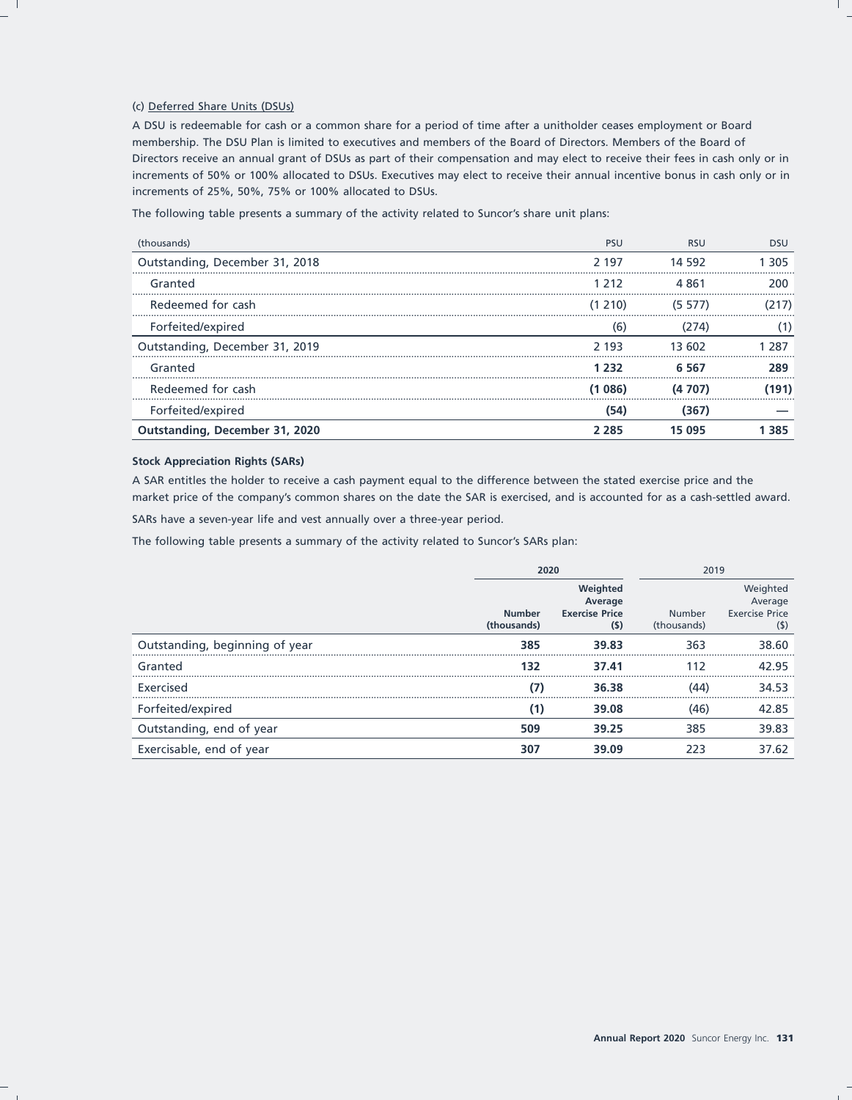#### (c) Deferred Share Units (DSUs)

A DSU is redeemable for cash or a common share for a period of time after a unitholder ceases employment or Board membership. The DSU Plan is limited to executives and members of the Board of Directors. Members of the Board of Directors receive an annual grant of DSUs as part of their compensation and may elect to receive their fees in cash only or in increments of 50% or 100% allocated to DSUs. Executives may elect to receive their annual incentive bonus in cash only or in increments of 25%, 50%, 75% or 100% allocated to DSUs.

The following table presents a summary of the activity related to Suncor's share unit plans:

| (thousands)                           | <b>PSU</b> | <b>RSU</b> | DSU  |
|---------------------------------------|------------|------------|------|
| Outstanding, December 31, 2018        | 2 197      | 14 592     | 305  |
| Granted                               | 1 212.     | 4 861      | 200  |
| Redeemed for cash                     | (1, 210)   | (5 577)    |      |
| Forfeited/expired                     | (6)        | 274)       |      |
| Outstanding, December 31, 2019        | 2 193      | 13 602     |      |
| Granted                               | つマフ        | ճ 567      | 289  |
| Redeemed for cash                     | (1 086)    |            | 191) |
| Forfeited/expired                     | (54)       | (367)      |      |
| <b>Outstanding, December 31, 2020</b> | 285        | 15 095     | 385  |

#### **Stock Appreciation Rights (SARs)**

A SAR entitles the holder to receive a cash payment equal to the difference between the stated exercise price and the market price of the company's common shares on the date the SAR is exercised, and is accounted for as a cash-settled award.

SARs have a seven-year life and vest annually over a three-year period.

The following table presents a summary of the activity related to Suncor's SARs plan:

|                                | 2020                         |                                                     | 2019                         |                                                     |
|--------------------------------|------------------------------|-----------------------------------------------------|------------------------------|-----------------------------------------------------|
|                                | <b>Number</b><br>(thousands) | Weighted<br>Average<br><b>Exercise Price</b><br>(S) | <b>Number</b><br>(thousands) | Weighted<br>Average<br><b>Exercise Price</b><br>(5) |
| Outstanding, beginning of year | 385                          | 39.83                                               | 363                          | 38.60                                               |
| Granted                        | 132                          | 37.41                                               | 112                          | 42.95                                               |
| Exercised                      |                              | 36.38                                               | (44)                         | 34.53                                               |
| Forfeited/expired              | (1)                          | 39.08                                               | (46)                         | 42.85                                               |
| Outstanding, end of year       | 509                          | 39.25                                               | 385                          | 39.83                                               |
| Exercisable, end of year       | 307                          | 39.09                                               | 223                          | 37.62                                               |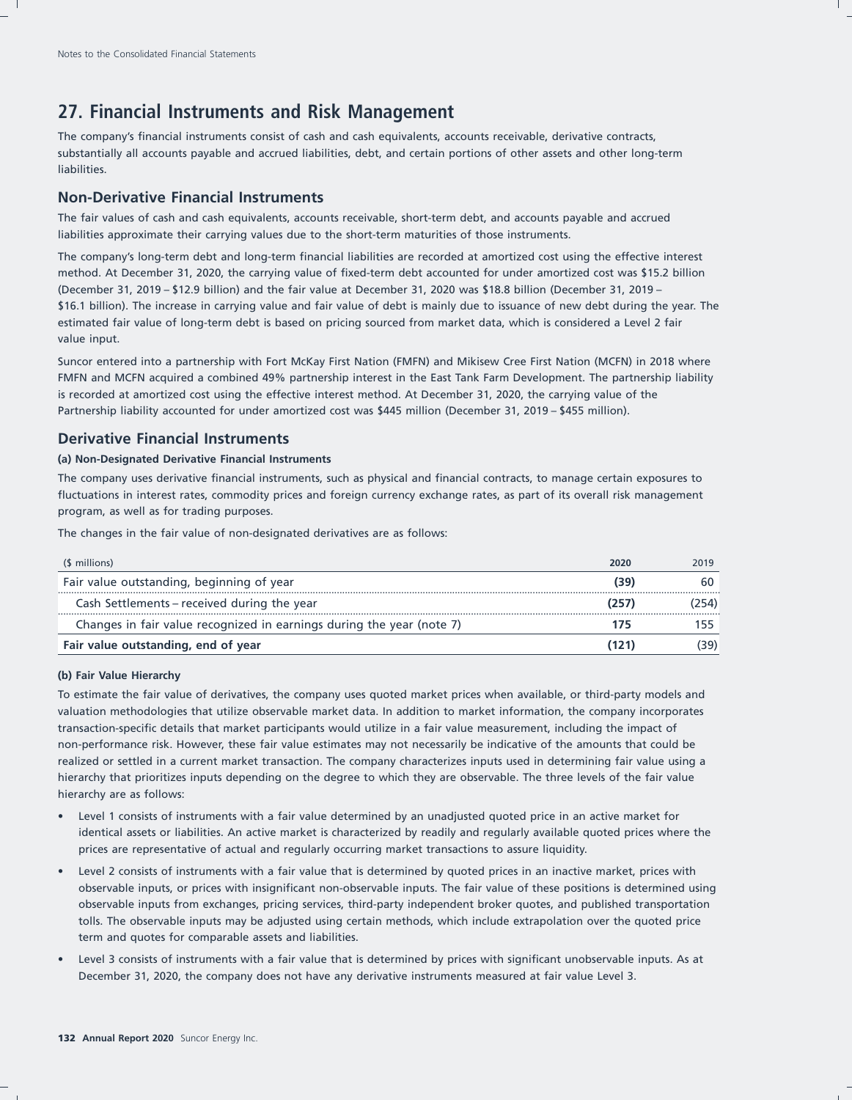# **27. Financial Instruments and Risk Management**

The company's financial instruments consist of cash and cash equivalents, accounts receivable, derivative contracts, substantially all accounts payable and accrued liabilities, debt, and certain portions of other assets and other long-term liabilities.

## **Non-Derivative Financial Instruments**

The fair values of cash and cash equivalents, accounts receivable, short-term debt, and accounts payable and accrued liabilities approximate their carrying values due to the short-term maturities of those instruments.

The company's long-term debt and long-term financial liabilities are recorded at amortized cost using the effective interest method. At December 31, 2020, the carrying value of fixed-term debt accounted for under amortized cost was \$15.2 billion (December 31, 2019 – \$12.9 billion) and the fair value at December 31, 2020 was \$18.8 billion (December 31, 2019 – \$16.1 billion). The increase in carrying value and fair value of debt is mainly due to issuance of new debt during the year. The estimated fair value of long-term debt is based on pricing sourced from market data, which is considered a Level 2 fair value input.

Suncor entered into a partnership with Fort McKay First Nation (FMFN) and Mikisew Cree First Nation (MCFN) in 2018 where FMFN and MCFN acquired a combined 49% partnership interest in the East Tank Farm Development. The partnership liability is recorded at amortized cost using the effective interest method. At December 31, 2020, the carrying value of the Partnership liability accounted for under amortized cost was \$445 million (December 31, 2019 – \$455 million).

## **Derivative Financial Instruments**

#### **(a) Non-Designated Derivative Financial Instruments**

The company uses derivative financial instruments, such as physical and financial contracts, to manage certain exposures to fluctuations in interest rates, commodity prices and foreign currency exchange rates, as part of its overall risk management program, as well as for trading purposes.

The changes in the fair value of non-designated derivatives are as follows:

| (\$ millions)                                                         | 2020 | 2019 |
|-----------------------------------------------------------------------|------|------|
| Fair value outstanding, beginning of year                             | (39) | 60   |
| Cash Settlements – received during the year                           |      |      |
| Changes in fair value recognized in earnings during the year (note 7) |      |      |
| Fair value outstanding, end of year                                   |      |      |

#### **(b) Fair Value Hierarchy**

To estimate the fair value of derivatives, the company uses quoted market prices when available, or third-party models and valuation methodologies that utilize observable market data. In addition to market information, the company incorporates transaction-specific details that market participants would utilize in a fair value measurement, including the impact of non-performance risk. However, these fair value estimates may not necessarily be indicative of the amounts that could be realized or settled in a current market transaction. The company characterizes inputs used in determining fair value using a hierarchy that prioritizes inputs depending on the degree to which they are observable. The three levels of the fair value hierarchy are as follows:

- Level 1 consists of instruments with a fair value determined by an unadjusted quoted price in an active market for identical assets or liabilities. An active market is characterized by readily and regularly available quoted prices where the prices are representative of actual and regularly occurring market transactions to assure liquidity.
- Level 2 consists of instruments with a fair value that is determined by quoted prices in an inactive market, prices with observable inputs, or prices with insignificant non-observable inputs. The fair value of these positions is determined using observable inputs from exchanges, pricing services, third-party independent broker quotes, and published transportation tolls. The observable inputs may be adjusted using certain methods, which include extrapolation over the quoted price term and quotes for comparable assets and liabilities.
- Level 3 consists of instruments with a fair value that is determined by prices with significant unobservable inputs. As at December 31, 2020, the company does not have any derivative instruments measured at fair value Level 3.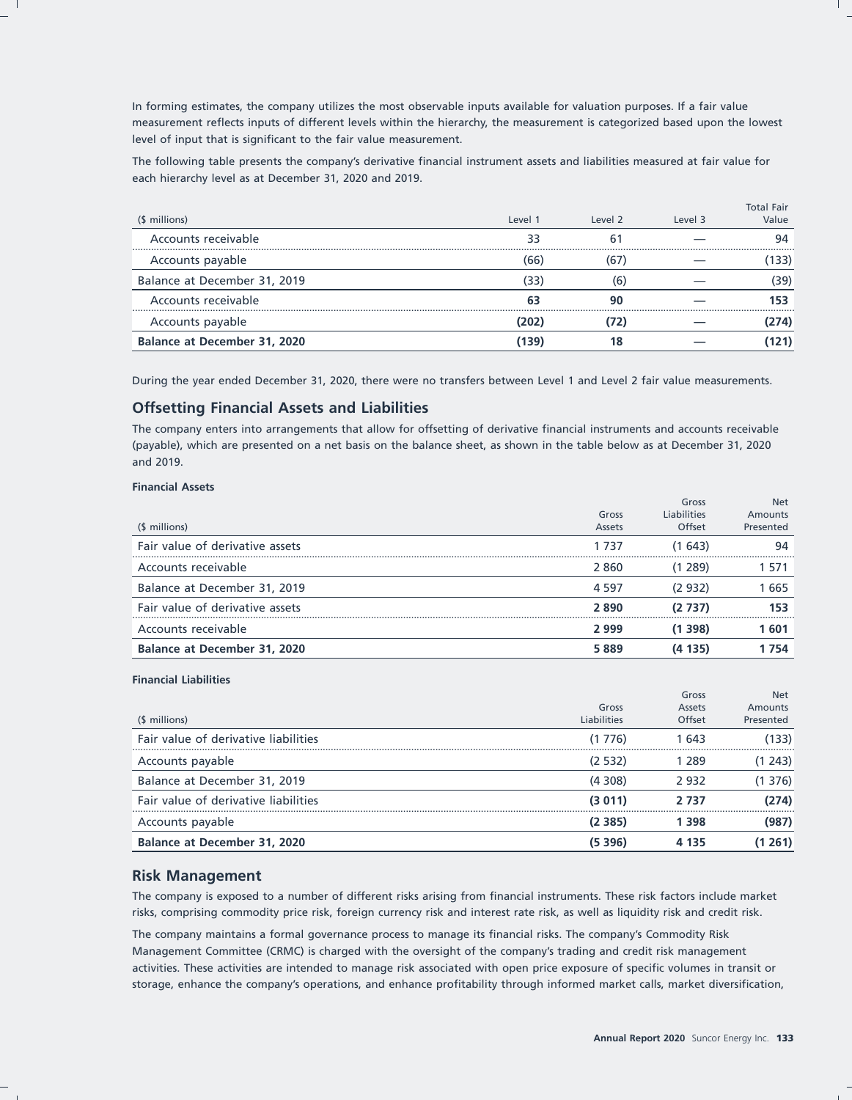In forming estimates, the company utilizes the most observable inputs available for valuation purposes. If a fair value measurement reflects inputs of different levels within the hierarchy, the measurement is categorized based upon the lowest level of input that is significant to the fair value measurement.

The following table presents the company's derivative financial instrument assets and liabilities measured at fair value for each hierarchy level as at December 31, 2020 and 2019.

| (\$ millions)                | Level 1 | Level 2 | Level 3 | <b>Total Fair</b><br>Value |
|------------------------------|---------|---------|---------|----------------------------|
| Accounts receivable          |         | h       |         |                            |
| Accounts payable             | 66      |         |         | 133)                       |
| Balance at December 31, 2019 | 33      | 6       |         | 39)                        |
| Accounts receivable          |         | 90      |         |                            |
| Accounts payable             |         |         |         | 74)                        |
| Balance at December 31, 2020 | 139     | 18      |         |                            |

During the year ended December 31, 2020, there were no transfers between Level 1 and Level 2 fair value measurements.

## **Offsetting Financial Assets and Liabilities**

The company enters into arrangements that allow for offsetting of derivative financial instruments and accounts receivable (payable), which are presented on a net basis on the balance sheet, as shown in the table below as at December 31, 2020 and 2019.

#### **Financial Assets**

| Liabilities<br>Gross<br>Amounts<br>Offset<br>(\$ millions)<br>Presented<br>Assets<br>Fair value of derivative assets<br>(1643)<br>94<br>1 737<br>Accounts receivable<br>(1 289)<br>2860<br>1 571 |
|--------------------------------------------------------------------------------------------------------------------------------------------------------------------------------------------------|
|                                                                                                                                                                                                  |
|                                                                                                                                                                                                  |
|                                                                                                                                                                                                  |
|                                                                                                                                                                                                  |
| Balance at December 31, 2019<br>(2932)<br>1665<br>4 5 9 7                                                                                                                                        |
| Fair value of derivative assets<br>(2 737)<br>2890<br>153                                                                                                                                        |
| Accounts receivable<br>(1 398)<br>2999<br>1 601                                                                                                                                                  |
| Balance at December 31, 2020<br>(4 135)<br>5889<br>1 754                                                                                                                                         |

#### **Financial Liabilities**

| (\$ millions)                        | Gross<br><b>Liabilities</b> | Gross<br>Assets<br>Offset | <b>Net</b><br>Amounts<br>Presented |
|--------------------------------------|-----------------------------|---------------------------|------------------------------------|
| Fair value of derivative liabilities | (1 776)                     | 1 643                     | (133)                              |
| Accounts payable                     | (2 532)                     | 289                       | (1, 243)                           |
| Balance at December 31, 2019         | (4308)                      | 2932                      | (1 376)                            |
| Fair value of derivative liabilities | (3011)                      | 2 737                     | (274)                              |
| Accounts payable                     | (2 385)                     | 398                       | (987)                              |
| Balance at December 31, 2020         | (5 3 9 6 )                  | 4 1 3 5                   | (1 261)                            |

#### **Risk Management**

The company is exposed to a number of different risks arising from financial instruments. These risk factors include market risks, comprising commodity price risk, foreign currency risk and interest rate risk, as well as liquidity risk and credit risk.

The company maintains a formal governance process to manage its financial risks. The company's Commodity Risk Management Committee (CRMC) is charged with the oversight of the company's trading and credit risk management activities. These activities are intended to manage risk associated with open price exposure of specific volumes in transit or storage, enhance the company's operations, and enhance profitability through informed market calls, market diversification,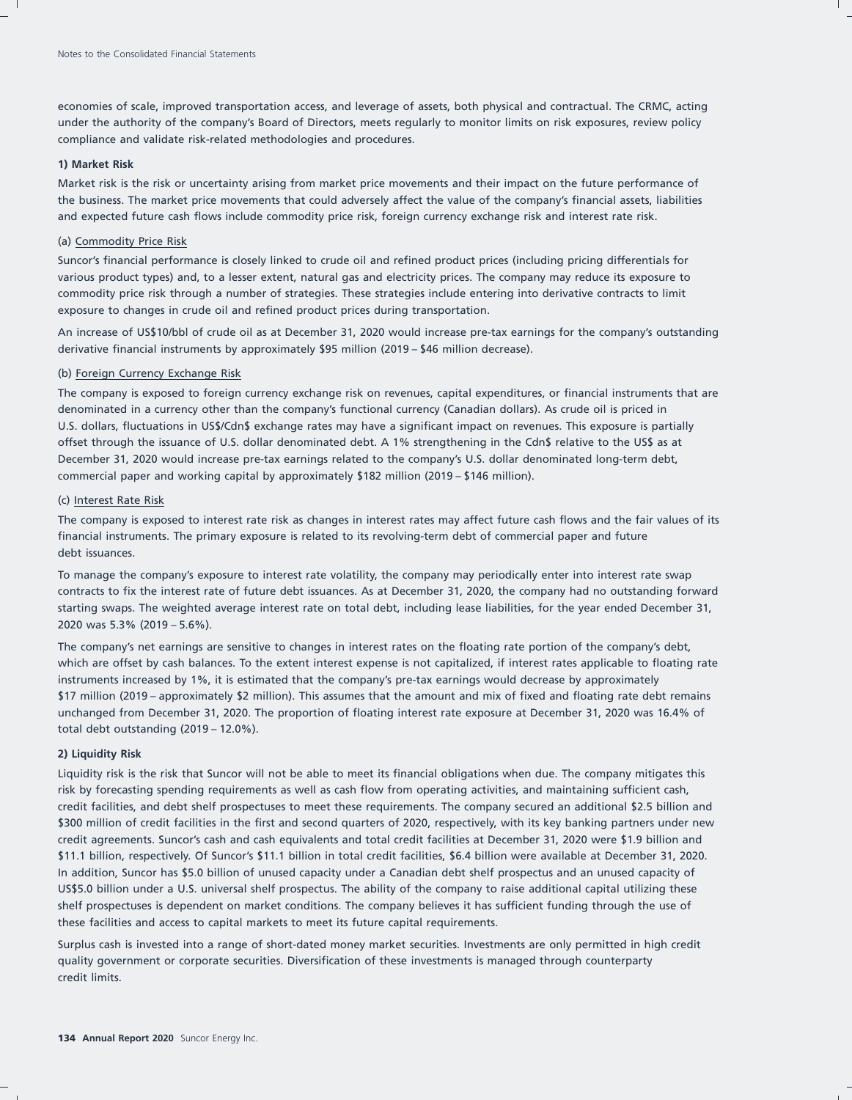economies of scale, improved transportation access, and leverage of assets, both physical and contractual. The CRMC, acting under the authority of the company's Board of Directors, meets regularly to monitor limits on risk exposures, review policy compliance and validate risk-related methodologies and procedures.

#### **1) Market Risk**

Market risk is the risk or uncertainty arising from market price movements and their impact on the future performance of the business. The market price movements that could adversely affect the value of the company's financial assets, liabilities and expected future cash flows include commodity price risk, foreign currency exchange risk and interest rate risk.

#### (a) Commodity Price Risk

Suncor's financial performance is closely linked to crude oil and refined product prices (including pricing differentials for various product types) and, to a lesser extent, natural gas and electricity prices. The company may reduce its exposure to commodity price risk through a number of strategies. These strategies include entering into derivative contracts to limit exposure to changes in crude oil and refined product prices during transportation.

An increase of US\$10/bbl of crude oil as at December 31, 2020 would increase pre-tax earnings for the company's outstanding derivative financial instruments by approximately \$95 million (2019 – \$46 million decrease).

#### (b) Foreign Currency Exchange Risk

The company is exposed to foreign currency exchange risk on revenues, capital expenditures, or financial instruments that are denominated in a currency other than the company's functional currency (Canadian dollars). As crude oil is priced in U.S. dollars, fluctuations in US\$/Cdn\$ exchange rates may have a significant impact on revenues. This exposure is partially offset through the issuance of U.S. dollar denominated debt. A 1% strengthening in the Cdn\$ relative to the US\$ as at December 31, 2020 would increase pre-tax earnings related to the company's U.S. dollar denominated long-term debt, commercial paper and working capital by approximately \$182 million (2019 – \$146 million).

#### (c) Interest Rate Risk

The company is exposed to interest rate risk as changes in interest rates may affect future cash flows and the fair values of its financial instruments. The primary exposure is related to its revolving-term debt of commercial paper and future debt issuances.

To manage the company's exposure to interest rate volatility, the company may periodically enter into interest rate swap contracts to fix the interest rate of future debt issuances. As at December 31, 2020, the company had no outstanding forward starting swaps. The weighted average interest rate on total debt, including lease liabilities, for the year ended December 31, 2020 was 5.3% (2019 – 5.6%).

The company's net earnings are sensitive to changes in interest rates on the floating rate portion of the company's debt, which are offset by cash balances. To the extent interest expense is not capitalized, if interest rates applicable to floating rate instruments increased by 1%, it is estimated that the company's pre-tax earnings would decrease by approximately \$17 million (2019 – approximately \$2 million). This assumes that the amount and mix of fixed and floating rate debt remains unchanged from December 31, 2020. The proportion of floating interest rate exposure at December 31, 2020 was 16.4% of total debt outstanding (2019 – 12.0%).

#### **2) Liquidity Risk**

Liquidity risk is the risk that Suncor will not be able to meet its financial obligations when due. The company mitigates this risk by forecasting spending requirements as well as cash flow from operating activities, and maintaining sufficient cash, credit facilities, and debt shelf prospectuses to meet these requirements. The company secured an additional \$2.5 billion and \$300 million of credit facilities in the first and second quarters of 2020, respectively, with its key banking partners under new credit agreements. Suncor's cash and cash equivalents and total credit facilities at December 31, 2020 were \$1.9 billion and \$11.1 billion, respectively. Of Suncor's \$11.1 billion in total credit facilities, \$6.4 billion were available at December 31, 2020. In addition, Suncor has \$5.0 billion of unused capacity under a Canadian debt shelf prospectus and an unused capacity of US\$5.0 billion under a U.S. universal shelf prospectus. The ability of the company to raise additional capital utilizing these shelf prospectuses is dependent on market conditions. The company believes it has sufficient funding through the use of these facilities and access to capital markets to meet its future capital requirements.

Surplus cash is invested into a range of short-dated money market securities. Investments are only permitted in high credit quality government or corporate securities. Diversification of these investments is managed through counterparty credit limits.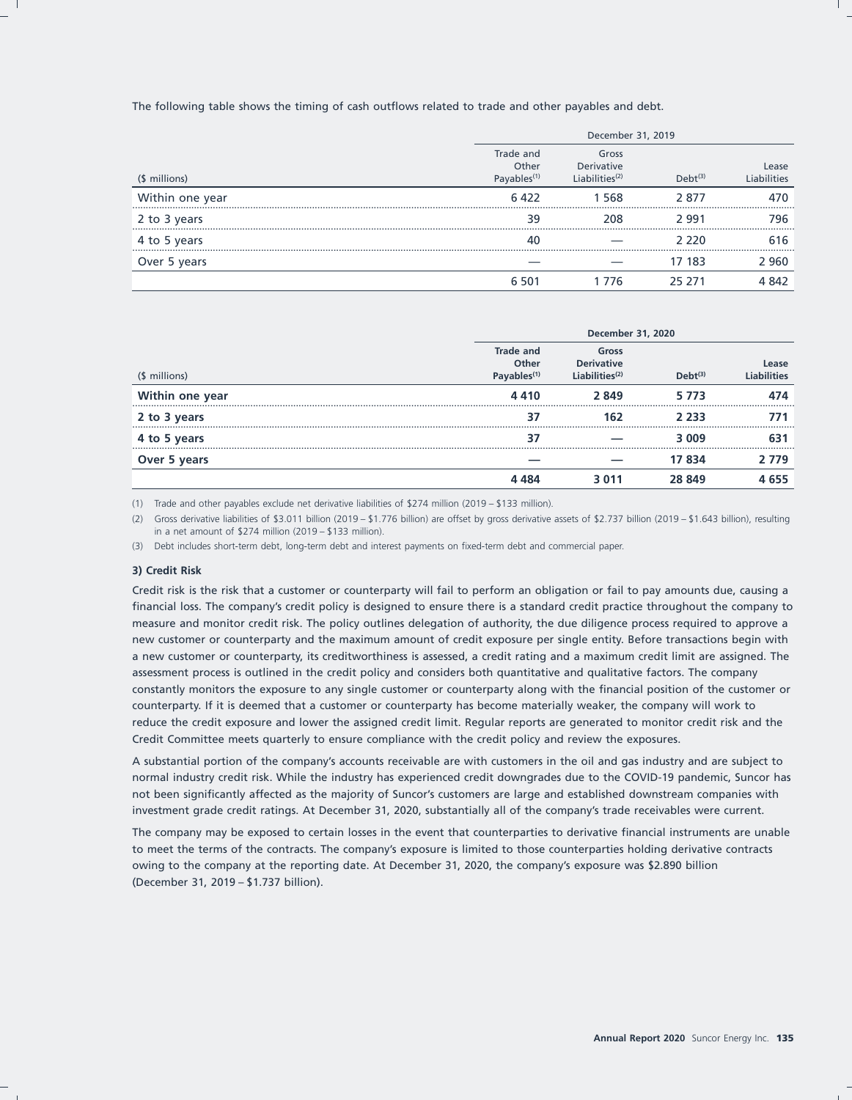The following table shows the timing of cash outflows related to trade and other payables and debt.

|                 | December 31, 2019                             |                                                      |               |                     |
|-----------------|-----------------------------------------------|------------------------------------------------------|---------------|---------------------|
| (\$ millions)   | Trade and<br>Other<br>Payables <sup>(1)</sup> | Gross<br>Derivative<br>$l$ iabilities <sup>(2)</sup> | $D$ eht $(3)$ | Lease<br>iabilities |
| Within one year | 6422                                          | 568                                                  | 2877          | 470                 |
| 2 to 3 years    | 39                                            | 208                                                  | 2991          | 796                 |
| 4 to 5 years    | 40                                            |                                                      | ን  ንንበ        | 616                 |
| Over 5 years    |                                               |                                                      | 17 183        | 2 960               |
|                 | 6.501                                         | -776                                                 | 25 271        | 4 842               |

|                 | December 31, 2020                             |                                                 |               |                             |
|-----------------|-----------------------------------------------|-------------------------------------------------|---------------|-----------------------------|
| (\$ millions)   | Trade and<br>Other<br>Payables <sup>(1)</sup> | Gross<br><b>Derivative</b><br>Liabilities $(2)$ | $D$ eht $(3)$ | Lease<br><b>Liabilities</b> |
| Within one year | 4410                                          | 2849                                            | 5 7 7 3       | 474                         |
| 2 to 3 years    |                                               | 162                                             | 2 2 3 3       |                             |
| 4 to 5 years    | 37                                            |                                                 | 3 0 0 9       | 63                          |
| Over 5 years    |                                               |                                                 | 17 834        | 2 779                       |
|                 | 4 484                                         | 3 0 1 1                                         | 28 849        | 4 6 5 5                     |

(1) Trade and other payables exclude net derivative liabilities of \$274 million (2019 – \$133 million).

(2) Gross derivative liabilities of \$3.011 billion (2019 – \$1.776 billion) are offset by gross derivative assets of \$2.737 billion (2019 – \$1.643 billion), resulting in a net amount of \$274 million (2019 – \$133 million).

(3) Debt includes short-term debt, long-term debt and interest payments on fixed-term debt and commercial paper.

#### **3) Credit Risk**

Credit risk is the risk that a customer or counterparty will fail to perform an obligation or fail to pay amounts due, causing a financial loss. The company's credit policy is designed to ensure there is a standard credit practice throughout the company to measure and monitor credit risk. The policy outlines delegation of authority, the due diligence process required to approve a new customer or counterparty and the maximum amount of credit exposure per single entity. Before transactions begin with a new customer or counterparty, its creditworthiness is assessed, a credit rating and a maximum credit limit are assigned. The assessment process is outlined in the credit policy and considers both quantitative and qualitative factors. The company constantly monitors the exposure to any single customer or counterparty along with the financial position of the customer or counterparty. If it is deemed that a customer or counterparty has become materially weaker, the company will work to reduce the credit exposure and lower the assigned credit limit. Regular reports are generated to monitor credit risk and the Credit Committee meets quarterly to ensure compliance with the credit policy and review the exposures.

A substantial portion of the company's accounts receivable are with customers in the oil and gas industry and are subject to normal industry credit risk. While the industry has experienced credit downgrades due to the COVID-19 pandemic, Suncor has not been significantly affected as the majority of Suncor's customers are large and established downstream companies with investment grade credit ratings. At December 31, 2020, substantially all of the company's trade receivables were current.

The company may be exposed to certain losses in the event that counterparties to derivative financial instruments are unable to meet the terms of the contracts. The company's exposure is limited to those counterparties holding derivative contracts owing to the company at the reporting date. At December 31, 2020, the company's exposure was \$2.890 billion (December 31, 2019 – \$1.737 billion).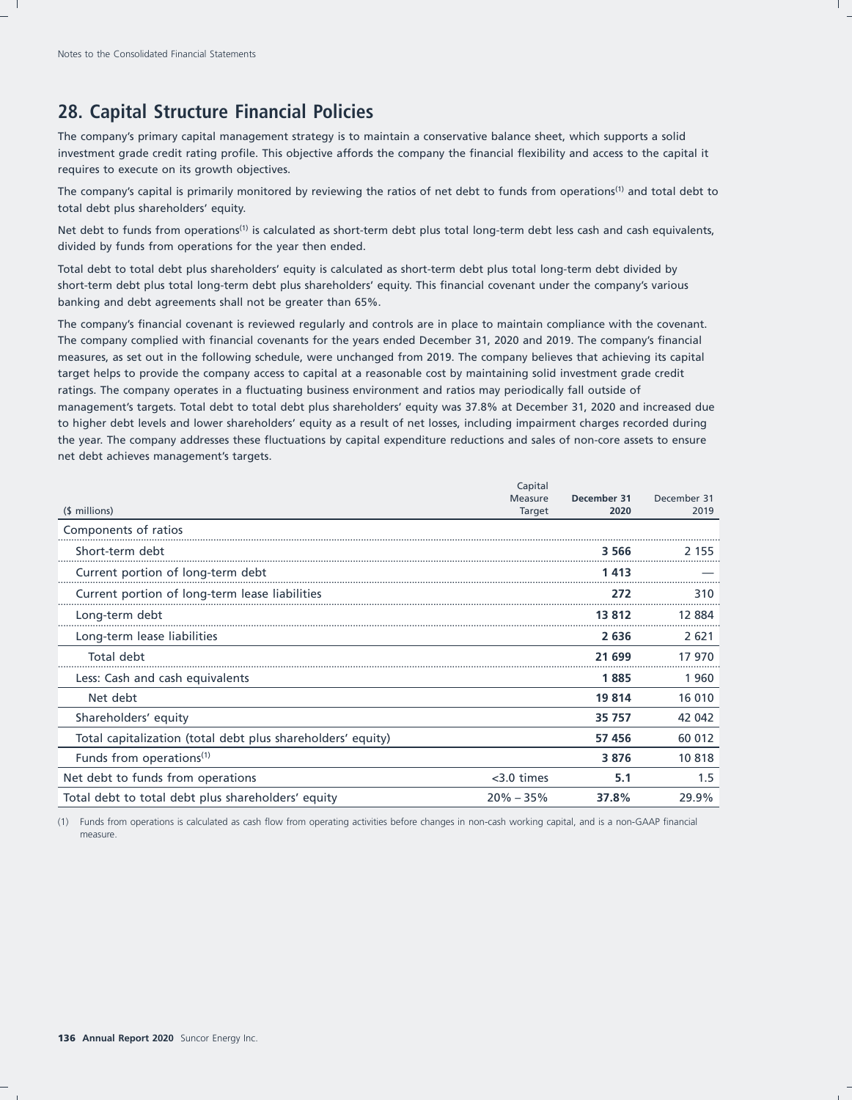# **28. Capital Structure Financial Policies**

The company's primary capital management strategy is to maintain a conservative balance sheet, which supports a solid investment grade credit rating profile. This objective affords the company the financial flexibility and access to the capital it requires to execute on its growth objectives.

The company's capital is primarily monitored by reviewing the ratios of net debt to funds from operations<sup>(1)</sup> and total debt to total debt plus shareholders' equity.

Net debt to funds from operations<sup>(1)</sup> is calculated as short-term debt plus total long-term debt less cash and cash equivalents, divided by funds from operations for the year then ended.

Total debt to total debt plus shareholders' equity is calculated as short-term debt plus total long-term debt divided by short-term debt plus total long-term debt plus shareholders' equity. This financial covenant under the company's various banking and debt agreements shall not be greater than 65%.

The company's financial covenant is reviewed regularly and controls are in place to maintain compliance with the covenant. The company complied with financial covenants for the years ended December 31, 2020 and 2019. The company's financial measures, as set out in the following schedule, were unchanged from 2019. The company believes that achieving its capital target helps to provide the company access to capital at a reasonable cost by maintaining solid investment grade credit ratings. The company operates in a fluctuating business environment and ratios may periodically fall outside of management's targets. Total debt to total debt plus shareholders' equity was 37.8% at December 31, 2020 and increased due to higher debt levels and lower shareholders' equity as a result of net losses, including impairment charges recorded during the year. The company addresses these fluctuations by capital expenditure reductions and sales of non-core assets to ensure net debt achieves management's targets.

|                                                             | Capital                  |                     |                     |
|-------------------------------------------------------------|--------------------------|---------------------|---------------------|
| (\$ millions)                                               | Measure<br><b>Target</b> | December 31<br>2020 | December 31<br>2019 |
| Components of ratios                                        |                          |                     |                     |
| Short-term debt                                             |                          | 3 566               | 2 155               |
| Current portion of long-term debt                           |                          | 1 413               |                     |
| Current portion of long-term lease liabilities              |                          | 272                 | 310                 |
| Long-term debt                                              |                          | 13812               | 12884               |
| Long-term lease liabilities                                 |                          | 2636                | 2621                |
| Total debt                                                  |                          | 21 699              | 17 970              |
| Less: Cash and cash equivalents                             |                          | 1885                | 1960                |
| Net debt                                                    |                          | 19 8 14             | 16 010              |
| Shareholders' equity                                        |                          | 35 757              | 42 042              |
| Total capitalization (total debt plus shareholders' equity) |                          | 57456               | 60 012              |
| Funds from operations <sup>(1)</sup>                        |                          | 3876                | 10818               |
| Net debt to funds from operations                           | $<$ 3.0 times            | 5.1                 | 1.5                 |
| Total debt to total debt plus shareholders' equity          | $20\% - 35\%$            | 37.8%               | 29.9%               |

(1) Funds from operations is calculated as cash flow from operating activities before changes in non-cash working capital, and is a non-GAAP financial measure.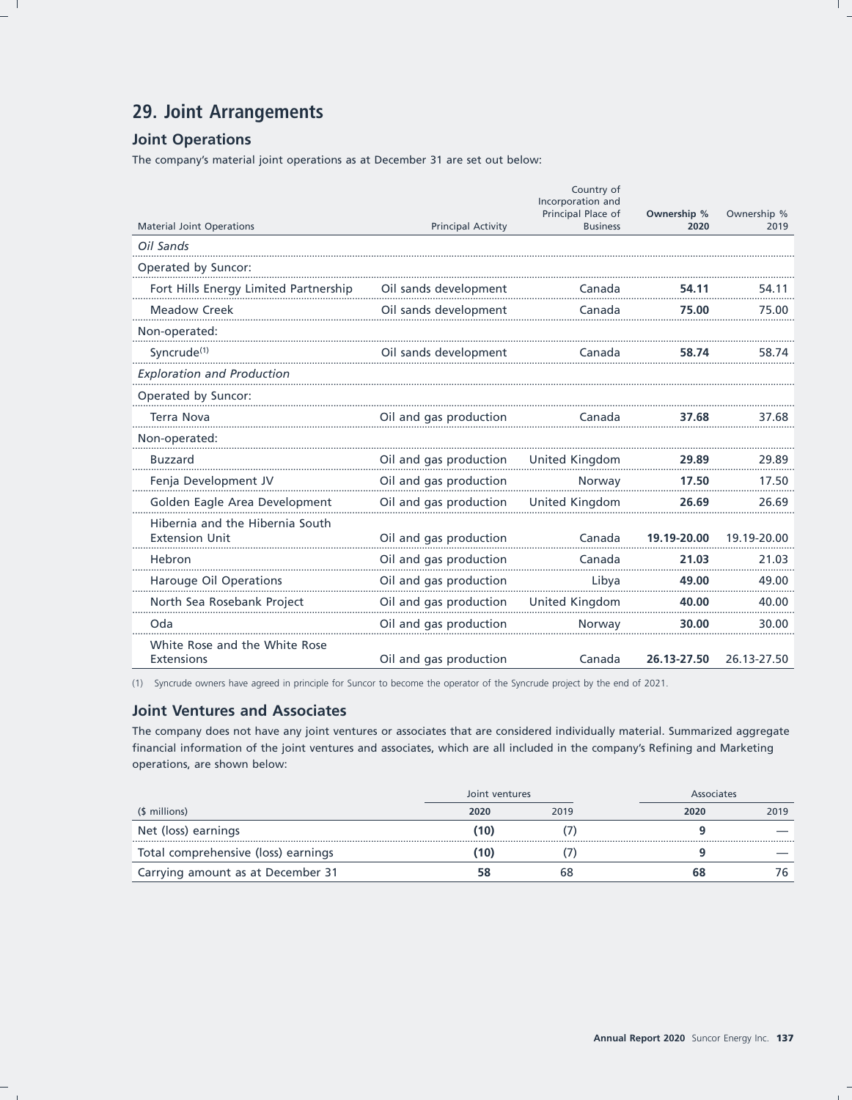# 29. Joint Arrangements

## **Joint Operations**

The company's material joint operations as at December 31 are set out below:

|                                                    |                           | Country of<br>Incorporation and       |                     |                     |
|----------------------------------------------------|---------------------------|---------------------------------------|---------------------|---------------------|
| <b>Material Joint Operations</b>                   | <b>Principal Activity</b> | Principal Place of<br><b>Business</b> | Ownership %<br>2020 | Ownership %<br>2019 |
| Oil Sands                                          |                           |                                       |                     |                     |
| Operated by Suncor:                                |                           |                                       |                     |                     |
| Fort Hills Energy Limited Partnership              | Oil sands development     | Canada                                | 54.11               | 54.11               |
| <b>Meadow Creek</b>                                | Oil sands development     | Canada                                | 75.00               | 75.00               |
| Non-operated:                                      |                           |                                       |                     |                     |
| Syncrude <sup>(1)</sup>                            | Oil sands development     | Canada                                | 58.74               | 58.74               |
| <b>Exploration and Production</b>                  |                           |                                       |                     |                     |
| Operated by Suncor:                                |                           |                                       |                     |                     |
| <b>Terra Nova</b>                                  | Oil and gas production    | Canada                                | 37.68               | 37.68               |
| Non-operated:                                      |                           |                                       |                     |                     |
| <b>Buzzard</b>                                     | Oil and gas production    | United Kingdom                        | 29.89               | 29.89               |
| Fenja Development JV                               | Oil and gas production    | Norway                                | 17.50               | 17.50               |
| Golden Eagle Area Development                      | Oil and gas production    | United Kingdom                        | 26.69               | 26.69               |
| Hibernia and the Hibernia South                    |                           |                                       |                     |                     |
| <b>Extension Unit</b>                              | Oil and gas production    | Canada                                | 19.19-20.00         | 19.19-20.00         |
| Hebron                                             | Oil and gas production    | Canada                                | 21.03               | 21.03               |
| Harouge Oil Operations                             | Oil and gas production    | Libya                                 | 49.00               | 49.00               |
| North Sea Rosebank Project                         | Oil and gas production    | United Kingdom                        | 40.00               | 40.00               |
| Oda                                                | Oil and gas production    | Norway                                | 30.00               | 30.00               |
| White Rose and the White Rose<br><b>Extensions</b> | Oil and gas production    | Canada                                | 26.13-27.50         | 26.13-27.50         |

(1) Syncrude owners have agreed in principle for Suncor to become the operator of the Syncrude project by the end of 2021.

## **Joint Ventures and Associates**

The company does not have any joint ventures or associates that are considered individually material. Summarized aggregate financial information of the joint ventures and associates, which are all included in the company's Refining and Marketing operations, are shown below:

|                                     | Joint ventures |      |      | Associates |  |
|-------------------------------------|----------------|------|------|------------|--|
| (\$ millions)                       | 2020           | 2019 | 2020 | 2019       |  |
| Net (loss) earnings                 | (10)           |      |      |            |  |
| Total comprehensive (loss) earnings | 10)            |      |      |            |  |
| Carrying amount as at December 31   |                | 68   | 68   | 76         |  |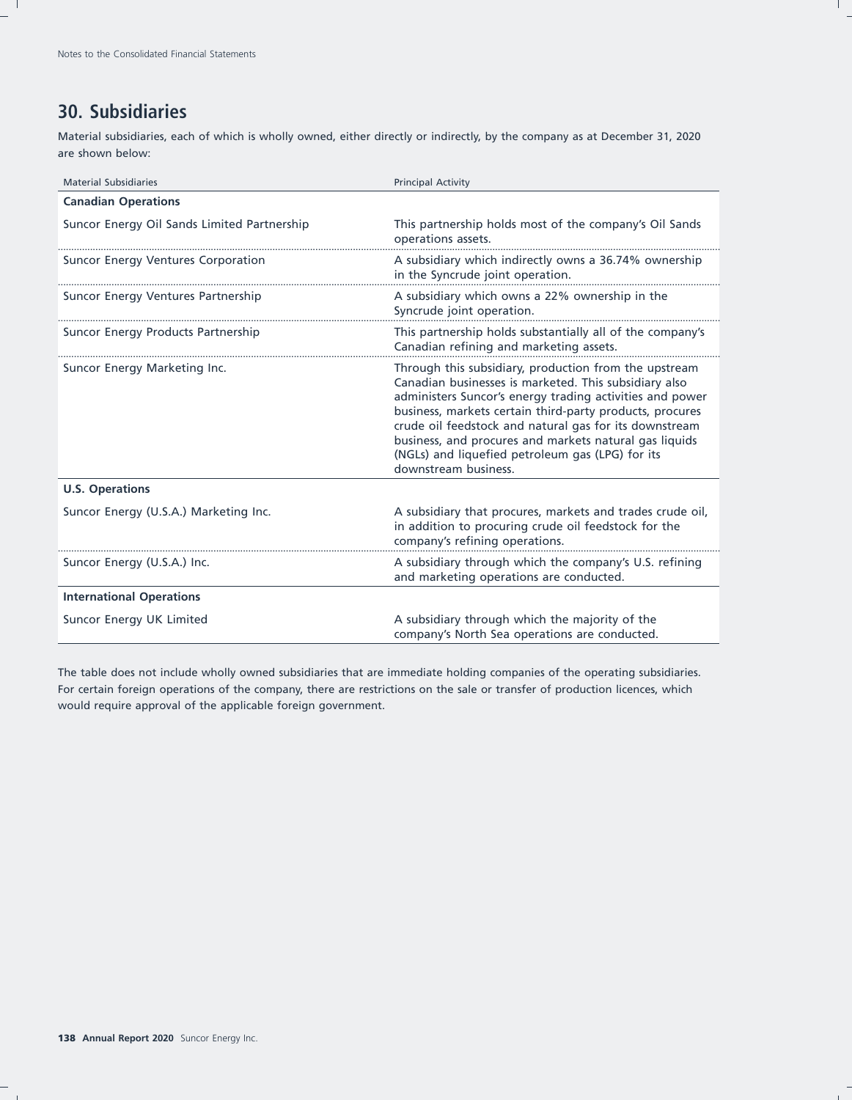# **30. Subsidiaries**

Material subsidiaries, each of which is wholly owned, either directly or indirectly, by the company as at December 31, 2020 are shown below:

| <b>Material Subsidiaries</b>                | <b>Principal Activity</b>                                                                                                                                                                                                                                                                                                                                                                                                              |
|---------------------------------------------|----------------------------------------------------------------------------------------------------------------------------------------------------------------------------------------------------------------------------------------------------------------------------------------------------------------------------------------------------------------------------------------------------------------------------------------|
| <b>Canadian Operations</b>                  |                                                                                                                                                                                                                                                                                                                                                                                                                                        |
| Suncor Energy Oil Sands Limited Partnership | This partnership holds most of the company's Oil Sands<br>operations assets.                                                                                                                                                                                                                                                                                                                                                           |
| Suncor Energy Ventures Corporation          | A subsidiary which indirectly owns a 36.74% ownership<br>in the Syncrude joint operation.                                                                                                                                                                                                                                                                                                                                              |
| Suncor Energy Ventures Partnership          | A subsidiary which owns a 22% ownership in the<br>Syncrude joint operation.                                                                                                                                                                                                                                                                                                                                                            |
| Suncor Energy Products Partnership          | This partnership holds substantially all of the company's<br>Canadian refining and marketing assets.                                                                                                                                                                                                                                                                                                                                   |
| Suncor Energy Marketing Inc.                | Through this subsidiary, production from the upstream<br>Canadian businesses is marketed. This subsidiary also<br>administers Suncor's energy trading activities and power<br>business, markets certain third-party products, procures<br>crude oil feedstock and natural gas for its downstream<br>business, and procures and markets natural gas liquids<br>(NGLs) and liquefied petroleum gas (LPG) for its<br>downstream business. |
| <b>U.S. Operations</b>                      |                                                                                                                                                                                                                                                                                                                                                                                                                                        |
| Suncor Energy (U.S.A.) Marketing Inc.       | A subsidiary that procures, markets and trades crude oil,<br>in addition to procuring crude oil feedstock for the<br>company's refining operations.                                                                                                                                                                                                                                                                                    |
| Suncor Energy (U.S.A.) Inc.                 | A subsidiary through which the company's U.S. refining<br>and marketing operations are conducted.                                                                                                                                                                                                                                                                                                                                      |
| <b>International Operations</b>             |                                                                                                                                                                                                                                                                                                                                                                                                                                        |
| Suncor Energy UK Limited                    | A subsidiary through which the majority of the<br>company's North Sea operations are conducted.                                                                                                                                                                                                                                                                                                                                        |

The table does not include wholly owned subsidiaries that are immediate holding companies of the operating subsidiaries. For certain foreign operations of the company, there are restrictions on the sale or transfer of production licences, which would require approval of the applicable foreign government.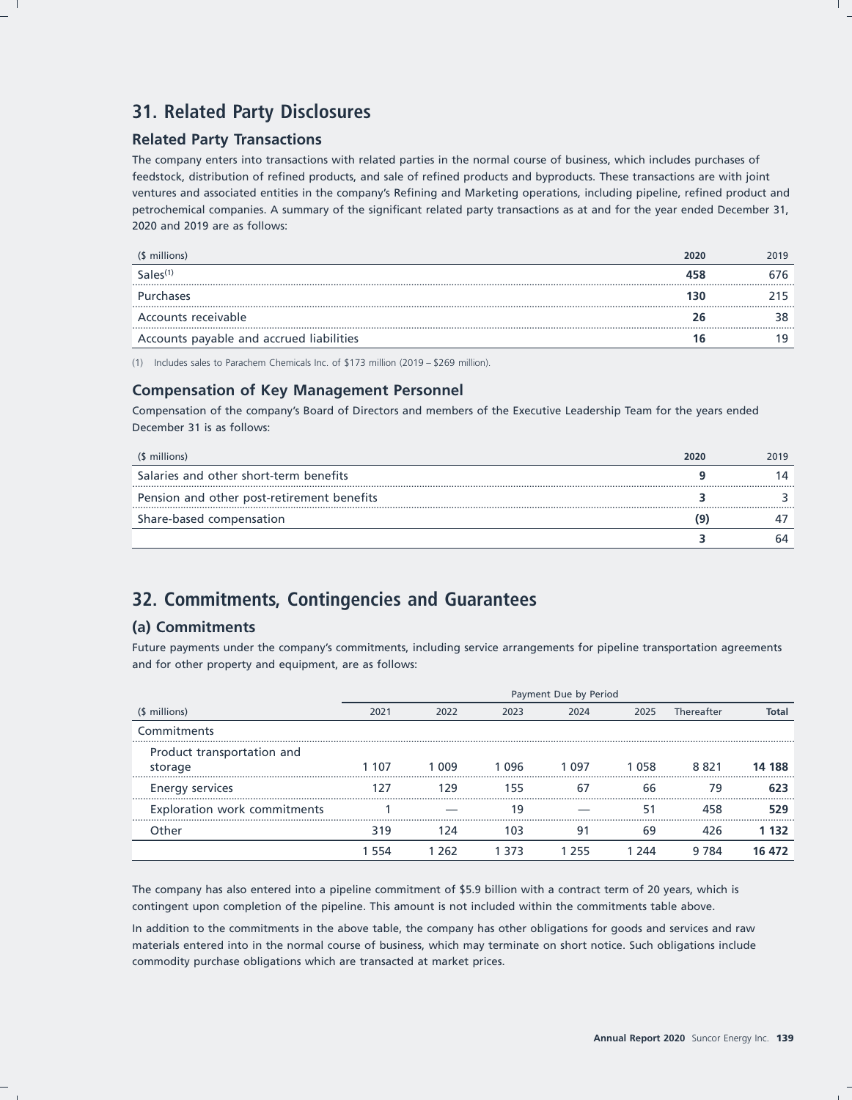# **31. Related Party Disclosures**

## **Related Party Transactions**

The company enters into transactions with related parties in the normal course of business, which includes purchases of feedstock, distribution of refined products, and sale of refined products and byproducts. These transactions are with joint ventures and associated entities in the company's Refining and Marketing operations, including pipeline, refined product and petrochemical companies. A summary of the significant related party transactions as at and for the year ended December 31, 2020 and 2019 are as follows:

| (\$ millions)                            | 2020 | 2019 |
|------------------------------------------|------|------|
| Sales <sup>(1)</sup>                     |      |      |
| <b>Purchases</b>                         |      |      |
| Accounts receivable                      |      |      |
| Accounts payable and accrued liabilities |      |      |

(1) Includes sales to Parachem Chemicals Inc. of \$173 million (2019 – \$269 million).

## **Compensation of Key Management Personnel**

Compensation of the company's Board of Directors and members of the Executive Leadership Team for the years ended December 31 is as follows:

| (\$ millions)                              | 2020 | 2019 |
|--------------------------------------------|------|------|
| Salaries and other short-term benefits     |      |      |
| Pension and other post-retirement benefits |      |      |
| Share-based compensation                   |      |      |
|                                            |      | 64   |

# **32. Commitments, Contingencies and Guarantees**

## **(a) Commitments**

Future payments under the company's commitments, including service arrangements for pipeline transportation agreements and for other property and equipment, are as follows:

|                                       | Payment Due by Period |       |       |       |       |            |        |
|---------------------------------------|-----------------------|-------|-------|-------|-------|------------|--------|
| (\$ millions)                         | 2021                  | 2022  | 2023  | 2024  | 2025  | Thereafter | Total  |
| Commitments                           |                       |       |       |       |       |            |        |
| Product transportation and<br>storage | 1 107                 | 1 009 | 1 096 | 1 097 | 1 058 | 8821       | 14 188 |
| <b>Energy services</b>                | 27                    | 129   | 155   | 6,    | 66    | 79         | 623    |
| Exploration work commitments          |                       |       | 19    |       |       |            | 529    |
| Other                                 | 319                   | 124   | 103   | 91    | 69    | 426        | 1 132  |
|                                       | -554                  | 1 262 | 1 373 | 1 255 | 244   | 9 7 8 4    | 16 472 |

The company has also entered into a pipeline commitment of \$5.9 billion with a contract term of 20 years, which is contingent upon completion of the pipeline. This amount is not included within the commitments table above.

In addition to the commitments in the above table, the company has other obligations for goods and services and raw materials entered into in the normal course of business, which may terminate on short notice. Such obligations include commodity purchase obligations which are transacted at market prices.